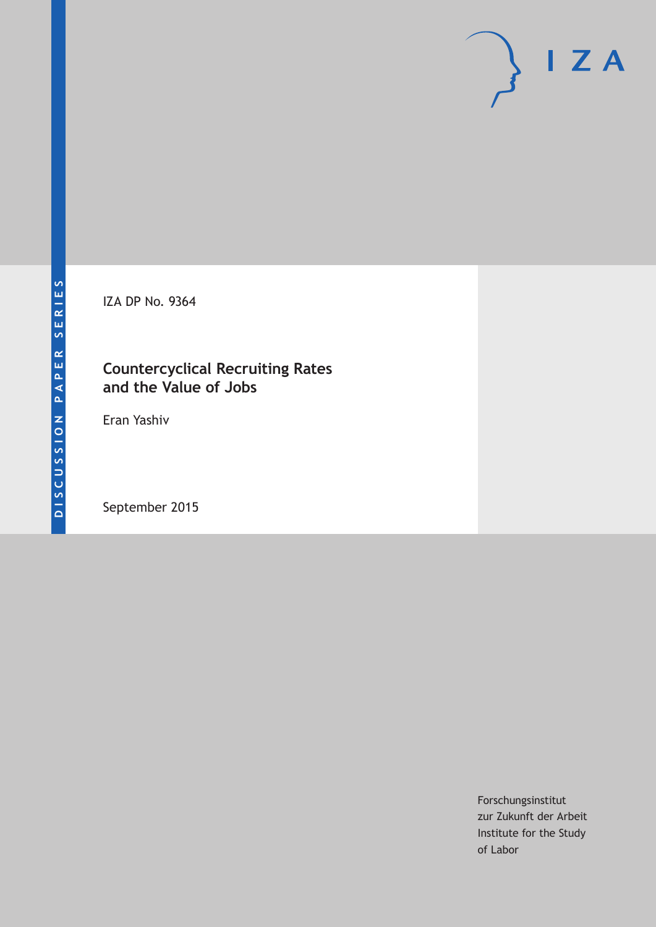IZA DP No. 9364

## **Countercyclical Recruiting Rates and the Value of Jobs**

Eran Yashiv

September 2015

Forschungsinstitut zur Zukunft der Arbeit Institute for the Study of Labor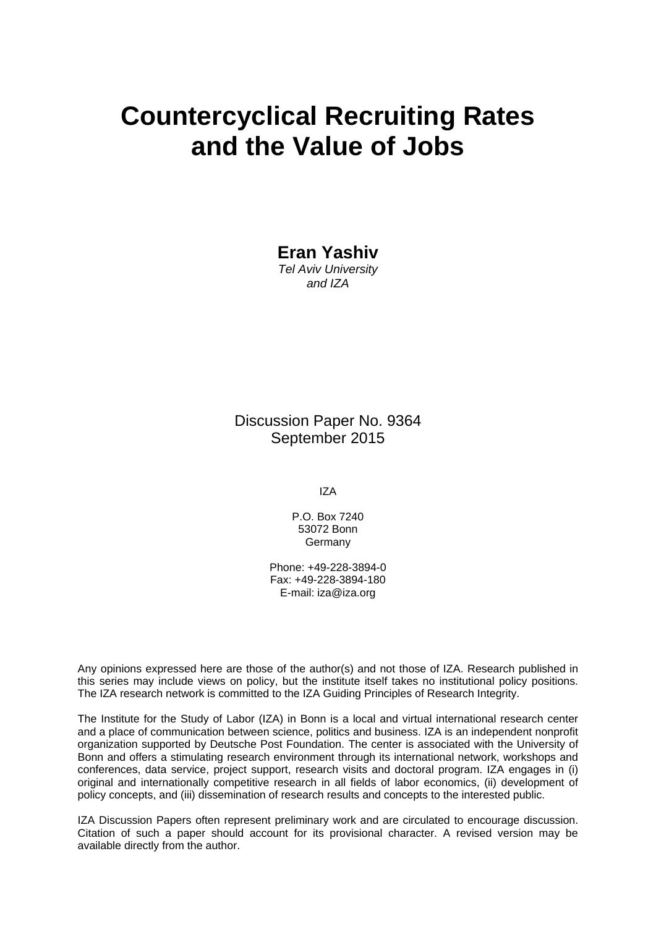# **Countercyclical Recruiting Rates and the Value of Jobs**

**Eran Yashiv**  *Tel Aviv University* 

*and IZA* 

Discussion Paper No. 9364 September 2015

IZA

P.O. Box 7240 53072 Bonn Germany

Phone: +49-228-3894-0 Fax: +49-228-3894-180 E-mail: iza@iza.org

Any opinions expressed here are those of the author(s) and not those of IZA. Research published in this series may include views on policy, but the institute itself takes no institutional policy positions. The IZA research network is committed to the IZA Guiding Principles of Research Integrity.

The Institute for the Study of Labor (IZA) in Bonn is a local and virtual international research center and a place of communication between science, politics and business. IZA is an independent nonprofit organization supported by Deutsche Post Foundation. The center is associated with the University of Bonn and offers a stimulating research environment through its international network, workshops and conferences, data service, project support, research visits and doctoral program. IZA engages in (i) original and internationally competitive research in all fields of labor economics, (ii) development of policy concepts, and (iii) dissemination of research results and concepts to the interested public.

IZA Discussion Papers often represent preliminary work and are circulated to encourage discussion. Citation of such a paper should account for its provisional character. A revised version may be available directly from the author.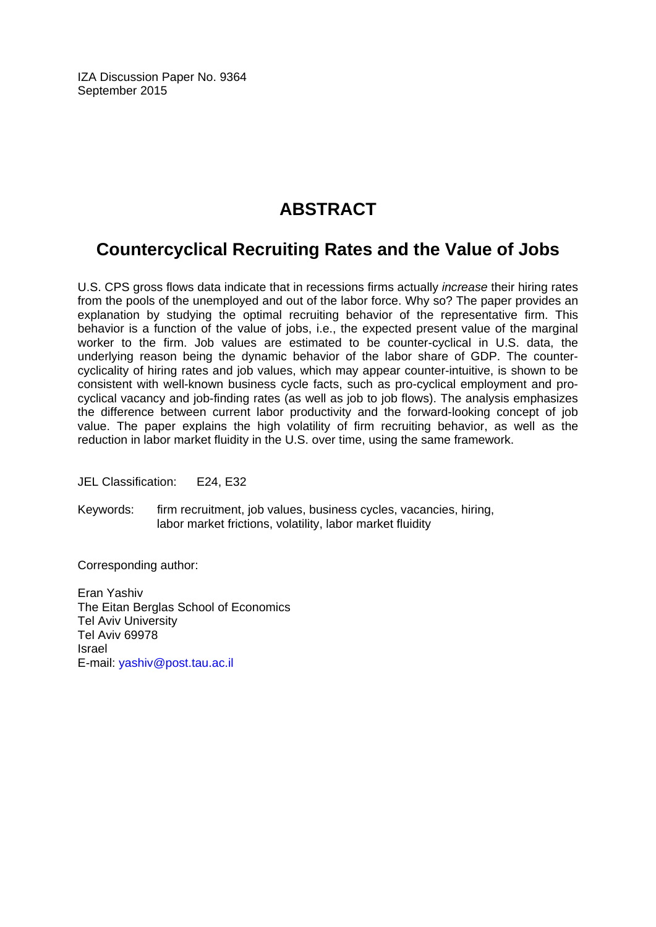IZA Discussion Paper No. 9364 September 2015

## **ABSTRACT**

## **Countercyclical Recruiting Rates and the Value of Jobs**

U.S. CPS gross flows data indicate that in recessions firms actually *increase* their hiring rates from the pools of the unemployed and out of the labor force. Why so? The paper provides an explanation by studying the optimal recruiting behavior of the representative firm. This behavior is a function of the value of jobs, i.e., the expected present value of the marginal worker to the firm. Job values are estimated to be counter-cyclical in U.S. data, the underlying reason being the dynamic behavior of the labor share of GDP. The countercyclicality of hiring rates and job values, which may appear counter-intuitive, is shown to be consistent with well-known business cycle facts, such as pro-cyclical employment and procyclical vacancy and job-finding rates (as well as job to job flows). The analysis emphasizes the difference between current labor productivity and the forward-looking concept of job value. The paper explains the high volatility of firm recruiting behavior, as well as the reduction in labor market fluidity in the U.S. over time, using the same framework.

JEL Classification: E24, E32

Keywords: firm recruitment, job values, business cycles, vacancies, hiring, labor market frictions, volatility, labor market fluidity

Corresponding author:

Eran Yashiv The Eitan Berglas School of Economics Tel Aviv University Tel Aviv 69978 Israel E-mail: yashiv@post.tau.ac.il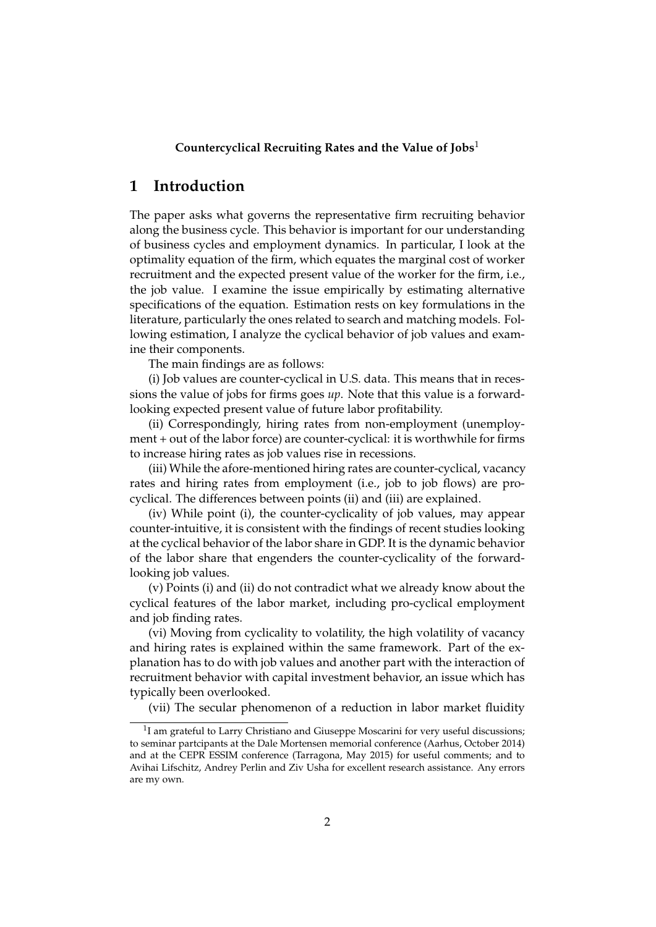### **Countercyclical Recruiting Rates and the Value of Jobs**<sup>1</sup>

## **1 Introduction**

The paper asks what governs the representative firm recruiting behavior along the business cycle. This behavior is important for our understanding of business cycles and employment dynamics. In particular, I look at the optimality equation of the firm, which equates the marginal cost of worker recruitment and the expected present value of the worker for the firm, i.e., the job value. I examine the issue empirically by estimating alternative specifications of the equation. Estimation rests on key formulations in the literature, particularly the ones related to search and matching models. Following estimation, I analyze the cyclical behavior of job values and examine their components.

The main findings are as follows:

(i) Job values are counter-cyclical in U.S. data. This means that in recessions the value of jobs for firms goes *up*. Note that this value is a forwardlooking expected present value of future labor profitability.

(ii) Correspondingly, hiring rates from non-employment (unemployment + out of the labor force) are counter-cyclical: it is worthwhile for firms to increase hiring rates as job values rise in recessions.

(iii) While the afore-mentioned hiring rates are counter-cyclical, vacancy rates and hiring rates from employment (i.e., job to job flows) are procyclical. The differences between points (ii) and (iii) are explained.

(iv) While point (i), the counter-cyclicality of job values, may appear counter-intuitive, it is consistent with the findings of recent studies looking at the cyclical behavior of the labor share in GDP. It is the dynamic behavior of the labor share that engenders the counter-cyclicality of the forwardlooking job values.

(v) Points (i) and (ii) do not contradict what we already know about the cyclical features of the labor market, including pro-cyclical employment and job finding rates.

(vi) Moving from cyclicality to volatility, the high volatility of vacancy and hiring rates is explained within the same framework. Part of the explanation has to do with job values and another part with the interaction of recruitment behavior with capital investment behavior, an issue which has typically been overlooked.

(vii) The secular phenomenon of a reduction in labor market fluidity

<sup>&</sup>lt;sup>1</sup>I am grateful to Larry Christiano and Giuseppe Moscarini for very useful discussions; to seminar partcipants at the Dale Mortensen memorial conference (Aarhus, October 2014) and at the CEPR ESSIM conference (Tarragona, May 2015) for useful comments; and to Avihai Lifschitz, Andrey Perlin and Ziv Usha for excellent research assistance. Any errors are my own.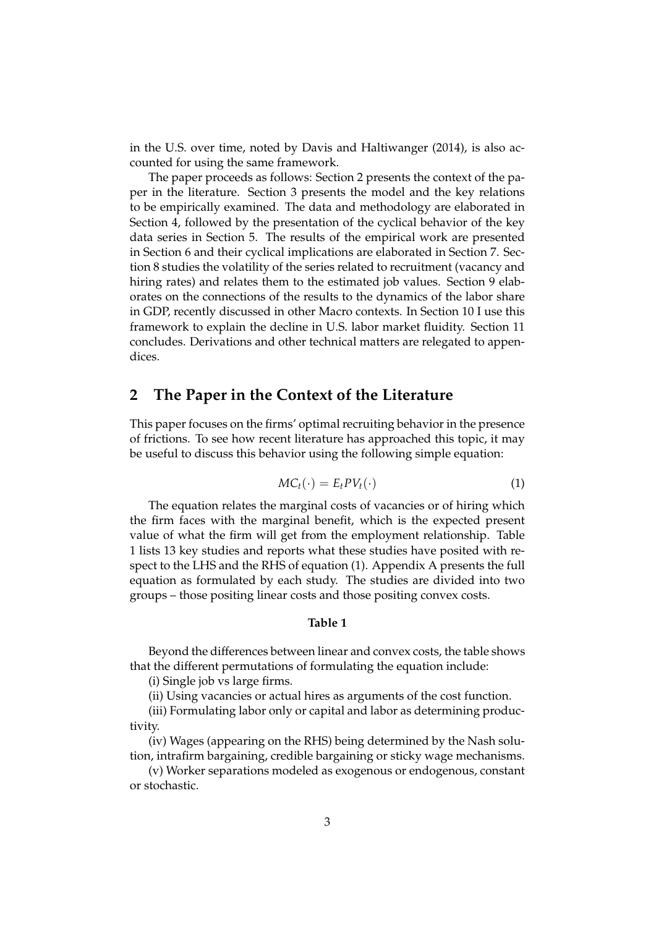in the U.S. over time, noted by Davis and Haltiwanger (2014), is also accounted for using the same framework.

The paper proceeds as follows: Section 2 presents the context of the paper in the literature. Section 3 presents the model and the key relations to be empirically examined. The data and methodology are elaborated in Section 4, followed by the presentation of the cyclical behavior of the key data series in Section 5. The results of the empirical work are presented in Section 6 and their cyclical implications are elaborated in Section 7. Section 8 studies the volatility of the series related to recruitment (vacancy and hiring rates) and relates them to the estimated job values. Section 9 elaborates on the connections of the results to the dynamics of the labor share in GDP, recently discussed in other Macro contexts. In Section 10 I use this framework to explain the decline in U.S. labor market fluidity. Section 11 concludes. Derivations and other technical matters are relegated to appendices.

## **2 The Paper in the Context of the Literature**

This paper focuses on the firms' optimal recruiting behavior in the presence of frictions. To see how recent literature has approached this topic, it may be useful to discuss this behavior using the following simple equation:

$$
MC_t(\cdot) = E_t PV_t(\cdot) \tag{1}
$$

The equation relates the marginal costs of vacancies or of hiring which the firm faces with the marginal benefit, which is the expected present value of what the firm will get from the employment relationship. Table 1 lists 13 key studies and reports what these studies have posited with respect to the LHS and the RHS of equation (1). Appendix A presents the full equation as formulated by each study. The studies are divided into two groups – those positing linear costs and those positing convex costs.

#### **Table 1**

Beyond the differences between linear and convex costs, the table shows that the different permutations of formulating the equation include:

(i) Single job vs large firms.

(ii) Using vacancies or actual hires as arguments of the cost function.

(iii) Formulating labor only or capital and labor as determining productivity.

(iv) Wages (appearing on the RHS) being determined by the Nash solution, intrafirm bargaining, credible bargaining or sticky wage mechanisms.

(v) Worker separations modeled as exogenous or endogenous, constant or stochastic.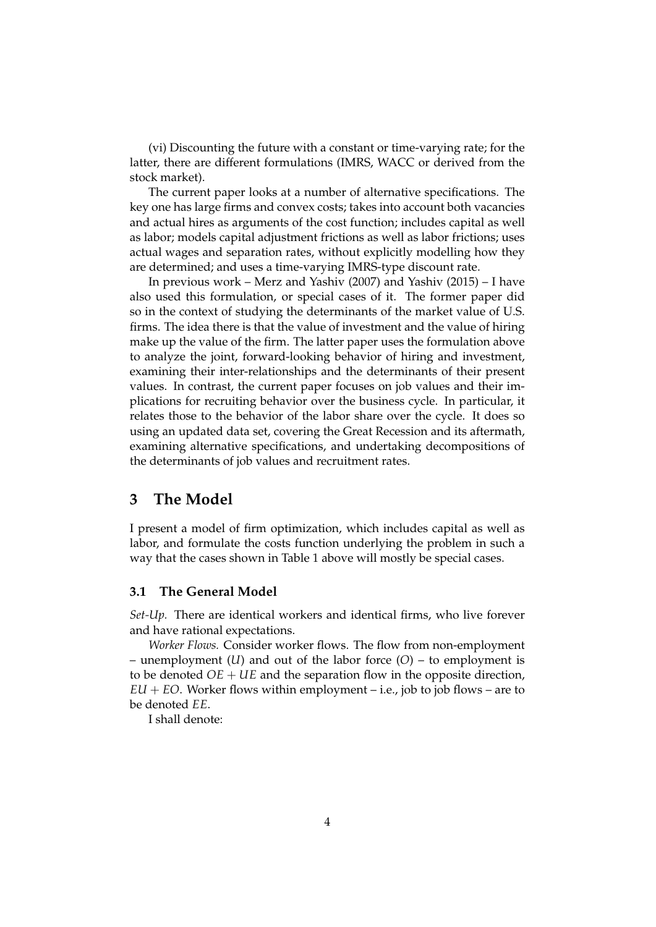(vi) Discounting the future with a constant or time-varying rate; for the latter, there are different formulations (IMRS, WACC or derived from the stock market).

The current paper looks at a number of alternative specifications. The key one has large firms and convex costs; takes into account both vacancies and actual hires as arguments of the cost function; includes capital as well as labor; models capital adjustment frictions as well as labor frictions; uses actual wages and separation rates, without explicitly modelling how they are determined; and uses a time-varying IMRS-type discount rate.

In previous work – Merz and Yashiv (2007) and Yashiv (2015) – I have also used this formulation, or special cases of it. The former paper did so in the context of studying the determinants of the market value of U.S. firms. The idea there is that the value of investment and the value of hiring make up the value of the firm. The latter paper uses the formulation above to analyze the joint, forward-looking behavior of hiring and investment, examining their inter-relationships and the determinants of their present values. In contrast, the current paper focuses on job values and their implications for recruiting behavior over the business cycle. In particular, it relates those to the behavior of the labor share over the cycle. It does so using an updated data set, covering the Great Recession and its aftermath, examining alternative specifications, and undertaking decompositions of the determinants of job values and recruitment rates.

## **3 The Model**

I present a model of firm optimization, which includes capital as well as labor, and formulate the costs function underlying the problem in such a way that the cases shown in Table 1 above will mostly be special cases.

#### **3.1 The General Model**

*Set-Up.* There are identical workers and identical firms, who live forever and have rational expectations.

*Worker Flows.* Consider worker flows. The flow from non-employment – unemployment (*U*) and out of the labor force (*O*) – to employment is to be denoted  $OE + UE$  and the separation flow in the opposite direction,  $EU + EO$ . Worker flows within employment – i.e., job to job flows – are to be denoted *EE*.

I shall denote: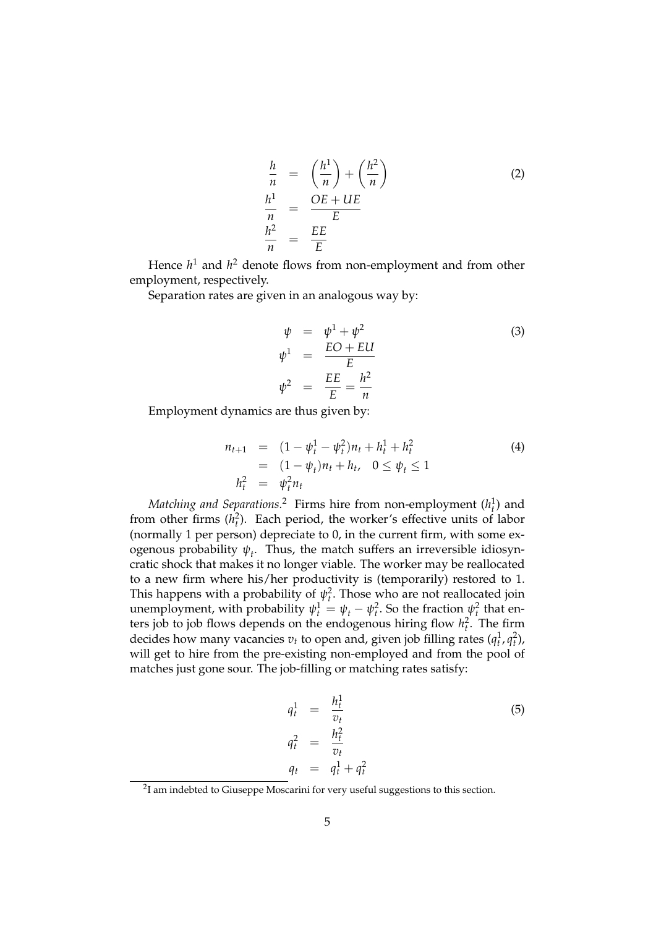$$
\frac{h}{n} = \left(\frac{h^{1}}{n}\right) + \left(\frac{h^{2}}{n}\right)
$$
\n
$$
\frac{h^{1}}{n} = \frac{OE + UE}{E}
$$
\n
$$
\frac{h^{2}}{n} = \frac{EE}{E}
$$
\n(2)

Hence  $h^1$  and  $h^2$  denote flows from non-employment and from other employment, respectively.

Separation rates are given in an analogous way by:

$$
\psi = \psi^{1} + \psi^{2}
$$
\n
$$
\psi^{1} = \frac{EO + EU}{E}
$$
\n
$$
\psi^{2} = \frac{EE}{E} = \frac{h^{2}}{n}
$$
\n(3)

Employment dynamics are thus given by:

$$
n_{t+1} = (1 - \psi_t^1 - \psi_t^2)n_t + h_t^1 + h_t^2
$$
  
=  $(1 - \psi_t)n_t + h_t, \quad 0 \le \psi_t \le 1$   

$$
h_t^2 = \psi_t^2 n_t
$$
 (4)

 $\emph{Matching and Separations.}$   $^2$  Firms hire from non-employment  $(h_t^1)$  and from other firms  $(h_t^2)$ . Each period, the worker's effective units of labor (normally 1 per person) depreciate to 0, in the current firm, with some ex- $\alpha$  ogenous probability  $\psi_t$ . Thus, the match suffers an irreversible idiosyncratic shock that makes it no longer viable. The worker may be reallocated to a new firm where his/her productivity is (temporarily) restored to 1. This happens with a probability of  $\psi_t^2$ . Those who are not reallocated join unemployment, with probability  $\psi_t^1 = \psi_t - \psi_t^2$ . So the fraction  $\psi_t^2$  that enters job to job flows depends on the endogenous hiring flow  $h_t^2$ . The firm decides how many vacancies  $v_t$  to open and, given job filling rates  $(q_t^1, q_t^2)$ , will get to hire from the pre-existing non-employed and from the pool of matches just gone sour. The job-filling or matching rates satisfy:

$$
q_t^1 = \frac{h_t^1}{v_t}
$$
  
\n
$$
q_t^2 = \frac{h_t^2}{v_t}
$$
  
\n
$$
q_t = q_t^1 + q_t^2
$$
\n(5)

 $2$ I am indebted to Giuseppe Moscarini for very useful suggestions to this section.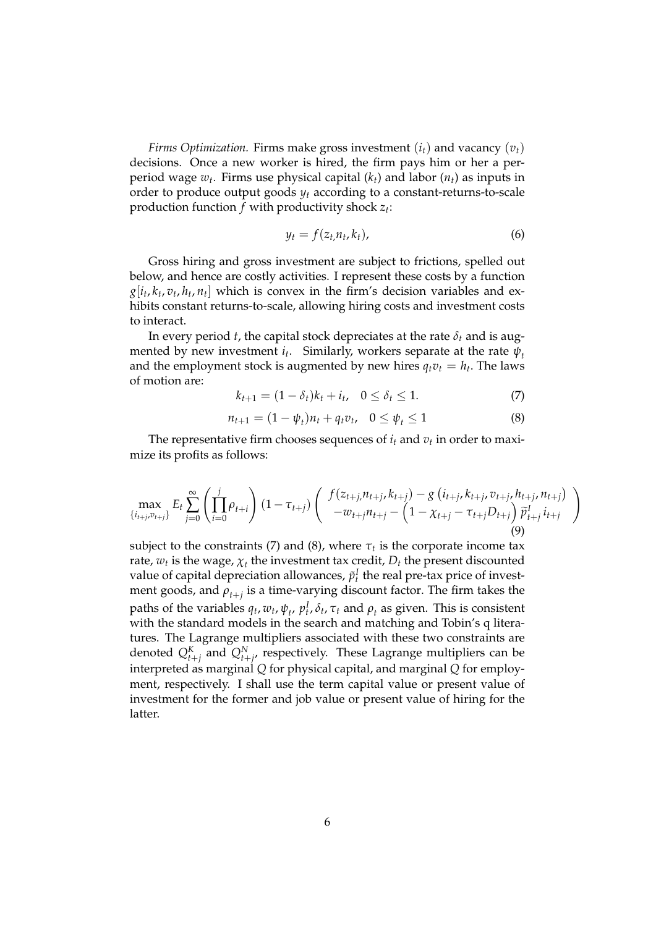*Firms Optimization.* Firms make gross investment (*it*) and vacancy (*vt*) decisions. Once a new worker is hired, the firm pays him or her a perperiod wage *w<sup>t</sup>* . Firms use physical capital (*kt*) and labor (*nt*) as inputs in order to produce output goods  $y_t$  according to a constant-returns-to-scale production function *f* with productivity shock *z<sup>t</sup>* :

$$
y_t = f(z_t, n_t, k_t), \tag{6}
$$

Gross hiring and gross investment are subject to frictions, spelled out below, and hence are costly activities. I represent these costs by a function  $g[i_t, k_t, v_t, h_t, n_t]$  which is convex in the firm's decision variables and exhibits constant returns-to-scale, allowing hiring costs and investment costs to interact.

In every period *t*, the capital stock depreciates at the rate  $\delta_t$  and is augmented by new investment *i<sup>t</sup>* . Similarly, workers separate at the rate *ψ<sup>t</sup>* and the employment stock is augmented by new hires  $q_t v_t = h_t$ . The laws of motion are:

$$
k_{t+1} = (1 - \delta_t)k_t + i_t, \quad 0 \le \delta_t \le 1.
$$
 (7)

$$
n_{t+1} = (1 - \psi_t)n_t + q_t v_t, \quad 0 \le \psi_t \le 1
$$
 (8)

The representative firm chooses sequences of *i<sup>t</sup>* and *v<sup>t</sup>* in order to maximize its profits as follows:

$$
\max_{\{i_{t+j}, v_{t+j}\}} E_t \sum_{j=0}^{\infty} \left( \prod_{i=0}^{j} \rho_{t+i} \right) (1 - \tau_{t+j}) \left( \begin{array}{c} f(z_{t+j}, n_{t+j}, k_{t+j}) - g\left(i_{t+j}, k_{t+j}, v_{t+j}, h_{t+j}, n_{t+j}\right) \\ -w_{t+j} n_{t+j} - \left(1 - \chi_{t+j} - \tau_{t+j} D_{t+j}\right) \widetilde{p}_{t+j}^{T} i_{t+j} \end{array} \right) \tag{9}
$$

subject to the constraints (7) and (8), where  $\tau_t$  is the corporate income tax rate,  $w_t$  is the wage,  $\chi_t$  the investment tax credit,  $D_t$  the present discounted value of capital depreciation allowances,  $\tilde{p}_t^I$  the real pre-tax price of investment goods, and *ρt*+*<sup>j</sup>* is a time-varying discount factor. The firm takes the paths of the variables  $q_t$ ,  $w_t$ ,  $\psi_t$ ,  $p_t^I$ ,  $\delta_t$ ,  $\tau_t$  and  $\rho_t$  as given. This is consistent with the standard models in the search and matching and Tobin's q literatures. The Lagrange multipliers associated with these two constraints are denoted  $Q_{t+j}^K$  and  $Q_{t+j}^N$ , respectively. These Lagrange multipliers can be interpreted as marginal *Q* for physical capital, and marginal *Q* for employment, respectively. I shall use the term capital value or present value of investment for the former and job value or present value of hiring for the latter.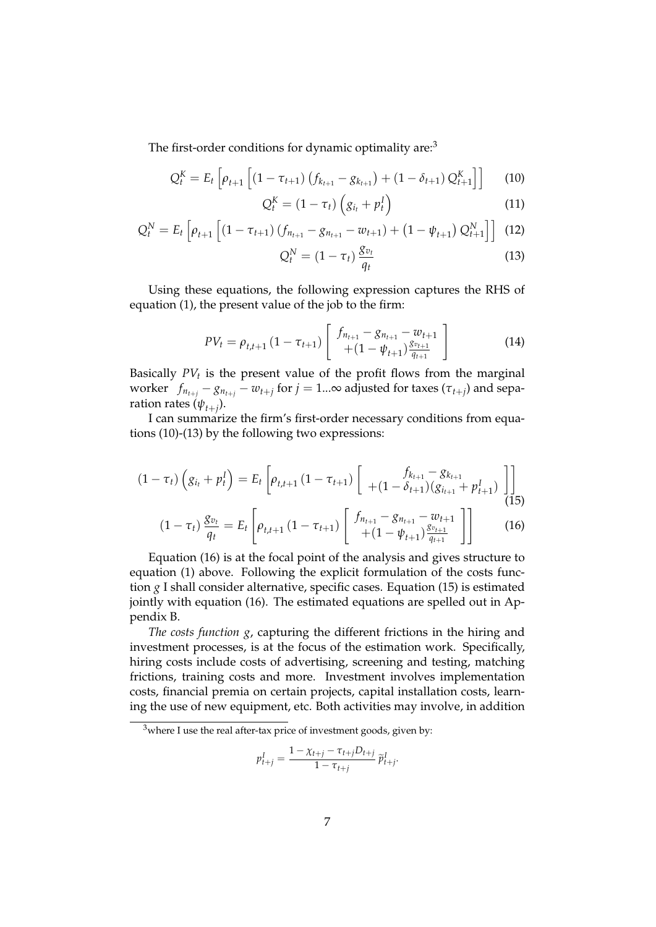The first-order conditions for dynamic optimality are:<sup>3</sup>

$$
Q_t^K = E_t \left[ \rho_{t+1} \left[ (1 - \tau_{t+1}) \left( f_{k_{t+1}} - g_{k_{t+1}} \right) + (1 - \delta_{t+1}) Q_{t+1}^K \right] \right] \tag{10}
$$

$$
Q_t^K = (1 - \tau_t) \left( g_{i_t} + p_t^I \right) \tag{11}
$$

$$
Q_t^N = E_t \left[ \rho_{t+1} \left[ \left( 1 - \tau_{t+1} \right) \left( f_{n_{t+1}} - g_{n_{t+1}} - w_{t+1} \right) + \left( 1 - \psi_{t+1} \right) Q_{t+1}^N \right] \right] (12)
$$

$$
Q_t^N = (1 - \tau_t) \frac{g_{v_t}}{q_t} \tag{13}
$$

Using these equations, the following expression captures the RHS of equation (1), the present value of the job to the firm:

$$
PV_{t} = \rho_{t,t+1} \left(1 - \tau_{t+1}\right) \left[ \begin{array}{c} f_{n_{t+1}} - g_{n_{t+1}} - w_{t+1} \\ + (1 - \psi_{t+1}) \frac{g_{v_{t+1}}}{g_{t+1}} \end{array} \right] \tag{14}
$$

Basically *PV<sup>t</sup>* is the present value of the profit flows from the marginal worker  $f_{n_{t+j}} - g_{n_{t+j}} - w_{t+j}$  for  $j = 1...\infty$  adjusted for taxes  $(\tau_{t+j})$  and separation rates  $(\psi_{t+j})$ .

I can summarize the firm's first-order necessary conditions from equations (10)-(13) by the following two expressions:

$$
(1 - \tau_t) \left( g_{i_t} + p_t^I \right) = E_t \left[ \rho_{t,t+1} \left( 1 - \tau_{t+1} \right) \left[ \begin{array}{c} f_{k_{t+1}} - g_{k_{t+1}} \\ + (1 - \delta_{t+1}) \left( g_{i_{t+1}} + p_{t+1}^I \right) \end{array} \right] \right]
$$
(15)

$$
(1 - \tau_t) \frac{g_{v_t}}{q_t} = E_t \left[ \rho_{t,t+1} \left( 1 - \tau_{t+1} \right) \left[ \begin{array}{c} f_{n_{t+1}} - g_{n_{t+1}} - w_{t+1} \\ + (1 - \psi_{t+1}) \frac{g_{v_{t+1}}}{g_{t+1}} \end{array} \right] \right]
$$
(16)

Equation (16) is at the focal point of the analysis and gives structure to equation (1) above. Following the explicit formulation of the costs function *g* I shall consider alternative, specific cases. Equation (15) is estimated jointly with equation (16). The estimated equations are spelled out in Appendix B.

*The costs function g*, capturing the different frictions in the hiring and investment processes, is at the focus of the estimation work. Specifically, hiring costs include costs of advertising, screening and testing, matching frictions, training costs and more. Investment involves implementation costs, financial premia on certain projects, capital installation costs, learning the use of new equipment, etc. Both activities may involve, in addition

$$
p_{t+j}^I = \frac{1 - \chi_{t+j} - \tau_{t+j} D_{t+j}}{1 - \tau_{t+j}} \, \widetilde{p}_{t+j}^I.
$$

 $3$ where I use the real after-tax price of investment goods, given by: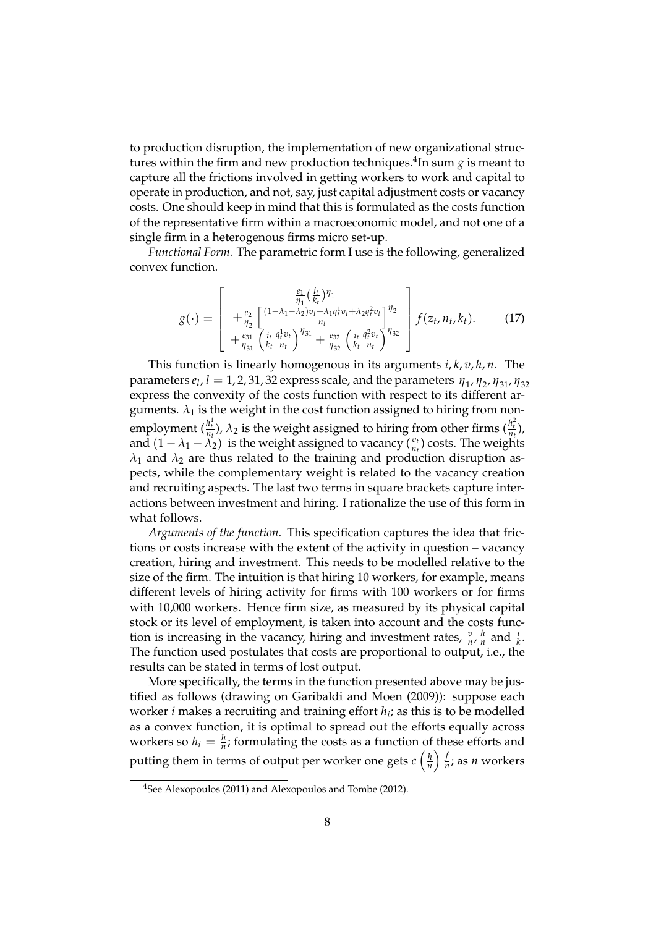to production disruption, the implementation of new organizational structures within the firm and new production techniques.<sup>4</sup>In sum *g* is meant to capture all the frictions involved in getting workers to work and capital to operate in production, and not, say, just capital adjustment costs or vacancy costs. One should keep in mind that this is formulated as the costs function of the representative firm within a macroeconomic model, and not one of a single firm in a heterogenous firms micro set-up.

*Functional Form.* The parametric form I use is the following, generalized convex function.

$$
g(\cdot) = \begin{bmatrix} \frac{e_1}{\eta_1} (\frac{i_t}{k_t})^{\eta_1} & \frac{e_1}{\eta_2} \left[ \frac{(1-\lambda_1-\lambda_2)v_t + \lambda_1 q_t^1 v_t + \lambda_2 q_t^2 v_t}{n_t} \right]^{\eta_2} \\ + \frac{e_3}{\eta_3} \left( \frac{i_t}{k_t} \frac{q_t^1 v_t}{n_t} \right)^{\eta_3} + \frac{e_3}{\eta_3} \left( \frac{i_t}{k_t} \frac{q_t^2 v_t}{n_t} \right)^{\eta_3} \end{bmatrix} f(z_t, n_t, k_t).
$$
 (17)

This function is linearly homogenous in its arguments *i*, *k*, *v*, *h*, *n.* The parameters *e*<sub>l</sub>, *l* = 1, 2, 31, 32 express scale, and the parameters  $η_1$ ,  $η_2$ ,  $η_{31}$ ,  $η_{32}$ express the convexity of the costs function with respect to its different arguments.  $\lambda_1$  is the weight in the cost function assigned to hiring from nonemployment  $(\frac{h_t^1}{n_t}), \lambda_2$  is the weight assigned to hiring from other firms  $(\frac{h_t^2}{n_t}),$ and  $(1 - \lambda_1 - \lambda_2)$  is the weight assigned to vacancy  $(\frac{v_t}{n_t})$  costs. The weights  $\lambda_1$  and  $\lambda_2$  are thus related to the training and production disruption aspects, while the complementary weight is related to the vacancy creation and recruiting aspects. The last two terms in square brackets capture interactions between investment and hiring. I rationalize the use of this form in what follows.

*Arguments of the function.* This specification captures the idea that frictions or costs increase with the extent of the activity in question – vacancy creation, hiring and investment. This needs to be modelled relative to the size of the firm. The intuition is that hiring 10 workers, for example, means different levels of hiring activity for firms with 100 workers or for firms with 10,000 workers. Hence firm size, as measured by its physical capital stock or its level of employment, is taken into account and the costs function is increasing in the vacancy, hiring and investment rates,  $\frac{v}{n}$ ,  $\frac{h}{n}$  $\frac{h}{n}$  and  $\frac{i}{k}$ . The function used postulates that costs are proportional to output, i.e., the results can be stated in terms of lost output.

More specifically, the terms in the function presented above may be justified as follows (drawing on Garibaldi and Moen (2009)): suppose each worker *i* makes a recruiting and training effort *h<sup>i</sup>* ; as this is to be modelled as a convex function, it is optimal to spread out the efforts equally across workers so  $h_i = \frac{h}{n}$ ; formulating the costs as a function of these efforts and putting them in terms of output per worker one gets  $c \left( \frac{h}{n} \right)$ *n f*  $\frac{1}{n}$ ; as *n* workers

<sup>4</sup>See Alexopoulos (2011) and Alexopoulos and Tombe (2012).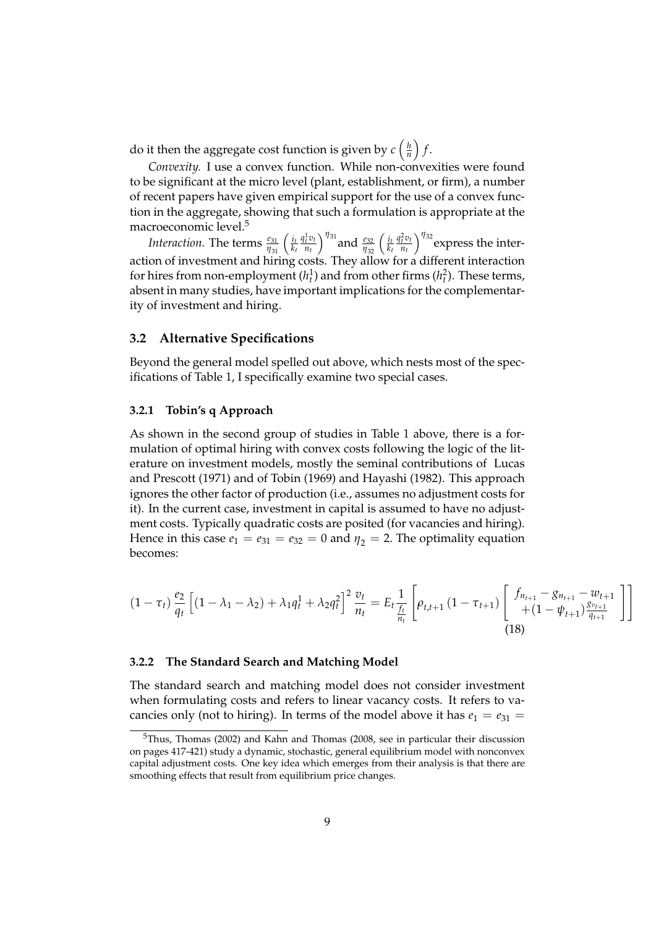do it then the aggregate cost function is given by  $c\left(\frac{h}{n}\right)$ *n*  $\int f$ .

*Convexity.* I use a convex function. While non-convexities were found to be significant at the micro level (plant, establishment, or firm), a number of recent papers have given empirical support for the use of a convex function in the aggregate, showing that such a formulation is appropriate at the macroeconomic level.<sup>5</sup>

*Interaction.* The terms  $\frac{e_{31}}{\eta_{31}}\left(\frac{i_l}{k_l}\right)$ *kt*  $q_t^1 v_t$  $\left(\frac{1}{n_t}v_t\right)^{\eta_{31}}$  and  $\frac{e_{32}}{\eta_{32}}\left(\frac{i_t}{k_t}\right)$ *kt*  $q_t^2 v_t$  $\int_{n_t}^{2p_t}{\eta_{32}}$  express the interaction of investment and hiring costs. They allow for a different interaction for hires from non-employment  $(h_t^1)$  and from other firms  $(h_t^2)$ . These terms, absent in many studies, have important implications for the complementarity of investment and hiring.

#### **3.2 Alternative Specifications**

Beyond the general model spelled out above, which nests most of the specifications of Table 1, I specifically examine two special cases.

### **3.2.1 Tobin's q Approach**

As shown in the second group of studies in Table 1 above, there is a formulation of optimal hiring with convex costs following the logic of the literature on investment models, mostly the seminal contributions of Lucas and Prescott (1971) and of Tobin (1969) and Hayashi (1982). This approach ignores the other factor of production (i.e., assumes no adjustment costs for it). In the current case, investment in capital is assumed to have no adjustment costs. Typically quadratic costs are posited (for vacancies and hiring). Hence in this case  $e_1 = e_{31} = e_{32} = 0$  and  $\eta_2 = 2$ . The optimality equation becomes:

$$
(1 - \tau_t) \frac{e_2}{q_t} \left[ (1 - \lambda_1 - \lambda_2) + \lambda_1 q_t^1 + \lambda_2 q_t^2 \right]^2 \frac{v_t}{n_t} = E_t \frac{1}{\frac{f_t}{n_t}} \left[ \rho_{t, t+1} \left( 1 - \tau_{t+1} \right) \left[ \begin{array}{c} f_{n_{t+1}} - g_{n_{t+1}} - w_{t+1} \\ + (1 - \psi_{t+1}) \frac{g_{v_{t+1}}}{q_{t+1}} \end{array} \right] \right]
$$
\n(18)

#### **3.2.2 The Standard Search and Matching Model**

The standard search and matching model does not consider investment when formulating costs and refers to linear vacancy costs. It refers to vacancies only (not to hiring). In terms of the model above it has  $e_1 = e_{31}$ 

<sup>5</sup>Thus, Thomas (2002) and Kahn and Thomas (2008, see in particular their discussion on pages 417-421) study a dynamic, stochastic, general equilibrium model with nonconvex capital adjustment costs. One key idea which emerges from their analysis is that there are smoothing effects that result from equilibrium price changes.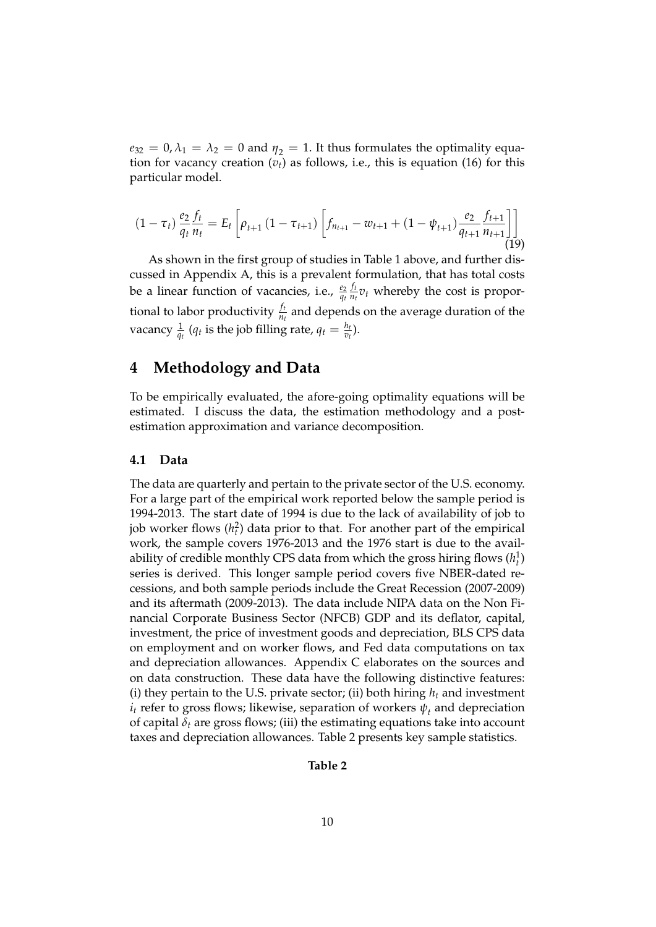$e_{32} = 0, \lambda_1 = \lambda_2 = 0$  and  $\eta_2 = 1$ . It thus formulates the optimality equation for vacancy creation  $(v_t)$  as follows, i.e., this is equation (16) for this particular model.

$$
(1 - \tau_t) \frac{e_2}{q_t} \frac{f_t}{n_t} = E_t \left[ \rho_{t+1} \left( 1 - \tau_{t+1} \right) \left[ f_{n_{t+1}} - w_{t+1} + (1 - \psi_{t+1}) \frac{e_2}{q_{t+1}} \frac{f_{t+1}}{n_{t+1}} \right] \right]
$$
(19)

As shown in the first group of studies in Table 1 above, and further discussed in Appendix A, this is a prevalent formulation, that has total costs be a linear function of vacancies, i.e.,  $\frac{e_2}{q_t}$ *ft*  $\frac{f}{n_t} v_t$  whereby the cost is proportional to labor productivity  $\frac{f_t}{n_t}$  and depends on the average duration of the vacancy  $\frac{1}{q_t}$  ( $q_t$  is the job filling rate,  $q_t = \frac{h_t}{v_t}$  $\frac{n_t}{v_t}$ ).

## **4 Methodology and Data**

To be empirically evaluated, the afore-going optimality equations will be estimated. I discuss the data, the estimation methodology and a postestimation approximation and variance decomposition.

#### **4.1 Data**

The data are quarterly and pertain to the private sector of the U.S. economy. For a large part of the empirical work reported below the sample period is 1994-2013. The start date of 1994 is due to the lack of availability of job to job worker flows  $(h_t^2)$  data prior to that. For another part of the empirical work, the sample covers 1976-2013 and the 1976 start is due to the availability of credible monthly CPS data from which the gross hiring flows  $(h_t^1)$ series is derived. This longer sample period covers five NBER-dated recessions, and both sample periods include the Great Recession (2007-2009) and its aftermath (2009-2013). The data include NIPA data on the Non Financial Corporate Business Sector (NFCB) GDP and its deflator, capital, investment, the price of investment goods and depreciation, BLS CPS data on employment and on worker flows, and Fed data computations on tax and depreciation allowances. Appendix C elaborates on the sources and on data construction. These data have the following distinctive features: (i) they pertain to the U.S. private sector; (ii) both hiring  $h_t$  and investment  $i_t$  refer to gross flows; likewise, separation of workers  $\psi_t$  and depreciation of capital  $\delta_t$  are gross flows; (iii) the estimating equations take into account taxes and depreciation allowances. Table 2 presents key sample statistics.

#### **Table 2**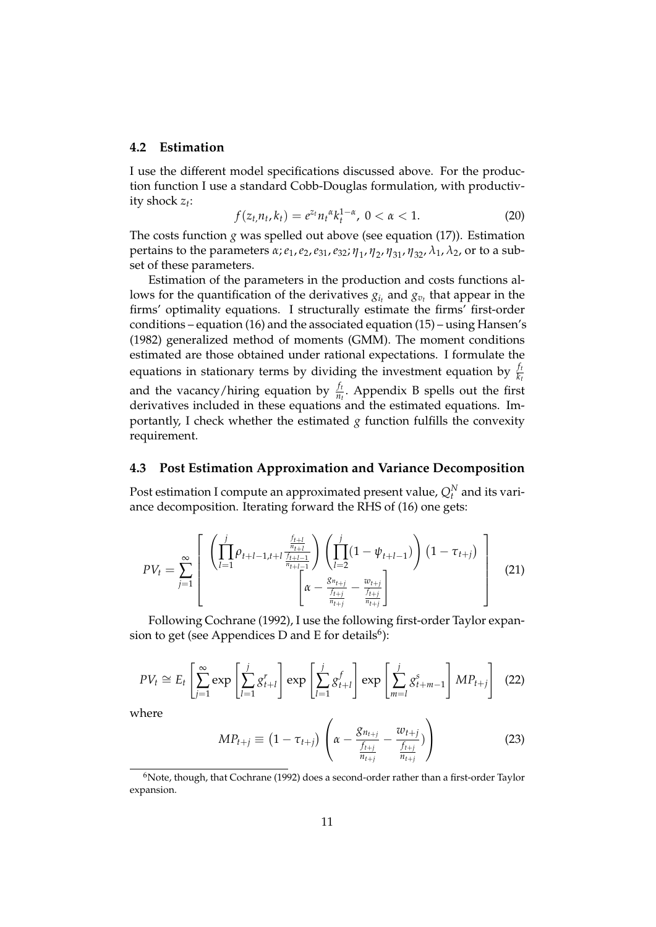#### **4.2 Estimation**

I use the different model specifications discussed above. For the production function I use a standard Cobb-Douglas formulation, with productivity shock *z<sup>t</sup>* :

$$
f(z_t, n_t, k_t) = e^{z_t} n_t^{\alpha} k_t^{1-\alpha}, \ 0 < \alpha < 1. \tag{20}
$$

The costs function *g* was spelled out above (see equation (17)). Estimation pertains to the parameters *α*;*e*1,*e*2,*e*31,*e*32; *η*<sup>1</sup> , *η*<sup>2</sup> , *η*31, *η*32, *λ*1, *λ*2, or to a subset of these parameters.

Estimation of the parameters in the production and costs functions allows for the quantification of the derivatives  $g_{i_t}$  and  $g_{v_t}$  that appear in the firms' optimality equations. I structurally estimate the firms' first-order conditions – equation (16) and the associated equation (15) – using Hansen's (1982) generalized method of moments (GMM). The moment conditions estimated are those obtained under rational expectations. I formulate the equations in stationary terms by dividing the investment equation by  $\frac{f_i}{k_i}$ and the vacancy/hiring equation by  $\frac{f_t}{n_t}$ . Appendix B spells out the first derivatives included in these equations and the estimated equations. Importantly, I check whether the estimated  $g$  function fulfills the convexity requirement.

## **4.3 Post Estimation Approximation and Variance Decomposition**

Post estimation I compute an approximated present value,  $Q_t^N$  and its variance decomposition. Iterating forward the RHS of (16) one gets:

$$
PV_{t} = \sum_{j=1}^{\infty} \left[ \begin{array}{c} \left( \prod_{l=1}^{j} \rho_{t+l-1,l+l} \frac{\frac{f_{t+l}}{n_{t+l}}}{\frac{n_{t+l-1}}{n_{t+l-1}}} \right) \left( \prod_{l=2}^{j} (1 - \psi_{t+l-1}) \right) (1 - \tau_{t+j}) \\ \left[ \alpha - \frac{g_{n_{t+j}}}{\frac{f_{t+j}}{n_{t+j}}} - \frac{w_{t+j}}{\frac{f_{t+j}}{n_{t+j}}} \right] \end{array} \right] \tag{21}
$$

Following Cochrane (1992), I use the following first-order Taylor expansion to get (see Appendices D and E for details<sup>6</sup>):

$$
PV_{t} \cong E_{t} \left[ \sum_{j=1}^{\infty} \exp \left[ \sum_{l=1}^{j} g_{t+l}^{r} \right] \exp \left[ \sum_{l=1}^{j} g_{t+l}^{f} \right] \exp \left[ \sum_{m=l}^{j} g_{t+m-1}^{s} \right] MP_{t+j} \right] (22)
$$

where

$$
MP_{t+j} \equiv (1 - \tau_{t+j}) \left( \alpha - \frac{g_{n_{t+j}}}{\frac{f_{t+j}}{n_{t+j}}} - \frac{w_{t+j}}{\frac{f_{t+j}}{n_{t+j}}} ) \right)
$$
(23)

 $6N$ ote, though, that Cochrane (1992) does a second-order rather than a first-order Taylor expansion.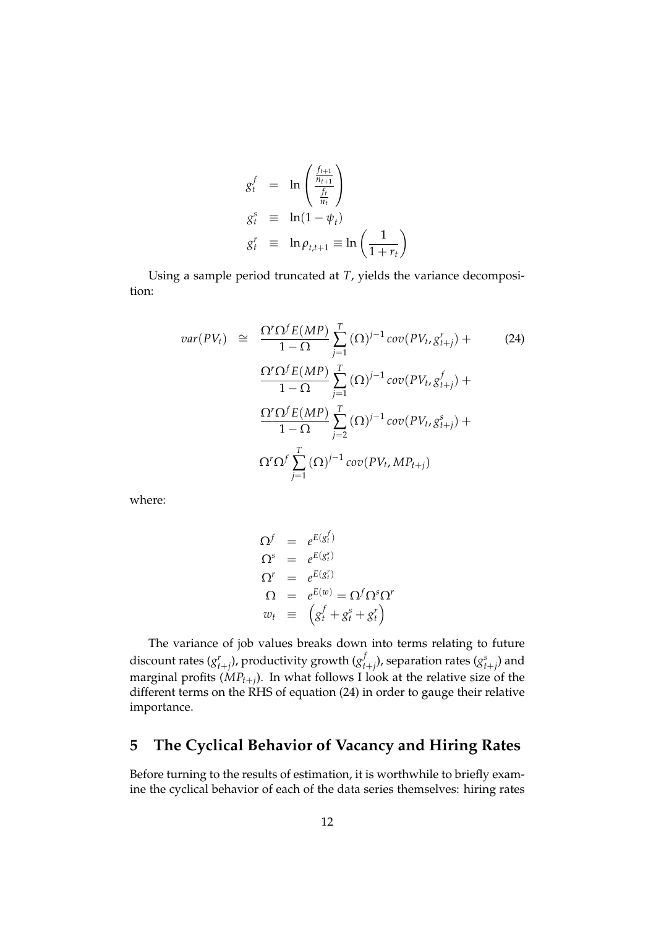$$
g_t^f = \ln\left(\frac{\frac{f_{t+1}}{n_{t+1}}}{\frac{f_t}{n_t}}\right)
$$
  
\n
$$
g_t^s \equiv \ln(1 - \psi_t)
$$
  
\n
$$
g_t^r \equiv \ln \rho_{t,t+1} \equiv \ln\left(\frac{1}{1 + r_t}\right)
$$

Using a sample period truncated at *T*, yields the variance decomposition:

$$
var(PV_t) \cong \frac{\Omega' \Omega^f E(MP)}{1 - \Omega} \sum_{j=1}^T (\Omega)^{j-1} cov(PV_t, g^r_{t+j}) +
$$
\n
$$
\frac{\Omega' \Omega^f E(MP)}{1 - \Omega} \sum_{j=1}^T (\Omega)^{j-1} cov(PV_t, g^f_{t+j}) +
$$
\n
$$
\frac{\Omega' \Omega^f E(MP)}{1 - \Omega} \sum_{j=2}^T (\Omega)^{j-1} cov(PV_t, g^s_{t+j}) +
$$
\n
$$
\Omega' \Omega^f \sum_{j=1}^T (\Omega)^{j-1} cov(PV_t, MP_{t+j})
$$
\n(24)

where:

$$
\Omega^f = e^{E(g_t^f)}
$$
\n
$$
\Omega^s = e^{E(g_t^s)}
$$
\n
$$
\Omega^r = e^{E(g_t^f)}
$$
\n
$$
\Omega = e^{E(w)} = \Omega^f \Omega^s \Omega^r
$$
\n
$$
w_t \equiv (g_t^f + g_t^s + g_t^r)
$$

The variance of job values breaks down into terms relating to future discount rates  $(g_{t+j}^r)$ , productivity growth  $(g_t^f)$  $\int_{t+j}^{f}$ ), separation rates  $(g_{t+j}^{s})$  and marginal profits (*MPt*+*<sup>j</sup>* ). In what follows I look at the relative size of the different terms on the RHS of equation (24) in order to gauge their relative importance.

## **5 The Cyclical Behavior of Vacancy and Hiring Rates**

Before turning to the results of estimation, it is worthwhile to briefly examine the cyclical behavior of each of the data series themselves: hiring rates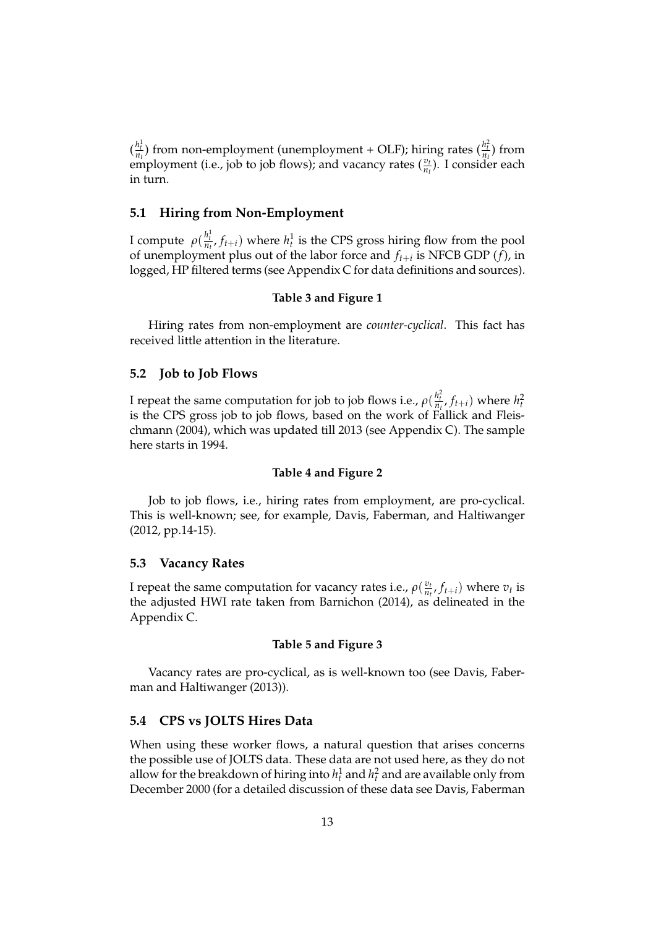$\left(\frac{h_i^1}{n_t}\right)$  from non-employment (unemployment + OLF); hiring rates  $\left(\frac{h_i^2}{n_t}\right)$  from employment (i.e., job to job flows); and vacancy rates  $(\frac{v_t}{n_t})$ . I consider each in turn.

#### **5.1 Hiring from Non-Employment**

I compute  $\rho(\frac{h_t^1}{n_t}, f_{t+i})$  where  $h_t^1$  is the CPS gross hiring flow from the pool of unemployment plus out of the labor force and *ft*+*<sup>i</sup>* is NFCB GDP (*f*), in logged, HP filtered terms (see Appendix C for data definitions and sources).

#### **Table 3 and Figure 1**

Hiring rates from non-employment are *counter-cyclical*. This fact has received little attention in the literature.

#### **5.2 Job to Job Flows**

I repeat the same computation for job to job flows i.e.,  $\rho(\frac{h_t^2}{n_t}, f_{t+i})$  where  $h_t^2$ is the CPS gross job to job flows, based on the work of Fallick and Fleischmann (2004), which was updated till 2013 (see Appendix C). The sample here starts in 1994.

#### **Table 4 and Figure 2**

Job to job flows, i.e., hiring rates from employment, are pro-cyclical. This is well-known; see, for example, Davis, Faberman, and Haltiwanger (2012, pp.14-15).

#### **5.3 Vacancy Rates**

I repeat the same computation for vacancy rates i.e.,  $\rho\left(\frac{v_i}{n}\right)$  $\frac{v_t}{n_t}$ ,  $f_{t+i}$ ) where  $v_t$  is the adjusted HWI rate taken from Barnichon (2014), as delineated in the Appendix C.

#### **Table 5 and Figure 3**

Vacancy rates are pro-cyclical, as is well-known too (see Davis, Faberman and Haltiwanger (2013)).

#### **5.4 CPS vs JOLTS Hires Data**

When using these worker flows, a natural question that arises concerns the possible use of JOLTS data. These data are not used here, as they do not allow for the breakdown of hiring into  $h_t^1$  and  $h_t^2$  and are available only from December 2000 (for a detailed discussion of these data see Davis, Faberman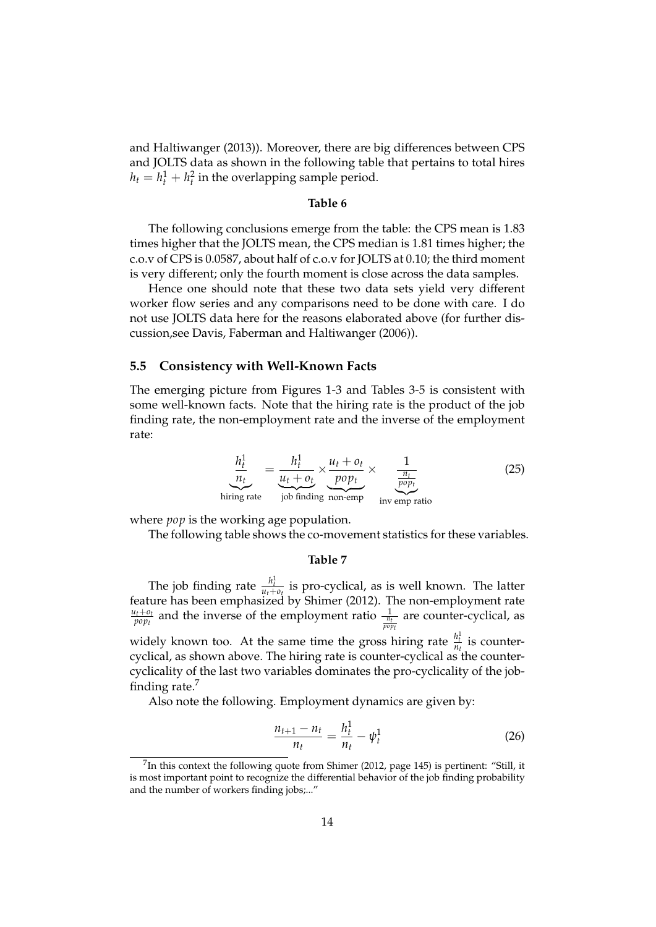and Haltiwanger (2013)). Moreover, there are big differences between CPS and JOLTS data as shown in the following table that pertains to total hires  $h_t = h_t^1 + h_t^2$  in the overlapping sample period.

#### **Table 6**

The following conclusions emerge from the table: the CPS mean is 1.83 times higher that the JOLTS mean, the CPS median is 1.81 times higher; the c.o.v of CPS is 0.0587, about half of c.o.v for JOLTS at 0.10; the third moment is very different; only the fourth moment is close across the data samples.

Hence one should note that these two data sets yield very different worker flow series and any comparisons need to be done with care. I do not use JOLTS data here for the reasons elaborated above (for further discussion,see Davis, Faberman and Haltiwanger (2006)).

#### **5.5 Consistency with Well-Known Facts**

The emerging picture from Figures 1-3 and Tables 3-5 is consistent with some well-known facts. Note that the hiring rate is the product of the job finding rate, the non-employment rate and the inverse of the employment rate:

$$
\underbrace{\frac{h_t^1}{n_t}}_{\text{ring rate}} = \underbrace{\frac{h_t^1}{u_t + o_t}}_{\text{job finding non-empty}} \times \underbrace{\frac{1}{\frac{n_t}{p o p_t}}}_{\text{inv emp ratio}} \tag{25}
$$

where *pop* is the working age population.

hi

The following table shows the co-movement statistics for these variables.

#### **Table 7**

The job finding rate  $\frac{h_t^1}{u_t + o_t}$  is pro-cyclical, as is well known. The latter feature has been emphasized by Shimer (2012). The non-employment rate  $u_t + o_t$  $\frac{d_t + o_t}{p_{opt}}$  and the inverse of the employment ratio  $\frac{1}{\frac{n_t}{p_{opt}}}$ are counter-cyclical, as widely known too. At the same time the gross hiring rate  $\frac{h_t^1}{n_t}$  is countercyclical, as shown above. The hiring rate is counter-cyclical as the countercyclicality of the last two variables dominates the pro-cyclicality of the jobfinding rate. $<sup>7</sup>$ </sup>

Also note the following. Employment dynamics are given by:

$$
\frac{n_{t+1} - n_t}{n_t} = \frac{h_t^1}{n_t} - \psi_t^1 \tag{26}
$$

<sup>&</sup>lt;sup>7</sup>In this context the following quote from Shimer (2012, page 145) is pertinent: "Still, it is most important point to recognize the differential behavior of the job finding probability and the number of workers finding jobs;..."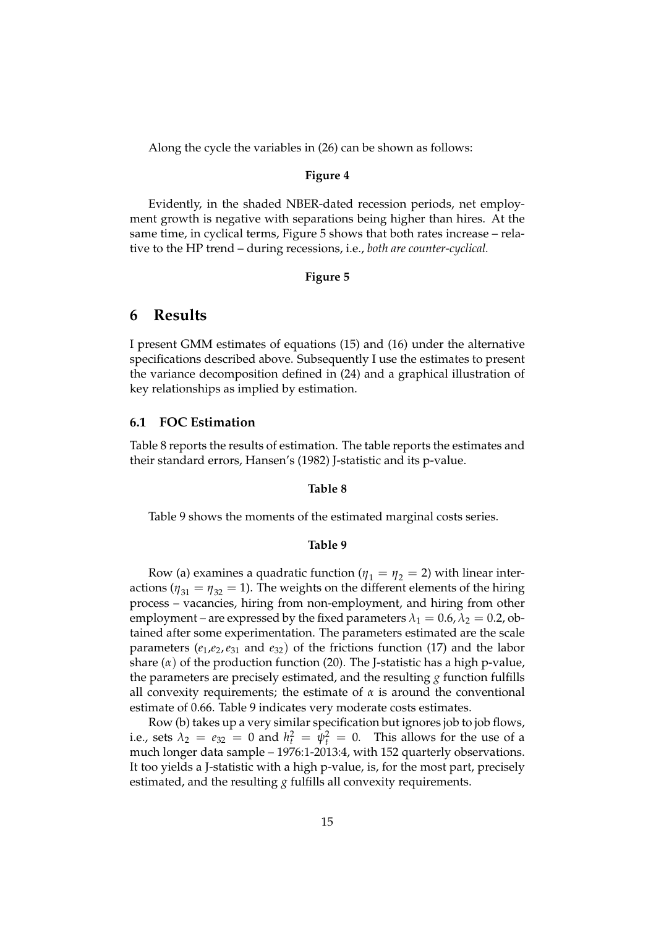Along the cycle the variables in (26) can be shown as follows:

#### **Figure 4**

Evidently, in the shaded NBER-dated recession periods, net employment growth is negative with separations being higher than hires. At the same time, in cyclical terms, Figure 5 shows that both rates increase – relative to the HP trend – during recessions, i.e., *both are counter-cyclical.*

#### **Figure 5**

## **6 Results**

I present GMM estimates of equations (15) and (16) under the alternative specifications described above. Subsequently I use the estimates to present the variance decomposition defined in (24) and a graphical illustration of key relationships as implied by estimation.

#### **6.1 FOC Estimation**

Table 8 reports the results of estimation. The table reports the estimates and their standard errors, Hansen's (1982) J-statistic and its p-value.

#### **Table 8**

Table 9 shows the moments of the estimated marginal costs series.

#### **Table 9**

Row (a) examines a quadratic function ( $\eta_1 = \eta_2 = 2$ ) with linear interactions ( $\eta_{31} = \eta_{32} = 1$ ). The weights on the different elements of the hiring process – vacancies, hiring from non-employment, and hiring from other employment – are expressed by the fixed parameters  $\lambda_1 = 0.6$ ,  $\lambda_2 = 0.2$ , obtained after some experimentation. The parameters estimated are the scale parameters  $(e_1,e_2,e_{31}$  and  $e_{32})$  of the frictions function (17) and the labor share (*α*) of the production function (20). The J-statistic has a high p-value, the parameters are precisely estimated, and the resulting *g* function fulfills all convexity requirements; the estimate of  $\alpha$  is around the conventional estimate of 0.66. Table 9 indicates very moderate costs estimates.

Row (b) takes up a very similar specification but ignores job to job flows, i.e., sets  $\lambda_2 = e_{32} = 0$  and  $h_t^2 = \psi_t^2 = 0$ . This allows for the use of a much longer data sample – 1976:1-2013:4, with 152 quarterly observations. It too yields a J-statistic with a high p-value, is, for the most part, precisely estimated, and the resulting *g* fulfills all convexity requirements.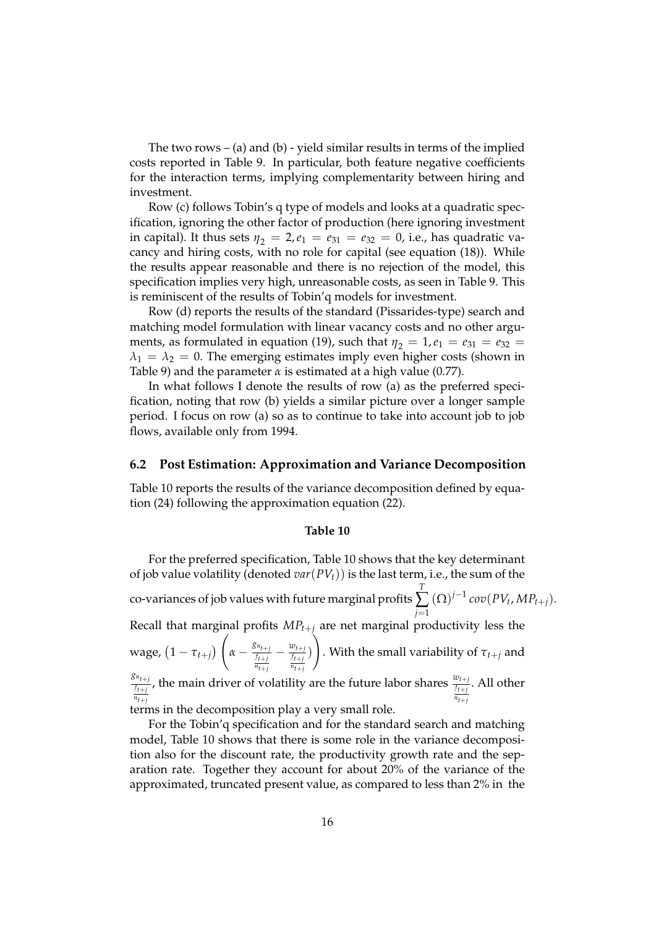The two rows – (a) and (b) - yield similar results in terms of the implied costs reported in Table 9. In particular, both feature negative coefficients for the interaction terms, implying complementarity between hiring and investment.

Row (c) follows Tobin's q type of models and looks at a quadratic specification, ignoring the other factor of production (here ignoring investment in capital). It thus sets  $\eta_2 = 2, e_1 = e_{31} = e_{32} = 0$ , i.e., has quadratic vacancy and hiring costs, with no role for capital (see equation (18)). While the results appear reasonable and there is no rejection of the model, this specification implies very high, unreasonable costs, as seen in Table 9. This is reminiscent of the results of Tobin'q models for investment.

Row (d) reports the results of the standard (Pissarides-type) search and matching model formulation with linear vacancy costs and no other arguments, as formulated in equation (19), such that  $\eta_2 = 1, e_1 = e_{31} = e_{32}$  $\lambda_1 = \lambda_2 = 0$ . The emerging estimates imply even higher costs (shown in Table 9) and the parameter *α* is estimated at a high value (0.77).

In what follows I denote the results of row (a) as the preferred specification, noting that row (b) yields a similar picture over a longer sample period. I focus on row (a) so as to continue to take into account job to job flows, available only from 1994.

#### **6.2 Post Estimation: Approximation and Variance Decomposition**

Table 10 reports the results of the variance decomposition defined by equation (24) following the approximation equation (22).

#### **Table 10**

For the preferred specification, Table 10 shows that the key determinant of job value volatility (denoted *var*(*PVt*)) is the last term, i.e., the sum of the co-variances of job values with future marginal profits *T* ∑ *j*=1  $(Q)^{j-1}$   $cov(PV_t, MP_{t+j}).$ Recall that marginal profits *MPt*+*<sup>j</sup>* are net marginal productivity less the  $\left(\begin{array}{cc} g_{n_{t+j}} & w_{t+j} \end{array}\right)$ 

wage, 
$$
(1 - \tau_{t+j}) \left( \alpha - \frac{8n_{t+j}}{\frac{f_{t+j}}{n_{t+j}}} - \frac{w_{t+j}}{\frac{f_{t+j}}{n_{t+j}}} \right)
$$
. With the small variability of  $\tau_{t+j}$  and  $\frac{8n_{t+j}}{n_{t+j}}$ 

 $\frac{g_{n_{t+j}}}{f_{t+j}}$ , the main driver of volatility are the future labor shares  $\frac{w_{t+j}}{\frac{f_{t+j}}{n_{t+j}}}$ . All other

terms in the decomposition play a very small role.

For the Tobin'q specification and for the standard search and matching model, Table 10 shows that there is some role in the variance decomposition also for the discount rate, the productivity growth rate and the separation rate. Together they account for about 20% of the variance of the approximated, truncated present value, as compared to less than 2% in the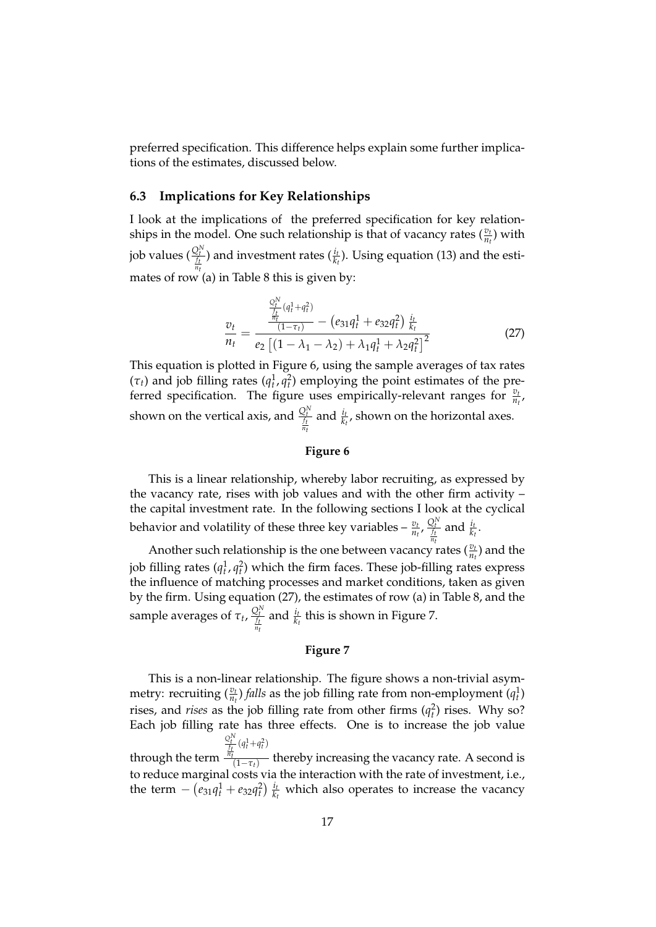preferred specification. This difference helps explain some further implications of the estimates, discussed below.

#### **6.3 Implications for Key Relationships**

I look at the implications of the preferred specification for key relationships in the model. One such relationship is that of vacancy rates  $(\frac{v_t}{n_t})$  with job values  $(\frac{Q_t^N}{\frac{f_t}{n_t}})$ ) and investment rates  $(\frac{i_t}{k_t})$ . Using equation (13) and the estimates of row (a) in Table 8 this is given by:

$$
\frac{v_t}{n_t} = \frac{\frac{Q_t^N}{n_t}(q_t^1 + q_t^2)}{e_2\left[(1 - \lambda_1 - \lambda_2) + \lambda_1 q_t^1 + \lambda_2 q_t^2\right]\frac{i_t}{k_t}} \tag{27}
$$

This equation is plotted in Figure 6, using the sample averages of tax rates  $(\tau_t)$  and job filling rates  $(q_t^1, q_t^2)$  employing the point estimates of the preferred specification. The figure uses empirically-relevant ranges for  $\frac{v_t}{n_t}$ , shown on the vertical axis, and  $\frac{Q_t^N}{f_t}$ and  $\frac{i_t}{k_t}$ , shown on the horizontal axes.

#### **Figure 6**

This is a linear relationship, whereby labor recruiting, as expressed by the vacancy rate, rises with job values and with the other firm activity – the capital investment rate. In the following sections I look at the cyclical behavior and volatility of these three key variables  $-\frac{v_t}{n_t}$ ,  $\frac{Q_t^N}{\frac{f_t}{n_t}}$ and  $\frac{i_t}{k_t}$ .

Another such relationship is the one between vacancy rates  $(\frac{v_t}{n_t})$  and the job filling rates  $(q_t^1, q_t^2)$  which the firm faces. These job-filling rates express the influence of matching processes and market conditions, taken as given by the firm. Using equation (27), the estimates of row (a) in Table 8, and the sample averages of  $\tau_t$ ,  $\frac{Q_t^N}{\frac{f_t}{n_t}}$ and  $\frac{i_t}{k_t}$  this is shown in Figure 7.

#### **Figure 7**

This is a non-linear relationship. The figure shows a non-trivial asymmetry: recruiting  $(\frac{v_t}{n_t})$  *falls* as the job filling rate from non-employment  $(q_t^1)$ rises, and *rises* as the job filling rate from other firms  $(q_t^2)$  rises. Why so? Each job filling rate has three effects. One is to increase the job value through the term  $Q_t^N$ <br>*f<sub>t</sub>*  $(q_t^1 + q_t^2)$ (1*τt*) thereby increasing the vacancy rate. A second is

to reduce marginal costs via the interaction with the rate of investment, i.e., the term  $- (e_{31}q_t^1 + e_{32}q_t^2) \frac{i_t}{k_t}$  $\frac{h_t}{k_t}$  which also operates to increase the vacancy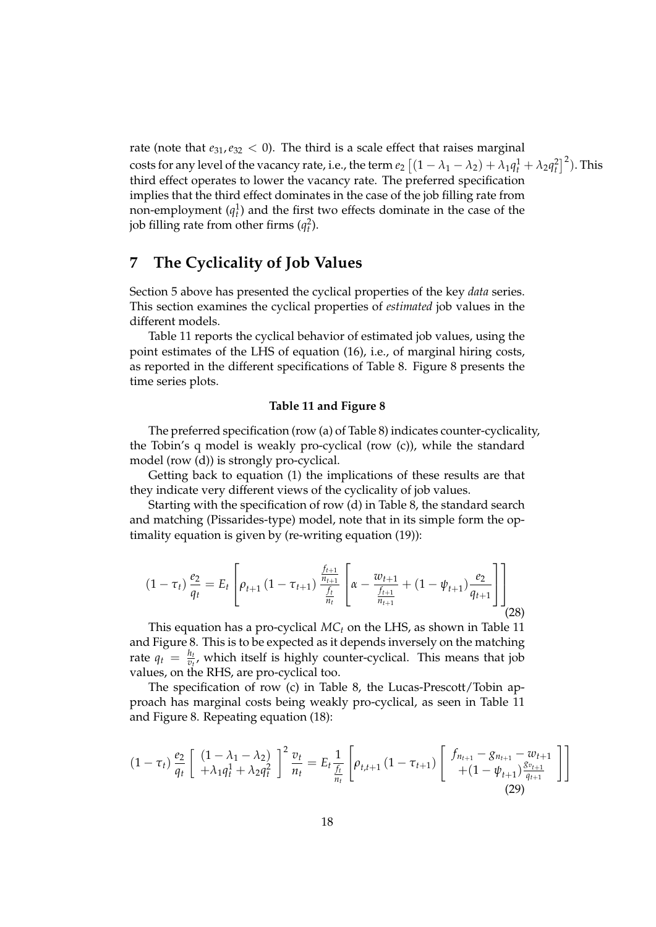rate (note that  $e_{31},e_{32} < 0$ ). The third is a scale effect that raises marginal costs for any level of the vacancy rate, i.e., the term  $e_2\left[(1-\lambda_1-\lambda_2)+\lambda_1q_t^1+\lambda_2q_t^2\right]^2$ . This third effect operates to lower the vacancy rate. The preferred specification implies that the third effect dominates in the case of the job filling rate from non-employment  $(q_t^1)$  and the first two effects dominate in the case of the job filling rate from other firms  $(q_t^2)$ .

## **7 The Cyclicality of Job Values**

Section 5 above has presented the cyclical properties of the key *data* series. This section examines the cyclical properties of *estimated* job values in the different models.

Table 11 reports the cyclical behavior of estimated job values, using the point estimates of the LHS of equation (16), i.e., of marginal hiring costs, as reported in the different specifications of Table 8. Figure 8 presents the time series plots.

#### **Table 11 and Figure 8**

The preferred specification (row (a) of Table 8) indicates counter-cyclicality, the Tobin's q model is weakly pro-cyclical (row (c)), while the standard model (row (d)) is strongly pro-cyclical.

Getting back to equation (1) the implications of these results are that they indicate very different views of the cyclicality of job values.

Starting with the specification of row (d) in Table 8, the standard search and matching (Pissarides-type) model, note that in its simple form the optimality equation is given by (re-writing equation (19)):

$$
(1 - \tau_t) \frac{e_2}{q_t} = E_t \left[ \rho_{t+1} \left( 1 - \tau_{t+1} \right) \frac{\frac{f_{t+1}}{n_{t+1}}}{\frac{f_t}{n_t}} \left[ \alpha - \frac{w_{t+1}}{\frac{f_{t+1}}{n_{t+1}}} + (1 - \psi_{t+1}) \frac{e_2}{q_{t+1}} \right] \right] \tag{28}
$$

This equation has a pro-cyclical *MC<sup>t</sup>* on the LHS, as shown in Table 11 and Figure 8. This is to be expected as it depends inversely on the matching rate  $q_t = \frac{h_t}{v_t}$  $\frac{n_t}{v_t}$ , which itself is highly counter-cyclical. This means that job values, on the RHS, are pro-cyclical too.

The specification of row (c) in Table 8, the Lucas-Prescott/Tobin approach has marginal costs being weakly pro-cyclical, as seen in Table 11 and Figure 8. Repeating equation (18):

$$
(1 - \tau_t) \frac{e_2}{q_t} \left[ \begin{array}{c} (1 - \lambda_1 - \lambda_2) \\ + \lambda_1 q_t^1 + \lambda_2 q_t^2 \end{array} \right]^2 \frac{v_t}{n_t} = E_t \frac{1}{\frac{f_t}{n_t}} \left[ \rho_{t, t+1} \left( 1 - \tau_{t+1} \right) \left[ \begin{array}{c} f_{n_{t+1}} - g_{n_{t+1}} - w_{t+1} \\ + (1 - \psi_{t+1}) \frac{g_{v_{t+1}}}{g_{t+1}} \end{array} \right] \right]
$$
\n(29)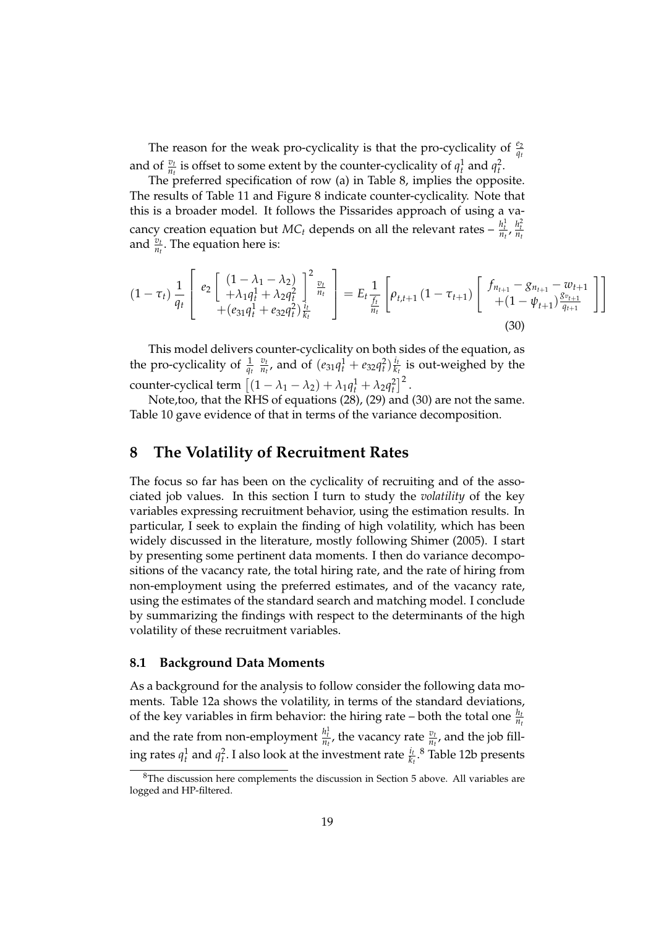The reason for the weak pro-cyclicality is that the pro-cyclicality of  $\frac{e_2}{q_t}$ and of  $\frac{v_t}{n_t}$  is offset to some extent by the counter-cyclicality of  $q_t^1$  and  $q_t^2$ .

The preferred specification of row (a) in Table 8, implies the opposite. The results of Table 11 and Figure 8 indicate counter-cyclicality. Note that this is a broader model. It follows the Pissarides approach of using a vacancy creation equation but  $MC_t$  depends on all the relevant rates  $-\frac{h_t^1}{n_t}$ ,  $\frac{h_t^2}{n_t}$ and  $\frac{v_t}{n_t}$ . The equation here is:

$$
(1 - \tau_t) \frac{1}{q_t} \begin{bmatrix} e_2 \begin{bmatrix} (1 - \lambda_1 - \lambda_2) \\ + \lambda_1 q_t^1 + \lambda_2 q_t^2 \end{bmatrix}_{\substack{t \ k}}^2 \end{bmatrix} = E_t \frac{1}{\frac{f_t}{n_t}} \begin{bmatrix} \rho_{t,t+1} (1 - \tau_{t+1}) \begin{bmatrix} f_{n_{t+1}} - g_{n_{t+1}} - w_{t+1} \\ + (1 - \psi_{t+1}) \frac{g_{v_{t+1}}}{q_{t+1}} \end{bmatrix} \end{bmatrix}
$$
\n
$$
(30)
$$

This model delivers counter-cyclicality on both sides of the equation, as the pro-cyclicality of  $\frac{1}{q_t}$ *vt*  $\frac{v_t}{n_t}$ , and of  $(e_{31}q_t^1 + e_{32}q_t^2)\frac{i_t}{k_t}$  $\frac{l_t}{k_t}$  is out-weighed by the counter-cyclical term  $\left[ (1 - \lambda_1 - \lambda_2) + \lambda_1 q_t^1 + \lambda_2 q_t^2 \right]^2$ .

Note,too, that the RHS of equations (28), (29) and (30) are not the same. Table 10 gave evidence of that in terms of the variance decomposition.

## **8 The Volatility of Recruitment Rates**

The focus so far has been on the cyclicality of recruiting and of the associated job values. In this section I turn to study the *volatility* of the key variables expressing recruitment behavior, using the estimation results. In particular, I seek to explain the finding of high volatility, which has been widely discussed in the literature, mostly following Shimer (2005). I start by presenting some pertinent data moments. I then do variance decompositions of the vacancy rate, the total hiring rate, and the rate of hiring from non-employment using the preferred estimates, and of the vacancy rate, using the estimates of the standard search and matching model. I conclude by summarizing the findings with respect to the determinants of the high volatility of these recruitment variables.

#### **8.1 Background Data Moments**

As a background for the analysis to follow consider the following data moments. Table 12a shows the volatility, in terms of the standard deviations, of the key variables in firm behavior: the hiring rate – both the total one  $\frac{h_i}{n_i}$ and the rate from non-employment  $\frac{h_t^1}{n_t}$ , the vacancy rate  $\frac{v_t}{n_t}$ , and the job filling rates  $q_t^1$  and  $q_t^2$ . I also look at the investment rate  $\frac{i_t}{k_t}$ .<sup>8</sup> Table 12b presents

<sup>8</sup>The discussion here complements the discussion in Section 5 above. All variables are logged and HP-filtered.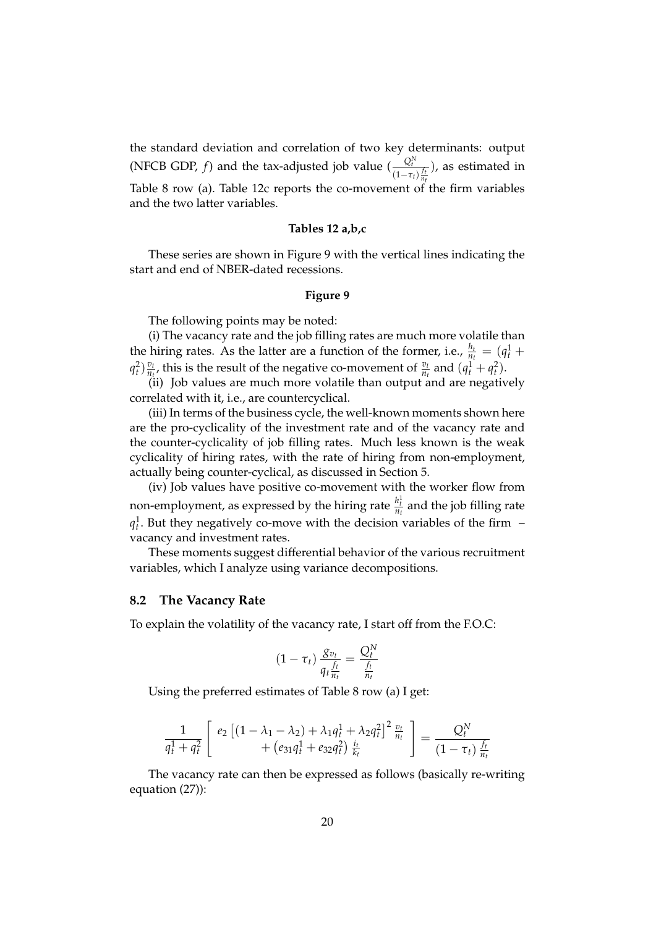the standard deviation and correlation of two key determinants: output (NFCB GDP, *f*) and the tax-adjusted job value ( $\frac{Q_t^N}{Q_t}$  $(1-\tau_t)\frac{f_t}{n_f}$ ), as estimated in Table 8 row (a). Table 12c reports the co-movement of the firm variables and the two latter variables.

#### **Tables 12 a,b,c**

These series are shown in Figure 9 with the vertical lines indicating the start and end of NBER-dated recessions.

#### **Figure 9**

The following points may be noted:

(i) The vacancy rate and the job filling rates are much more volatile than the hiring rates. As the latter are a function of the former, i.e.,  $\frac{h_t}{n_t} = (q_t^1 +$  $q_t^2$ )  $\frac{v_t}{n_t}$  $\frac{v_t}{n_t}$ , this is the result of the negative co-movement of  $\frac{v_t}{n_t}$  and  $(q_t^1 + q_t^2)$ .

(ii) Job values are much more volatile than output and are negatively correlated with it, i.e., are countercyclical.

(iii) In terms of the business cycle, the well-known moments shown here are the pro-cyclicality of the investment rate and of the vacancy rate and the counter-cyclicality of job filling rates. Much less known is the weak cyclicality of hiring rates, with the rate of hiring from non-employment, actually being counter-cyclical, as discussed in Section 5.

(iv) Job values have positive co-movement with the worker flow from non-employment, as expressed by the hiring rate  $\frac{h_t^1}{n_t}$  and the job filling rate  $q_t^1$ . But they negatively co-move with the decision variables of the firm – vacancy and investment rates.

These moments suggest differential behavior of the various recruitment variables, which I analyze using variance decompositions.

#### **8.2 The Vacancy Rate**

To explain the volatility of the vacancy rate, I start off from the F.O.C:

$$
(1-\tau_t)\frac{g_{v_t}}{q_t\frac{f_t}{n_t}}=\frac{Q_t^N}{\frac{f_t}{n_t}}
$$

Using the preferred estimates of Table 8 row (a) I get:

$$
\frac{1}{q_t^1 + q_t^2} \left[ \begin{array}{c} e_2 \left[ (1 - \lambda_1 - \lambda_2) + \lambda_1 q_t^1 + \lambda_2 q_t^2 \right]^2 \frac{v_t}{n_t} \\ + \left( e_{31} q_t^1 + e_{32} q_t^2 \right) \frac{i_t}{k_t} \end{array} \right] = \frac{Q_t^N}{(1 - \tau_t) \frac{f_t}{n_t}}
$$

The vacancy rate can then be expressed as follows (basically re-writing equation (27)):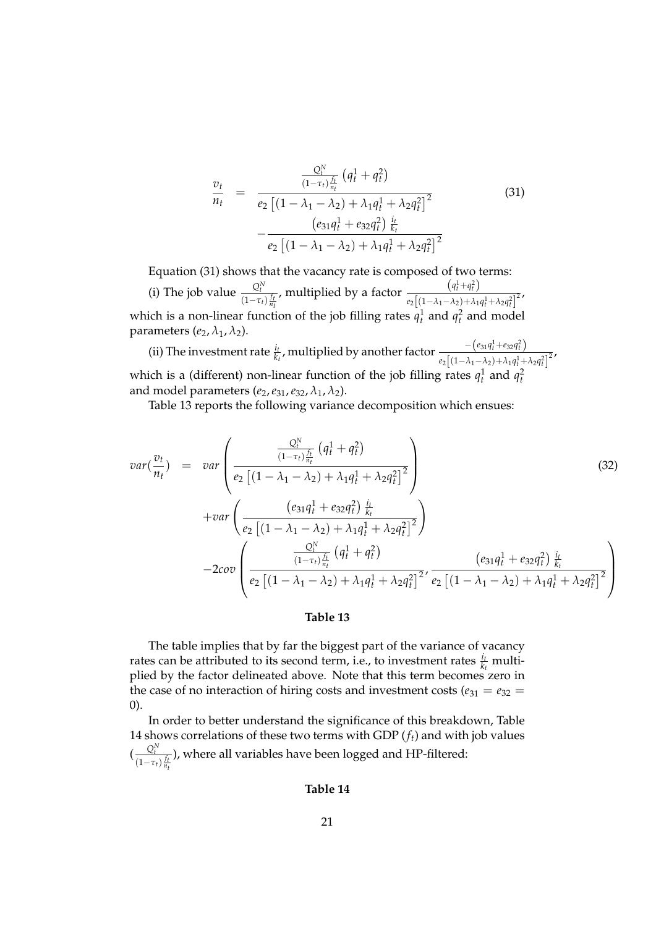$$
\frac{v_t}{n_t} = \frac{\frac{Q_t^N}{(1-\tau_t)\frac{f_t}{n_t}}(q_t^1 + q_t^2)}{e_2\left[(1-\lambda_1-\lambda_2)+\lambda_1q_t^1+\lambda_2q_t^2\right]^2} - \frac{\left(e_{31}q_t^1 + e_{32}q_t^2\right)\frac{i_t}{k_t}}{e_2\left[(1-\lambda_1-\lambda_2)+\lambda_1q_t^1+\lambda_2q_t^2\right]^2}
$$
\n(31)

Equation (31) shows that the vacancy rate is composed of two terms:

(i) The job value  $\frac{Q_t^N}{I_t}$  $(1-\tau_t)\frac{f_t}{n_t}$ , multiplied by a factor  $\frac{(q_t^1 + q_t^2)}{(q_t^1 + q_t^2)}$  $\frac{(4t+4t)}{e_2[(1-\lambda_1-\lambda_2)+\lambda_1q_t^1+\lambda_2q_t^2]^2}$ which is a non-linear function of the job filling rates  $q_t^1$  and  $q_t^2$  and model parameters  $(e_2, \lambda_1, \lambda_2)$ .

(ii) The investment rate  $\frac{i_t}{k_t}$ , multiplied by another factor  $\frac{-(e_{31}q_t^1+e_{32}q_t^2)}{e_2[(1-\lambda_1-\lambda_3)+\lambda_1q_t^1+q_t^2]}$  $e_2\left[\left(1-\lambda_1-\lambda_2\right)+\lambda_1q_t^1+\lambda_2q_t^2\right]^2$ which is a (different) non-linear function of the job filling rates  $q_t^1$  and  $q_t^2$ and model parameters  $(e_2, e_{31}, e_{32}, \lambda_1, \lambda_2)$ .

Table 13 reports the following variance decomposition which ensues:

$$
var(\frac{v_t}{n_t}) = var \left( \frac{\frac{Q_t^N}{(1 - \tau_t) \frac{f_t}{n_t}} (q_t^1 + q_t^2)}{e_2 \left[ (1 - \lambda_1 - \lambda_2) + \lambda_1 q_t^1 + \lambda_2 q_t^2 \right]^2} \right)
$$
\n
$$
+ var \left( \frac{(e_{31}q_t^1 + e_{32}q_t^2) \frac{i_t}{k_t}}{e_2 \left[ (1 - \lambda_1 - \lambda_2) + \lambda_1 q_t^1 + \lambda_2 q_t^2 \right]^2} \right)
$$
\n
$$
- 2cov \left( \frac{\frac{Q_t^N}{(1 - \tau_t) \frac{f_t}{n_t}} (q_t^1 + q_t^2)}{e_2 \left[ (1 - \lambda_1 - \lambda_2) + \lambda_1 q_t^1 + \lambda_2 q_t^2 \right]^2}, \frac{(e_{31}q_t^1 + e_{32}q_t^2) \frac{i_t}{k_t}}{e_2 \left[ (1 - \lambda_1 - \lambda_2) + \lambda_1 q_t^1 + \lambda_2 q_t^2 \right]^2} \right)
$$
\n
$$
(32)
$$

#### **Table 13**

The table implies that by far the biggest part of the variance of vacancy rates can be attributed to its second term, i.e., to investment rates  $\frac{i_t}{k_t}$  multiplied by the factor delineated above. Note that this term becomes zero in the case of no interaction of hiring costs and investment costs ( $e_{31} = e_{32}$ ) 0).

In order to better understand the significance of this breakdown, Table 14 shows correlations of these two terms with GDP (*ft*) and with job values  $\left(\frac{Q_t^N}{q\right)$  $(1-\tau_t)\frac{f_t}{n_t}$ ), where all variables have been logged and HP-filtered:

#### **Table 14**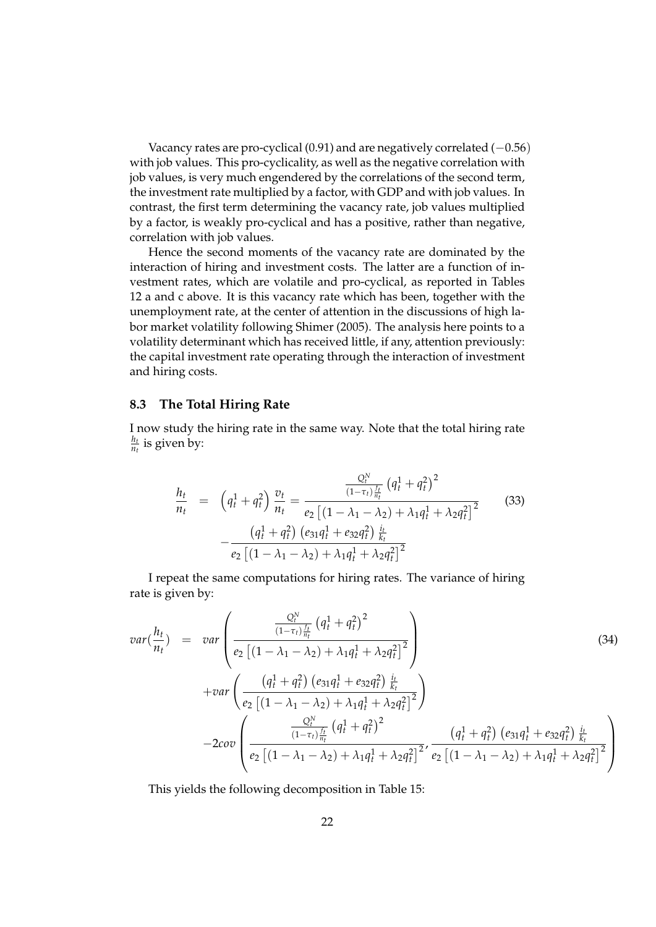Vacancy rates are pro-cyclical  $(0.91)$  and are negatively correlated  $(-0.56)$ with job values. This pro-cyclicality, as well as the negative correlation with job values, is very much engendered by the correlations of the second term, the investment rate multiplied by a factor, with GDP and with job values. In contrast, the first term determining the vacancy rate, job values multiplied by a factor, is weakly pro-cyclical and has a positive, rather than negative, correlation with job values.

Hence the second moments of the vacancy rate are dominated by the interaction of hiring and investment costs. The latter are a function of investment rates, which are volatile and pro-cyclical, as reported in Tables 12 a and c above. It is this vacancy rate which has been, together with the unemployment rate, at the center of attention in the discussions of high labor market volatility following Shimer (2005). The analysis here points to a volatility determinant which has received little, if any, attention previously: the capital investment rate operating through the interaction of investment and hiring costs.

#### **8.3 The Total Hiring Rate**

I now study the hiring rate in the same way. Note that the total hiring rate *ht*  $\frac{n_t}{n_t}$  is given by:

$$
\frac{h_t}{n_t} = \left(q_t^1 + q_t^2\right) \frac{v_t}{n_t} = \frac{\frac{Q_t^N}{(1 - \tau_t) \frac{f_t}{n_t}} \left(q_t^1 + q_t^2\right)^2}{e_2 \left[(1 - \lambda_1 - \lambda_2) + \lambda_1 q_t^1 + \lambda_2 q_t^2\right]^2} - \frac{\left(q_t^1 + q_t^2\right) \left(e_{31}q_t^1 + e_{32}q_t^2\right) \frac{i_t}{k_t}}{e_2 \left[(1 - \lambda_1 - \lambda_2) + \lambda_1 q_t^1 + \lambda_2 q_t^2\right]^2}
$$
\n(33)

I repeat the same computations for hiring rates. The variance of hiring rate is given by:

$$
var(\frac{h_t}{n_t}) = var\left(\frac{\frac{Q_t^N}{(1-\tau_t)\frac{f_t}{n_t}}(q_t^1 + q_t^2)^2}{e_2\left[(1-\lambda_1-\lambda_2)+\lambda_1q_t^1 + \lambda_2q_t^2\right]^2}\right)
$$
\n
$$
+ var\left(\frac{\left(q_t^1 + q_t^2\right)\left(e_{31}q_t^1 + e_{32}q_t^2\right)\frac{i_t}{k_t}}{e_2\left[(1-\lambda_1-\lambda_2)+\lambda_1q_t^1 + \lambda_2q_t^2\right]^2}\right)
$$
\n
$$
- 2cov\left(\frac{\frac{Q_t^N}{(1-\tau_t)\frac{f_t}{n_t}}(q_t^1 + q_t^2)^2}{e_2\left[(1-\lambda_1-\lambda_2)+\lambda_1q_t^1 + \lambda_2q_t^2\right]^2}, \frac{\left(q_t^1 + q_t^2\right)\left(e_{31}q_t^1 + e_{32}q_t^2\right)\frac{i_t}{k_t}}{e_2\left[(1-\lambda_1-\lambda_2)+\lambda_1q_t^1 + \lambda_2q_t^2\right]^2}\right)
$$
\n(34)

This yields the following decomposition in Table 15: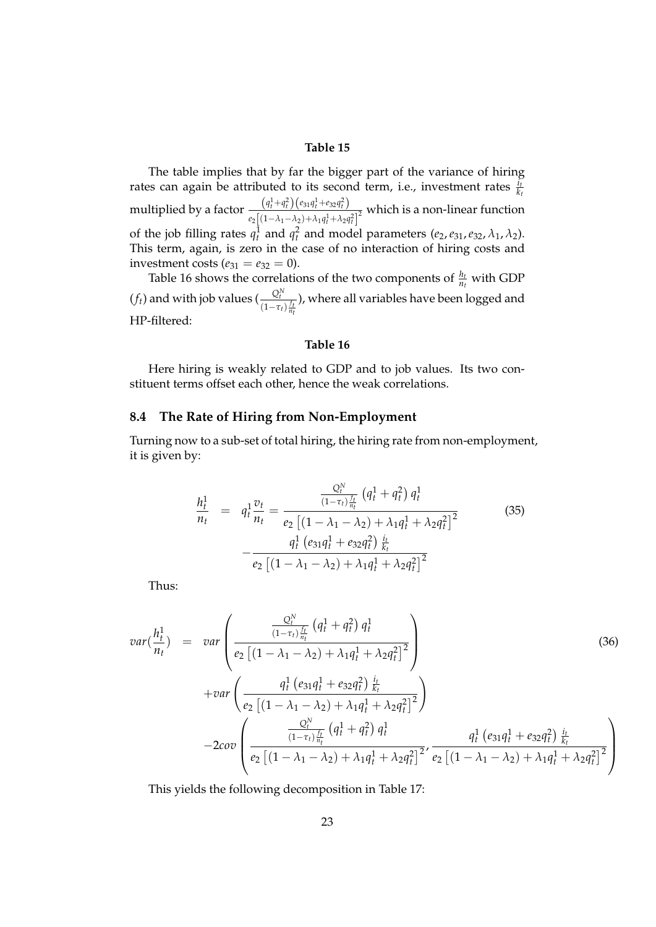#### **Table 15**

The table implies that by far the bigger part of the variance of hiring rates can again be attributed to its second term, i.e., investment rates  $\frac{i_{t}}{k_{t}}$ multiplied by a factor  $\frac{(q_1^1+q_1^2)(e_{31}q_1^1+e_{32}q_1^2)}{[(q_1^1+q_1^2)(e_{31}^1+e_{32}^1+e_{32}^2)]}$  $\frac{(n_1 + n_1)(3n_1 + 2n_2n_1)}{e_2[(1-\lambda_1-\lambda_2)+\lambda_1q_t^1+\lambda_2q_t^2]^2}$  which is a non-linear function of the job filling rates  $q_t^1$  and  $q_t^2$  and model parameters  $(e_2, e_{31}, e_{32}, \lambda_1, \lambda_2)$ . This term, again, is zero in the case of no interaction of hiring costs and investment costs ( $e_{31} = e_{32} = 0$ ).

Table 16 shows the correlations of the two components of  $\frac{h_t}{n_t}$  with GDP  $(f_t)$  and with job values  $\left(\frac{Q_t^N}{f_t}\right)$  $(1-\tau_t)\frac{f_t}{n_t}$ ), where all variables have been logged and HP-filtered:

#### **Table 16**

Here hiring is weakly related to GDP and to job values. Its two constituent terms offset each other, hence the weak correlations.

#### **8.4 The Rate of Hiring from Non-Employment**

Turning now to a sub-set of total hiring, the hiring rate from non-employment, it is given by:

$$
\frac{h_t^1}{n_t} = q_t^1 \frac{v_t}{n_t} = \frac{\frac{Q_t^N}{(1 - \tau_t) \frac{f_t}{n_t}} (q_t^1 + q_t^2) q_t^1}{e_2 \left[ (1 - \lambda_1 - \lambda_2) + \lambda_1 q_t^1 + \lambda_2 q_t^2 \right]^2} - \frac{q_t^1 (e_{31} q_t^1 + e_{32} q_t^2) \frac{i_t}{k_t}}{e_2 \left[ (1 - \lambda_1 - \lambda_2) + \lambda_1 q_t^1 + \lambda_2 q_t^2 \right]^2}
$$
\n(35)

Thus:

$$
var\left(\frac{h_t^1}{n_t}\right) = var\left(\frac{\frac{Q_t^N}{(1-\tau_t)\frac{f_t}{n_t}}\left(q_t^1 + q_t^2\right)q_t^1}{e_2\left[(1-\lambda_1-\lambda_2)+\lambda_1q_t^1 + \lambda_2q_t^2\right]^2}\right) \qquad (36)
$$
\n
$$
+ var\left(\frac{q_t^1\left(e_{31}q_t^1 + e_{32}q_t^2\right)\frac{i_t}{k_t}}{e_2\left[(1-\lambda_1-\lambda_2)+\lambda_1q_t^1 + \lambda_2q_t^2\right]^2}\right) \qquad (36)
$$
\n
$$
- 2cov\left(\frac{\frac{Q_t^N}{(1-\tau_t)\frac{f_t}{n_t}}\left(q_t^1 + q_t^2\right)q_t^1}{e_2\left[(1-\lambda_1-\lambda_2)+\lambda_1q_t^1 + \lambda_2q_t^2\right]^2}, \frac{q_t^1\left(e_{31}q_t^1 + e_{32}q_t^2\right)\frac{i_t}{k_t}}{e_2\left[(1-\lambda_1-\lambda_2)+\lambda_1q_t^1 + \lambda_2q_t^2\right]^2}\right)
$$

This yields the following decomposition in Table 17: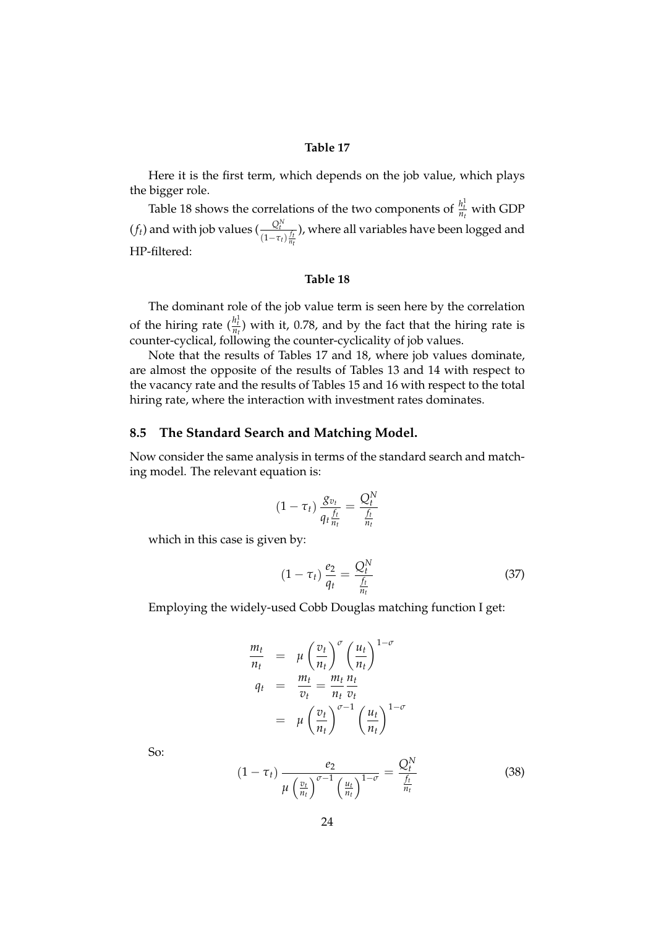#### **Table 17**

Here it is the first term, which depends on the job value, which plays the bigger role.

Table 18 shows the correlations of the two components of  $\frac{h_t^1}{n_t}$  with GDP  $(f_t)$  and with job values  $\left(\frac{Q_t^N}{f_t}\right)$  $(1-\tau_t)\frac{f_t}{n_t}$ ), where all variables have been logged and HP-filtered:

#### **Table 18**

The dominant role of the job value term is seen here by the correlation of the hiring rate  $\left(\frac{h_t^1}{n_t}\right)$  with it, 0.78, and by the fact that the hiring rate is counter-cyclical, following the counter-cyclicality of job values.

Note that the results of Tables 17 and 18, where job values dominate, are almost the opposite of the results of Tables 13 and 14 with respect to the vacancy rate and the results of Tables 15 and 16 with respect to the total hiring rate, where the interaction with investment rates dominates.

#### **8.5 The Standard Search and Matching Model.**

Now consider the same analysis in terms of the standard search and matching model. The relevant equation is:

$$
(1-\tau_t)\frac{g_{v_t}}{q_t\frac{f_t}{n_t}}=\frac{Q_t^N}{\frac{f_t}{n_t}}
$$

which in this case is given by:

$$
(1 - \tau_t) \frac{e_2}{q_t} = \frac{Q_t^N}{\frac{f_t}{n_t}}
$$
 (37)

Employing the widely-used Cobb Douglas matching function I get:

$$
\frac{m_t}{n_t} = \mu \left(\frac{v_t}{n_t}\right)^{\sigma} \left(\frac{u_t}{n_t}\right)^{1-\sigma}
$$
\n
$$
q_t = \frac{m_t}{v_t} = \frac{m_t}{n_t} \frac{n_t}{v_t}
$$
\n
$$
= \mu \left(\frac{v_t}{n_t}\right)^{\sigma-1} \left(\frac{u_t}{n_t}\right)^{1-\sigma}
$$

So:

$$
(1 - \tau_t) \frac{e_2}{\mu \left(\frac{v_t}{n_t}\right)^{\sigma - 1} \left(\frac{u_t}{n_t}\right)^{1 - \sigma}} = \frac{Q_t^N}{\frac{f_t}{n_t}}
$$
(38)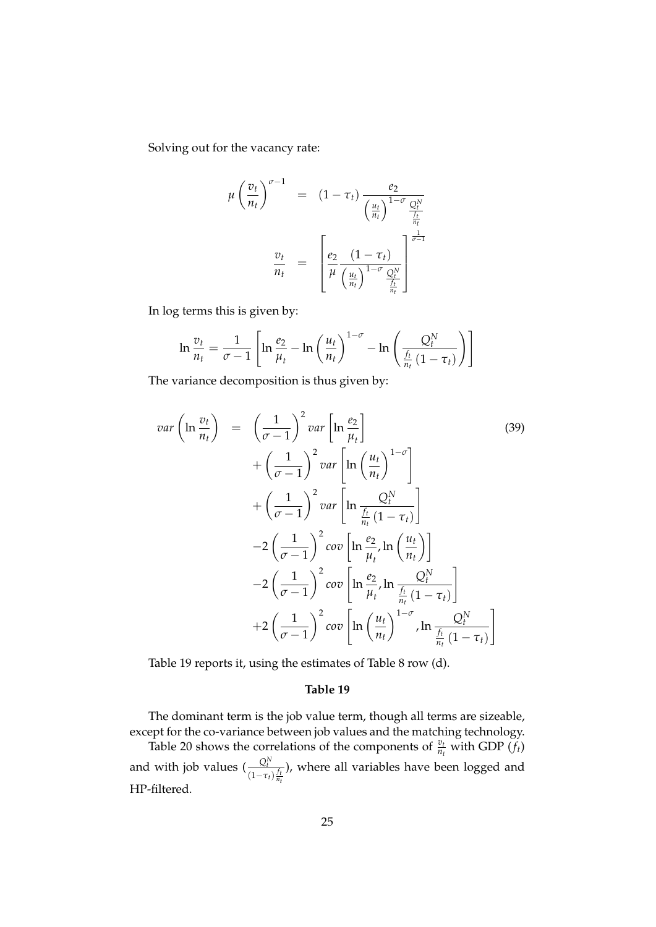Solving out for the vacancy rate:

$$
\mu \left(\frac{v_t}{n_t}\right)^{\sigma - 1} = (1 - \tau_t) \frac{e_2}{\left(\frac{u_t}{n_t}\right)^{1 - \sigma} \frac{Q_t^N}{\frac{f_t}{n_t}}}
$$

$$
\frac{v_t}{n_t} = \left[\frac{e_2}{\mu} \frac{(1 - \tau_t)}{\left(\frac{u_t}{n_t}\right)^{1 - \sigma} \frac{Q_t^N}{\frac{f_t}{n_t}}}\right]^{\frac{1}{\sigma - 1}}
$$

In log terms this is given by:

$$
\ln \frac{v_t}{n_t} = \frac{1}{\sigma - 1} \left[ \ln \frac{e_2}{\mu_t} - \ln \left( \frac{u_t}{n_t} \right)^{1 - \sigma} - \ln \left( \frac{Q_t^N}{\frac{f_t}{n_t} \left( 1 - \tau_t \right)} \right) \right]
$$

The variance decomposition is thus given by:

$$
var\left(\ln \frac{v_t}{n_t}\right) = \left(\frac{1}{\sigma - 1}\right)^2 var\left[\ln \frac{e_2}{\mu_t}\right]
$$
\n
$$
+ \left(\frac{1}{\sigma - 1}\right)^2 var\left[\ln \left(\frac{u_t}{n_t}\right)^{1-\sigma}\right]
$$
\n
$$
+ \left(\frac{1}{\sigma - 1}\right)^2 var\left[\ln \frac{Q_t^N}{\frac{f_t}{n_t}(1-\tau_t)}\right]
$$
\n
$$
-2\left(\frac{1}{\sigma - 1}\right)^2 cov\left[\ln \frac{e_2}{\mu_t}, \ln \left(\frac{u_t}{n_t}\right)\right]
$$
\n
$$
-2\left(\frac{1}{\sigma - 1}\right)^2 cov\left[\ln \frac{e_2}{\mu_t}, \ln \frac{Q_t^N}{\frac{f_t}{n_t}(1-\tau_t)}\right]
$$
\n
$$
+2\left(\frac{1}{\sigma - 1}\right)^2 cov\left[\ln \left(\frac{u_t}{n_t}\right)^{1-\sigma}, \ln \frac{Q_t^N}{\frac{f_t}{n_t}(1-\tau_t)}\right]
$$
\n(39)

Table 19 reports it, using the estimates of Table 8 row (d).

#### **Table 19**

The dominant term is the job value term, though all terms are sizeable, except for the co-variance between job values and the matching technology. Table 20 shows the correlations of the components of  $\frac{v_t}{n_t}$  with GDP  $(f_t)$ and with job values  $\left(\frac{Q_t^N}{\sigma_t^2}\right)$  $(1-\tau_t)\frac{f_t}{n_t}$ ), where all variables have been logged and HP-filtered.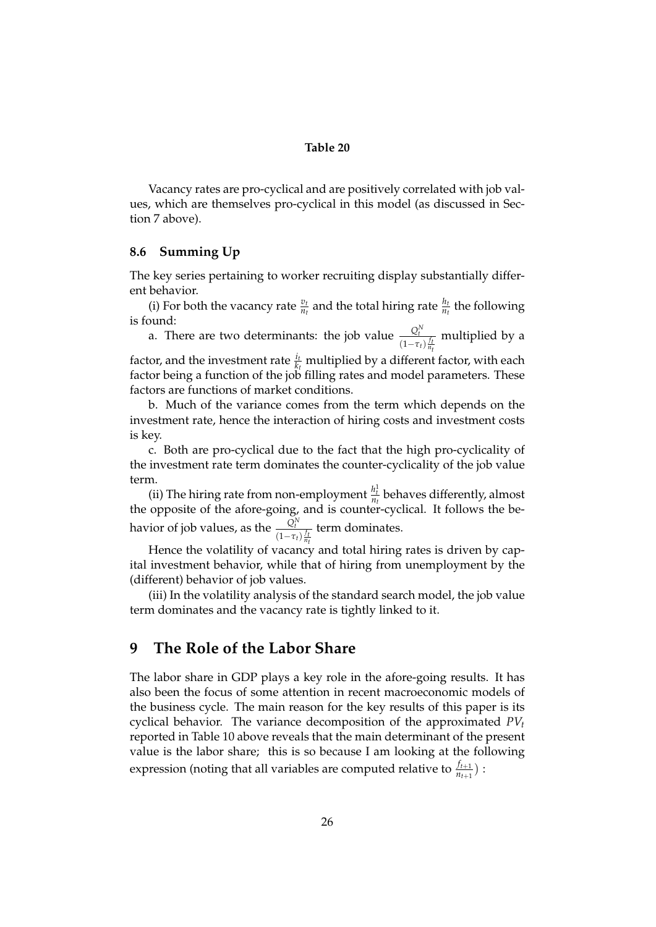#### **Table 20**

Vacancy rates are pro-cyclical and are positively correlated with job values, which are themselves pro-cyclical in this model (as discussed in Section 7 above).

#### **8.6 Summing Up**

The key series pertaining to worker recruiting display substantially different behavior.

(i) For both the vacancy rate  $\frac{v_t}{n_t}$  and the total hiring rate  $\frac{h_t}{n_t}$  the following is found:

a. There are two determinants: the job value  $\frac{Q_t^N}{I_t}$  $(1-\tau_t)\frac{f_t}{n_t}$ multiplied by a

factor, and the investment rate  $\frac{i_t}{k_t}$  multiplied by a different factor, with each factor being a function of the job filling rates and model parameters. These factors are functions of market conditions.

b. Much of the variance comes from the term which depends on the investment rate, hence the interaction of hiring costs and investment costs is key.

c. Both are pro-cyclical due to the fact that the high pro-cyclicality of the investment rate term dominates the counter-cyclicality of the job value term.

(ii) The hiring rate from non-employment  $\frac{h_t^1}{n_t}$  behaves differently, almost the opposite of the afore-going, and is counter-cyclical. It follows the behavior of job values, as the  $\frac{Q_t^N}{I_t}$  $(1-\tau_t)\frac{f_t}{n_t}$ term dominates.

Hence the volatility of vacancy and total hiring rates is driven by capital investment behavior, while that of hiring from unemployment by the (different) behavior of job values.

(iii) In the volatility analysis of the standard search model, the job value term dominates and the vacancy rate is tightly linked to it.

## **9 The Role of the Labor Share**

The labor share in GDP plays a key role in the afore-going results. It has also been the focus of some attention in recent macroeconomic models of the business cycle. The main reason for the key results of this paper is its cyclical behavior. The variance decomposition of the approximated *PV<sup>t</sup>* reported in Table 10 above reveals that the main determinant of the present value is the labor share; this is so because I am looking at the following expression (noting that all variables are computed relative to  $\frac{f_{t+1}}{n_{t+1}}$ ) :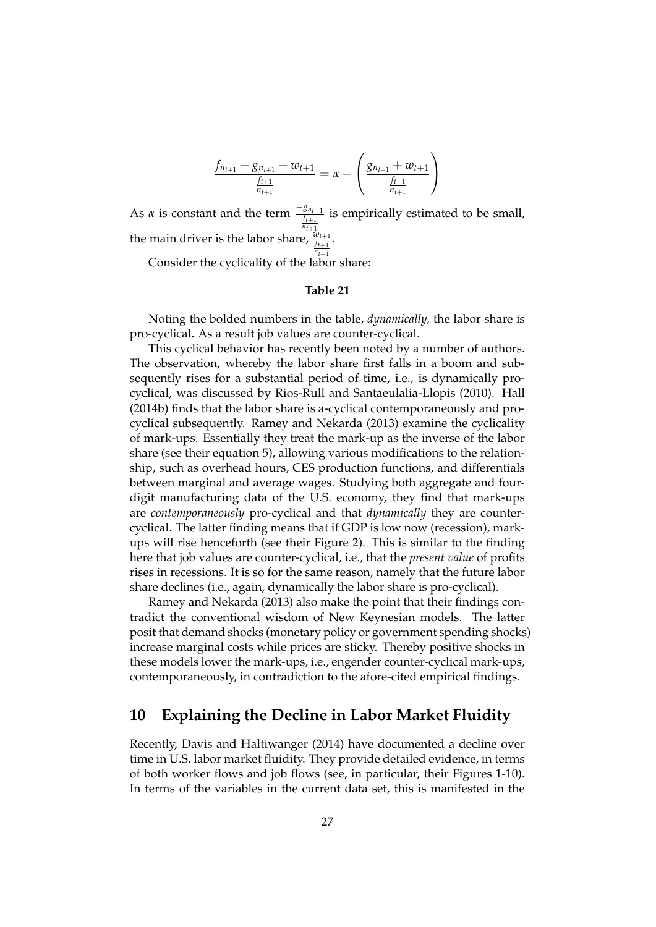$$
\frac{f_{n_{t+1}} - g_{n_{t+1}} - w_{t+1}}{\frac{f_{t+1}}{n_{t+1}}} = \alpha - \left(\frac{g_{n_{t+1}} + w_{t+1}}{\frac{f_{t+1}}{n_{t+1}}}\right)
$$

As *α* is constant and the term  $\frac{-g_{n_{t+1}}}{f_{t+1}}$  is empirically estimated to be small, the main driver is the labor share,  $\frac{w_{t+1}}{f_{t+1}}$ .  $n_{t+1}$ 

Consider the cyclicality of the labor share:

#### **Table 21**

Noting the bolded numbers in the table, *dynamically,* the labor share is pro-cyclical**.** As a result job values are counter-cyclical.

This cyclical behavior has recently been noted by a number of authors. The observation, whereby the labor share first falls in a boom and subsequently rises for a substantial period of time, i.e., is dynamically procyclical, was discussed by Rios-Rull and Santaeulalia-Llopis (2010). Hall (2014b) finds that the labor share is a-cyclical contemporaneously and procyclical subsequently. Ramey and Nekarda (2013) examine the cyclicality of mark-ups. Essentially they treat the mark-up as the inverse of the labor share (see their equation 5), allowing various modifications to the relationship, such as overhead hours, CES production functions, and differentials between marginal and average wages. Studying both aggregate and fourdigit manufacturing data of the U.S. economy, they find that mark-ups are *contemporaneously* pro-cyclical and that *dynamically* they are countercyclical. The latter finding means that if GDP is low now (recession), markups will rise henceforth (see their Figure 2). This is similar to the finding here that job values are counter-cyclical, i.e., that the *present value* of profits rises in recessions. It is so for the same reason, namely that the future labor share declines (i.e., again, dynamically the labor share is pro-cyclical).

Ramey and Nekarda (2013) also make the point that their findings contradict the conventional wisdom of New Keynesian models. The latter posit that demand shocks (monetary policy or government spending shocks) increase marginal costs while prices are sticky. Thereby positive shocks in these models lower the mark-ups, i.e., engender counter-cyclical mark-ups, contemporaneously, in contradiction to the afore-cited empirical findings.

## **10 Explaining the Decline in Labor Market Fluidity**

Recently, Davis and Haltiwanger (2014) have documented a decline over time in U.S. labor market fluidity. They provide detailed evidence, in terms of both worker flows and job flows (see, in particular, their Figures 1-10). In terms of the variables in the current data set, this is manifested in the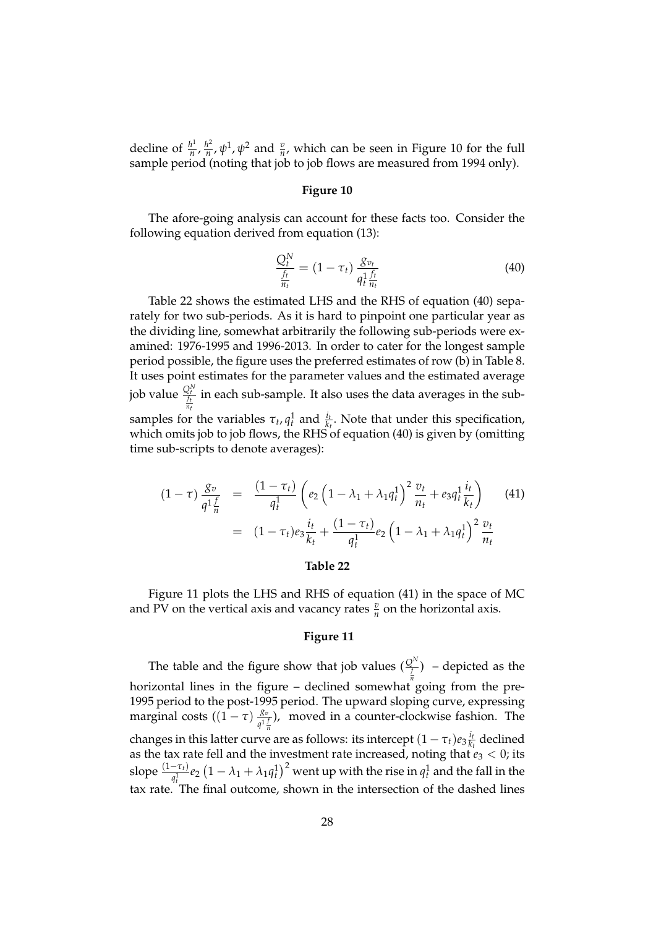decline of  $\frac{h^1}{n}$  $\frac{h^1}{n}$ ,  $\frac{h^2}{n}$  $\frac{h^2}{n}$ ,  $\psi^1$ ,  $\psi^2$  and  $\frac{v}{n}$ , which can be seen in Figure 10 for the full sample period (noting that job to job flows are measured from 1994 only).

#### **Figure 10**

The afore-going analysis can account for these facts too. Consider the following equation derived from equation (13):

$$
\frac{Q_t^N}{\frac{f_t}{n_t}} = (1 - \tau_t) \frac{g_{v_t}}{q_t^1 \frac{f_t}{n_t}}
$$
\n(40)

Table 22 shows the estimated LHS and the RHS of equation (40) separately for two sub-periods. As it is hard to pinpoint one particular year as the dividing line, somewhat arbitrarily the following sub-periods were examined: 1976-1995 and 1996-2013. In order to cater for the longest sample period possible, the figure uses the preferred estimates of row (b) in Table 8. It uses point estimates for the parameter values and the estimated average job value  $\frac{Q_t^N}{\frac{f_t}{n_t}}$ in each sub-sample. It also uses the data averages in the subsamples for the variables  $\tau_t$ ,  $q_t^1$  and  $\frac{i_t}{k_t}$ . Note that under this specification, which omits job to job flows, the RHS of equation (40) is given by (omitting time sub-scripts to denote averages):

$$
(1 - \tau) \frac{g_v}{q^1 \frac{f}{n}} = \frac{(1 - \tau_t)}{q_t^1} \left( e_2 \left( 1 - \lambda_1 + \lambda_1 q_t^1 \right)^2 \frac{v_t}{n_t} + e_3 q_t^1 \frac{i_t}{k_t} \right) \tag{41}
$$

$$
= (1 - \tau_t) e_3 \frac{i_t}{k_t} + \frac{(1 - \tau_t)}{q_t^1} e_2 \left( 1 - \lambda_1 + \lambda_1 q_t^1 \right)^2 \frac{v_t}{n_t}
$$

#### **Table 22**

Figure 11 plots the LHS and RHS of equation (41) in the space of MC and PV on the vertical axis and vacancy rates  $\frac{v}{n}$  on the horizontal axis.

#### **Figure 11**

The table and the figure show that job values  $(\frac{Q^N}{f})$  – depicted as the horizontal lines in the figure – declined somewhat<sup>"</sup> going from the pre-1995 period to the post-1995 period. The upward sloping curve, expressing marginal costs  $((1 - \tau) \frac{g_v}{g_1})$  $\frac{g_v}{q^1 \frac{f}{n}}$ ), moved in a counter-clockwise fashion. The changes in this latter curve are as follows: its intercept  $(1 - \tau_t)e_3\frac{i_t}{k_t}$  declined as the tax rate fell and the investment rate increased, noting that  $e_3 < 0$ ; its slope  $\frac{(1-\tau_t)}{q_t^1}e_2(1-\lambda_1+\lambda_1q_t^1)^2$  went up with the rise in  $q_t^1$  and the fall in the tax rate. The final outcome, shown in the intersection of the dashed lines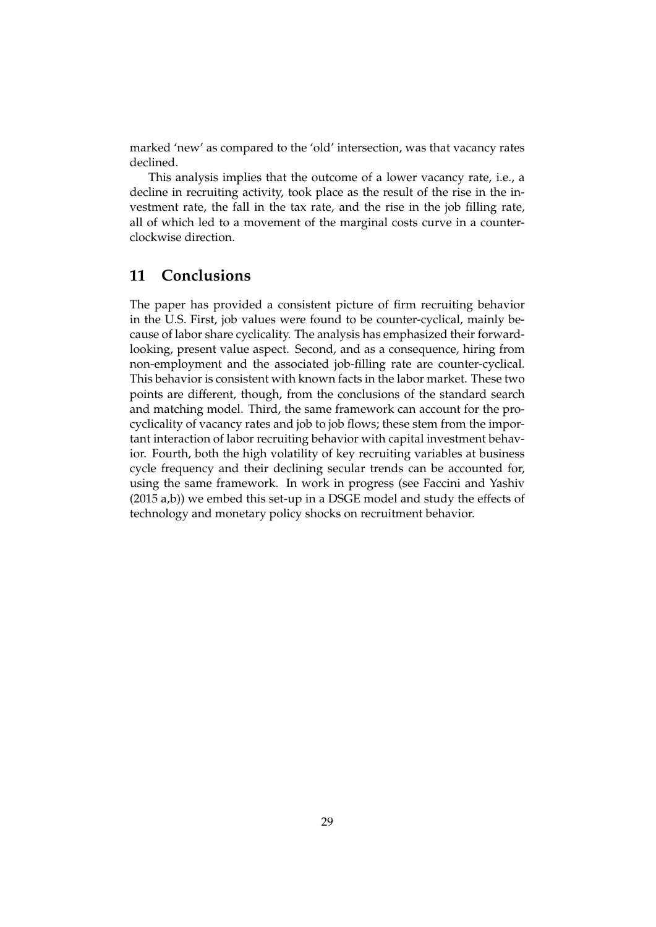marked 'new' as compared to the 'old' intersection, was that vacancy rates declined.

This analysis implies that the outcome of a lower vacancy rate, i.e., a decline in recruiting activity, took place as the result of the rise in the investment rate, the fall in the tax rate, and the rise in the job filling rate, all of which led to a movement of the marginal costs curve in a counterclockwise direction.

## **11 Conclusions**

The paper has provided a consistent picture of firm recruiting behavior in the U.S. First, job values were found to be counter-cyclical, mainly because of labor share cyclicality. The analysis has emphasized their forwardlooking, present value aspect. Second, and as a consequence, hiring from non-employment and the associated job-filling rate are counter-cyclical. This behavior is consistent with known facts in the labor market. These two points are different, though, from the conclusions of the standard search and matching model. Third, the same framework can account for the procyclicality of vacancy rates and job to job flows; these stem from the important interaction of labor recruiting behavior with capital investment behavior. Fourth, both the high volatility of key recruiting variables at business cycle frequency and their declining secular trends can be accounted for, using the same framework. In work in progress (see Faccini and Yashiv (2015 a,b)) we embed this set-up in a DSGE model and study the effects of technology and monetary policy shocks on recruitment behavior.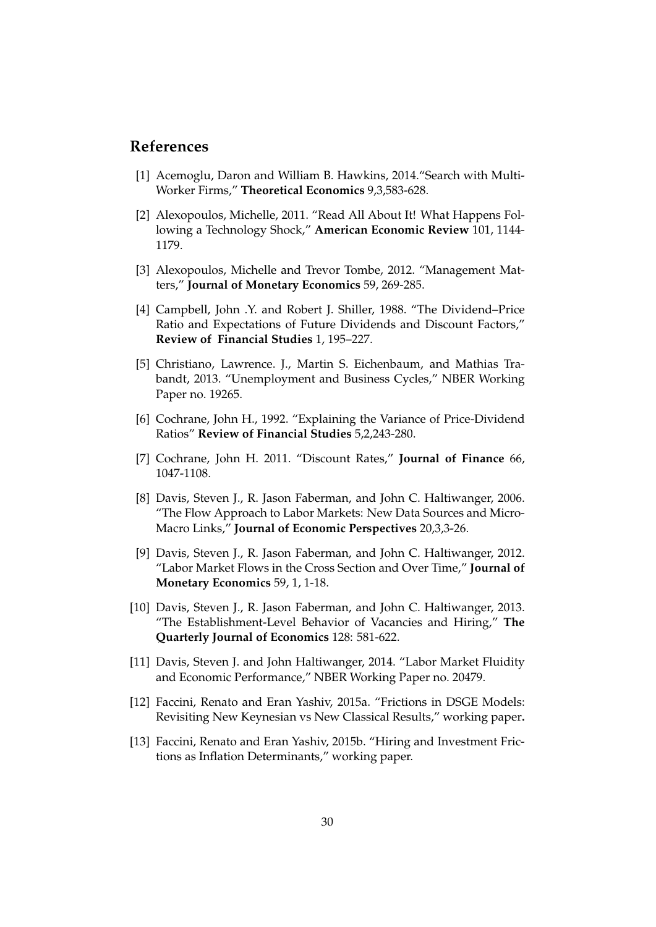## **References**

- [1] Acemoglu, Daron and William B. Hawkins, 2014."Search with Multi-Worker Firms," **Theoretical Economics** 9,3,583-628.
- [2] Alexopoulos, Michelle, 2011. "Read All About It! What Happens Following a Technology Shock," **American Economic Review** 101, 1144- 1179.
- [3] Alexopoulos, Michelle and Trevor Tombe, 2012. "Management Matters," **Journal of Monetary Economics** 59, 269-285.
- [4] Campbell, John .Y. and Robert J. Shiller, 1988. "The Dividend–Price Ratio and Expectations of Future Dividends and Discount Factors," **Review of Financial Studies** 1, 195–227.
- [5] Christiano, Lawrence. J., Martin S. Eichenbaum, and Mathias Trabandt, 2013. "Unemployment and Business Cycles," NBER Working Paper no. 19265.
- [6] Cochrane, John H., 1992. "Explaining the Variance of Price-Dividend Ratios" **Review of Financial Studies** 5,2,243-280.
- [7] Cochrane, John H. 2011. "Discount Rates," **Journal of Finance** 66, 1047-1108.
- [8] Davis, Steven J., R. Jason Faberman, and John C. Haltiwanger, 2006. "The Flow Approach to Labor Markets: New Data Sources and Micro-Macro Links," **Journal of Economic Perspectives** 20,3,3-26.
- [9] Davis, Steven J., R. Jason Faberman, and John C. Haltiwanger, 2012. "Labor Market Flows in the Cross Section and Over Time," **Journal of Monetary Economics** 59, 1, 1-18.
- [10] Davis, Steven J., R. Jason Faberman, and John C. Haltiwanger, 2013. "The Establishment-Level Behavior of Vacancies and Hiring," **The Quarterly Journal of Economics** 128: 581-622.
- [11] Davis, Steven J. and John Haltiwanger, 2014. "Labor Market Fluidity and Economic Performance," NBER Working Paper no. 20479.
- [12] Faccini, Renato and Eran Yashiv, 2015a. "Frictions in DSGE Models: Revisiting New Keynesian vs New Classical Results," working paper**.**
- [13] Faccini, Renato and Eran Yashiv, 2015b. "Hiring and Investment Frictions as Inflation Determinants," working paper.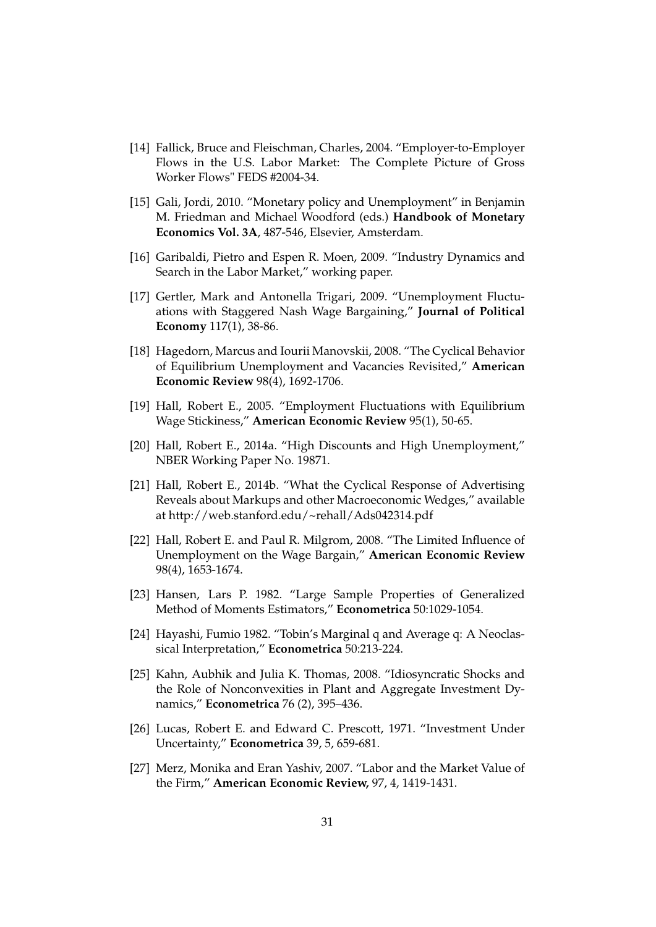- [14] Fallick, Bruce and Fleischman, Charles, 2004. "Employer-to-Employer Flows in the U.S. Labor Market: The Complete Picture of Gross Worker Flows" FEDS #2004-34.
- [15] Gali, Jordi, 2010. "Monetary policy and Unemployment" in Benjamin M. Friedman and Michael Woodford (eds.) **Handbook of Monetary Economics Vol. 3A**, 487-546, Elsevier, Amsterdam.
- [16] Garibaldi, Pietro and Espen R. Moen, 2009. "Industry Dynamics and Search in the Labor Market," working paper.
- [17] Gertler, Mark and Antonella Trigari, 2009. "Unemployment Fluctuations with Staggered Nash Wage Bargaining," **Journal of Political Economy** 117(1), 38-86.
- [18] Hagedorn, Marcus and Iourii Manovskii, 2008. "The Cyclical Behavior of Equilibrium Unemployment and Vacancies Revisited," **American Economic Review** 98(4), 1692-1706.
- [19] Hall, Robert E., 2005. "Employment Fluctuations with Equilibrium Wage Stickiness," **American Economic Review** 95(1), 50-65.
- [20] Hall, Robert E., 2014a. "High Discounts and High Unemployment," NBER Working Paper No. 19871.
- [21] Hall, Robert E., 2014b. "What the Cyclical Response of Advertising Reveals about Markups and other Macroeconomic Wedges," available at http://web.stanford.edu/~rehall/Ads042314.pdf
- [22] Hall, Robert E. and Paul R. Milgrom, 2008. "The Limited Influence of Unemployment on the Wage Bargain," **American Economic Review** 98(4), 1653-1674.
- [23] Hansen, Lars P. 1982. "Large Sample Properties of Generalized Method of Moments Estimators," **Econometrica** 50:1029-1054.
- [24] Hayashi, Fumio 1982. "Tobin's Marginal q and Average q: A Neoclassical Interpretation," **Econometrica** 50:213-224.
- [25] Kahn, Aubhik and Julia K. Thomas, 2008. "Idiosyncratic Shocks and the Role of Nonconvexities in Plant and Aggregate Investment Dynamics," **Econometrica** 76 (2), 395–436.
- [26] Lucas, Robert E. and Edward C. Prescott, 1971. "Investment Under Uncertainty," **Econometrica** 39, 5, 659-681.
- [27] Merz, Monika and Eran Yashiv, 2007. "Labor and the Market Value of the Firm," **American Economic Review,** 97, 4, 1419-1431.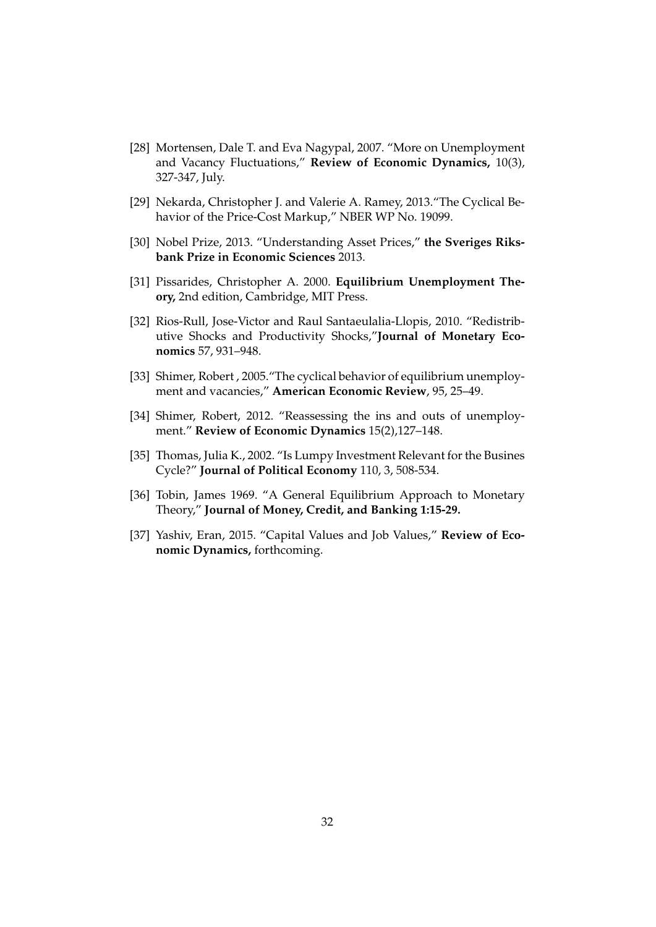- [28] Mortensen, Dale T. and Eva Nagypal, 2007. "More on Unemployment and Vacancy Fluctuations," **Review of Economic Dynamics,** 10(3), 327-347, July.
- [29] Nekarda, Christopher J. and Valerie A. Ramey, 2013. "The Cyclical Behavior of the Price-Cost Markup," NBER WP No. 19099.
- [30] Nobel Prize, 2013. "Understanding Asset Prices," **the Sveriges Riksbank Prize in Economic Sciences** 2013.
- [31] Pissarides, Christopher A. 2000. **Equilibrium Unemployment Theory,** 2nd edition, Cambridge, MIT Press.
- [32] Rios-Rull, Jose-Victor and Raul Santaeulalia-Llopis, 2010. "Redistributive Shocks and Productivity Shocks,"**Journal of Monetary Economics** 57, 931–948.
- [33] Shimer, Robert, 2005. "The cyclical behavior of equilibrium unemployment and vacancies," **American Economic Review**, 95, 25–49.
- [34] Shimer, Robert, 2012. "Reassessing the ins and outs of unemployment." **Review of Economic Dynamics** 15(2),127–148.
- [35] Thomas, Julia K., 2002. "Is Lumpy Investment Relevant for the Busines Cycle?" **Journal of Political Economy** 110, 3, 508-534.
- [36] Tobin, James 1969. "A General Equilibrium Approach to Monetary Theory," **Journal of Money, Credit, and Banking 1:15-29.**
- [37] Yashiv, Eran, 2015. "Capital Values and Job Values," **Review of Economic Dynamics,** forthcoming.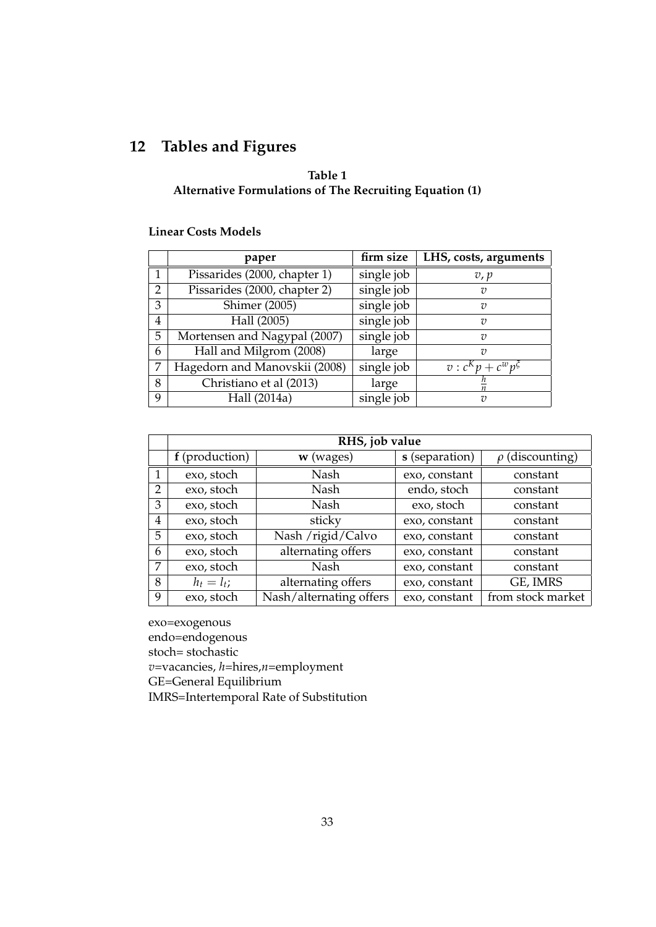## **12 Tables and Figures**

## **Table 1 Alternative Formulations of The Recruiting Equation (1)**

#### **Linear Costs Models**

|   | paper                         | firm size  | LHS, costs, arguments         |
|---|-------------------------------|------------|-------------------------------|
|   | Pissarides (2000, chapter 1)  | single job | v, p                          |
| 2 | Pissarides (2000, chapter 2)  | single job | υ                             |
| 3 | <b>Shimer</b> (2005)          | single job | v                             |
| 4 | Hall (2005)                   | single job | v                             |
| 5 | Mortensen and Nagypal (2007)  | single job | $\overline{v}$                |
| 6 | Hall and Milgrom (2008)       | large      | 7 <sub>7</sub>                |
| 7 | Hagedorn and Manovskii (2008) | single job | $v : c^{K} p + c^{w} p^{\xi}$ |
| 8 | Christiano et al (2013)       | large      |                               |
| 9 | Hall (2014a)                  | single job | $\overline{v}$                |

|   | RHS, job value |                         |                |                      |  |  |  |  |  |
|---|----------------|-------------------------|----------------|----------------------|--|--|--|--|--|
|   | f (production) | $w$ (wages)             | s (separation) | $\rho$ (discounting) |  |  |  |  |  |
| 1 | exo, stoch     | Nash                    | exo, constant  | constant             |  |  |  |  |  |
| 2 | exo, stoch     | Nash                    | endo, stoch    | constant             |  |  |  |  |  |
| 3 | exo, stoch     | Nash                    | exo, stoch     | constant             |  |  |  |  |  |
| 4 | exo, stoch     | sticky                  | exo, constant  | constant             |  |  |  |  |  |
| 5 | exo, stoch     | Nash /rigid/Calvo       | exo, constant  | constant             |  |  |  |  |  |
| 6 | exo, stoch     | alternating offers      | exo, constant  | constant             |  |  |  |  |  |
| 7 | exo, stoch     | Nash                    | exo, constant  | constant             |  |  |  |  |  |
| 8 | $h_t = l_t$ ;  | alternating offers      | exo, constant  | GE, IMRS             |  |  |  |  |  |
| 9 | exo, stoch     | Nash/alternating offers | exo, constant  | from stock market    |  |  |  |  |  |

exo=exogenous

endo=endogenous

stoch= stochastic

*v*=vacancies, *h*=hires,*n*=employment

GE=General Equilibrium

IMRS=Intertemporal Rate of Substitution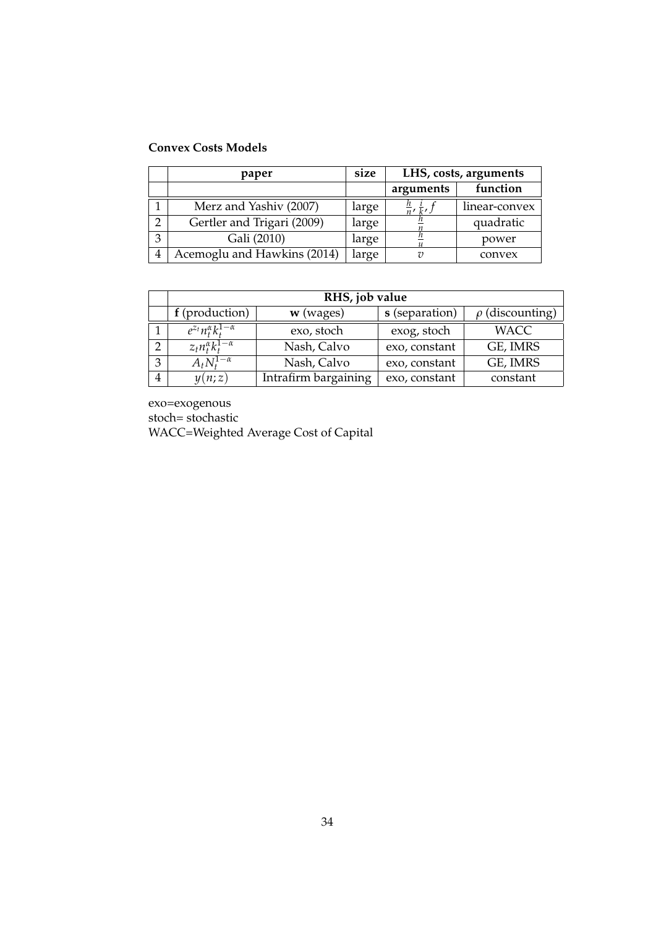## **Convex Costs Models**

|   | paper                       | size  | LHS, costs, arguments             |               |  |
|---|-----------------------------|-------|-----------------------------------|---------------|--|
|   |                             |       | arguments                         | function      |  |
|   | Merz and Yashiv (2007)      | large | $\frac{n}{n}$ , $\frac{i}{k}$ , j | linear-convex |  |
| റ | Gertler and Trigari (2009)  | large |                                   | quadratic     |  |
| 3 | Gali (2010)                 | large |                                   | power         |  |
| 4 | Acemoglu and Hawkins (2014) | large | 7)                                | convex        |  |

|              | RHS, job value                      |                      |                |                      |  |  |  |  |  |
|--------------|-------------------------------------|----------------------|----------------|----------------------|--|--|--|--|--|
|              | f (production)                      | $w$ (wages)          | s (separation) | $\rho$ (discounting) |  |  |  |  |  |
|              | $e^{z_t}n_t^{\alpha}k_t^{1-\alpha}$ | exo, stoch           | exog, stoch    | <b>WACC</b>          |  |  |  |  |  |
|              | $z_t n_t^{\alpha} k_t^{1-\alpha}$   | Nash, Calvo          | exo, constant  | GE, IMRS             |  |  |  |  |  |
| $\mathbf{z}$ | $A_t N_t^{1-\alpha}$                | Nash, Calvo          | exo, constant  | GE, IMRS             |  |  |  |  |  |
|              | y(n;z)                              | Intrafirm bargaining | exo, constant  | constant             |  |  |  |  |  |

exo=exogenous

stoch= stochastic

WACC=Weighted Average Cost of Capital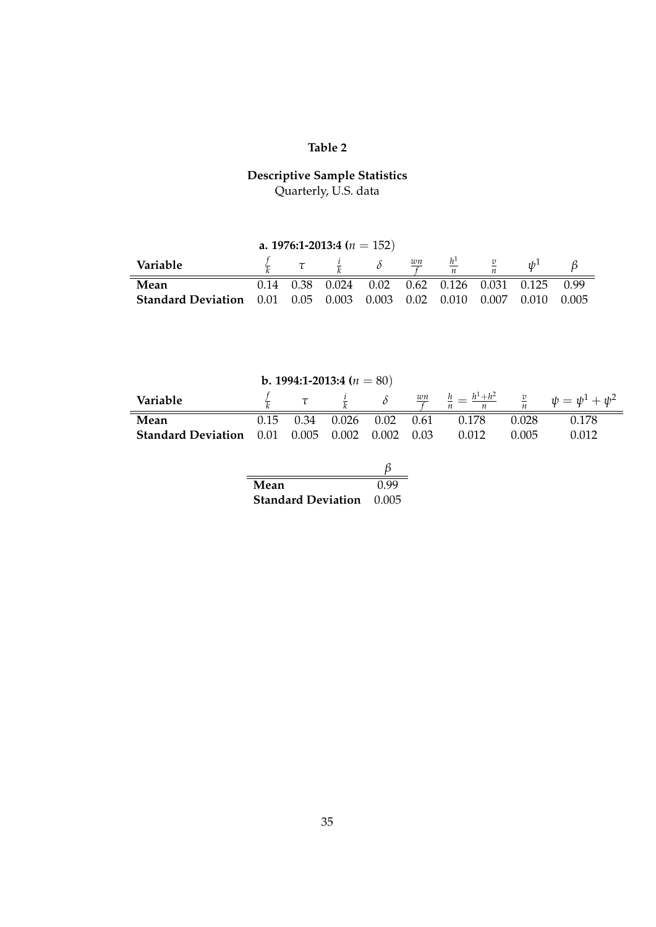## **Table 2**

#### **Descriptive Sample Statistics** Quarterly, U.S. data

| a. 1976:1-2013:4 ( $n = 152$ )                                                     |  |  |  |  |  |                                                                    |  |  |       |
|------------------------------------------------------------------------------------|--|--|--|--|--|--------------------------------------------------------------------|--|--|-------|
| $rac{wn}{f}$ $rac{h^1}{n}$<br>$\tau$ $\frac{l}{k}$<br>Variable<br>1/b <sup>1</sup> |  |  |  |  |  |                                                                    |  |  |       |
| Mean                                                                               |  |  |  |  |  | $0.14$ $0.38$ $0.024$ $0.02$ $0.62$ $0.126$ $0.031$ $0.125$ $0.99$ |  |  |       |
| <b>Standard Deviation</b> 0.01 0.05 0.003 0.003 0.02 0.010 0.007 0.010             |  |  |  |  |  |                                                                    |  |  | 0.005 |

| <b>b.</b> 1994:1-2013:4 ( $n = 80$ )             |      |      |              |  |      |       |       |                                                                                                                                       |
|--------------------------------------------------|------|------|--------------|--|------|-------|-------|---------------------------------------------------------------------------------------------------------------------------------------|
| Variable                                         |      |      |              |  |      |       |       | $\frac{f}{k}$ $\tau$ $\frac{i}{k}$ $\delta$ $\frac{wn}{f}$ $\frac{h}{n} = \frac{h^1 + h^2}{n}$ $\frac{v}{n}$ $\psi = \psi^1 + \psi^2$ |
| Mean                                             | 0.15 | 0.34 | $0.026$ 0.02 |  | 0.61 | 0.178 | 0.028 | 0.178                                                                                                                                 |
| <b>Standard Deviation</b> 0.01 0.005 0.002 0.002 |      |      |              |  | 0.03 | 0.012 | 0.005 | 0.012                                                                                                                                 |
|                                                  |      |      |              |  |      |       |       |                                                                                                                                       |
|                                                  |      |      |              |  |      |       |       |                                                                                                                                       |
|                                                  |      |      |              |  |      |       |       |                                                                                                                                       |

| Mean                      | 0.99  |
|---------------------------|-------|
| <b>Standard Deviation</b> | 0.005 |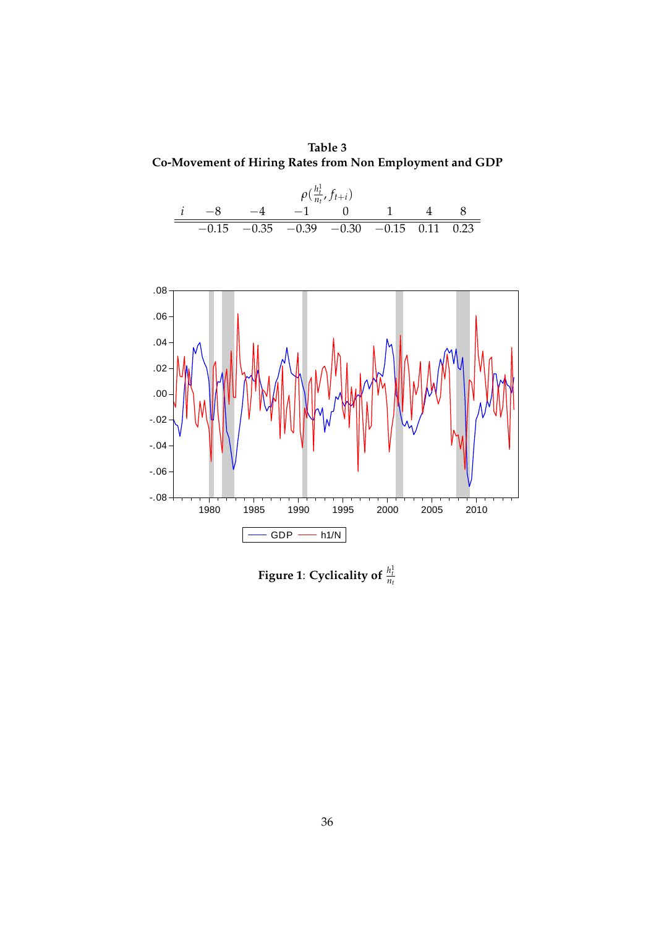**Table 3 Co-Movement of Hiring Rates from Non Employment and GDP**





Figure 1: Cyclicality of  $\frac{h_t^1}{n_t}$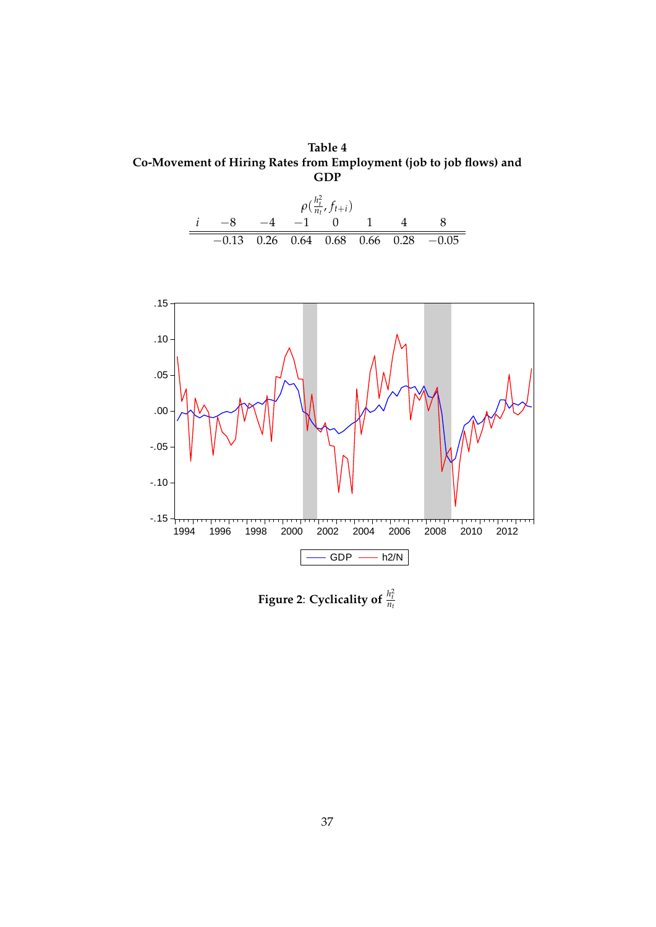**Table 4 Co-Movement of Hiring Rates from Employment (job to job flows) and GDP**





Figure 2: Cyclicality of  $\frac{h_t^2}{n_t}$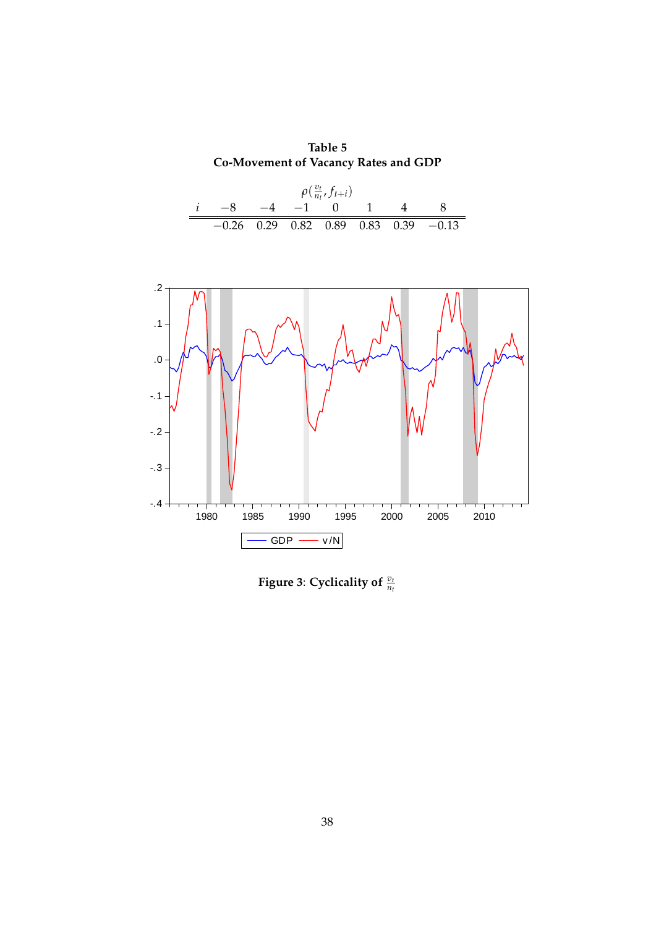**Table 5 Co-Movement of Vacancy Rates and GDP**

| $\rho(\frac{v_t}{n_t},f_{t+i})$ |  |  |  |                    |  |  |                                          |  |  |
|---------------------------------|--|--|--|--------------------|--|--|------------------------------------------|--|--|
|                                 |  |  |  | $-8$ $-4$ $-1$ 0 1 |  |  |                                          |  |  |
|                                 |  |  |  |                    |  |  | $-0.26$ 0.29 0.82 0.89 0.83 0.39 $-0.13$ |  |  |



Figure 3: Cyclicality of  $\frac{v_t}{n_t}$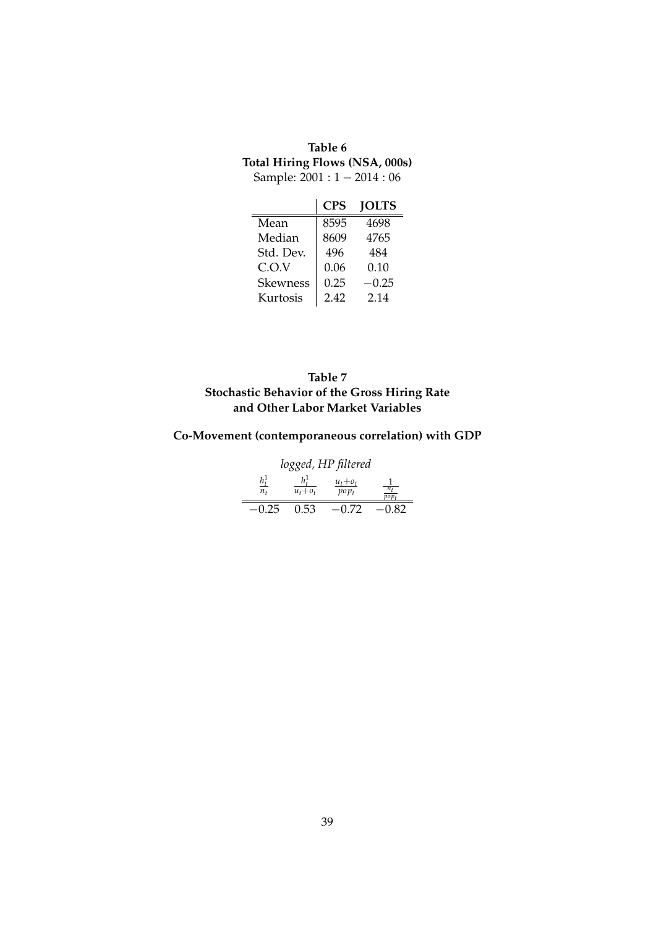## **Table 6 Total Hiring Flows (NSA, 000s)** Sample:  $2001 : 1 - 2014 : 06$

|                 | CPS  | <b>JOLTS</b> |
|-----------------|------|--------------|
| Mean            | 8595 | 4698         |
| Median          | 8609 | 4765         |
| Std. Dev.       | 496  | 484          |
| C.O.V           | 0.06 | 0.10         |
| <b>Skewness</b> | 0.25 | $-0.25$      |
| Kurtosis        | 2.42 | 2.14         |

### **Table 7 Stochastic Behavior of the Gross Hiring Rate and Other Labor Market Variables**

## **Co-Movement (contemporaneous correlation) with GDP**

| logged, HP filtered |             |                        |         |  |  |  |  |  |
|---------------------|-------------|------------------------|---------|--|--|--|--|--|
| $h_t^1$<br>$n_{t}$  | $u_t + o_t$ | $u_t + o_t$<br>$pop_t$ | po p    |  |  |  |  |  |
| $-0.25$             | 0.53        | $-0.72$                | $-0.82$ |  |  |  |  |  |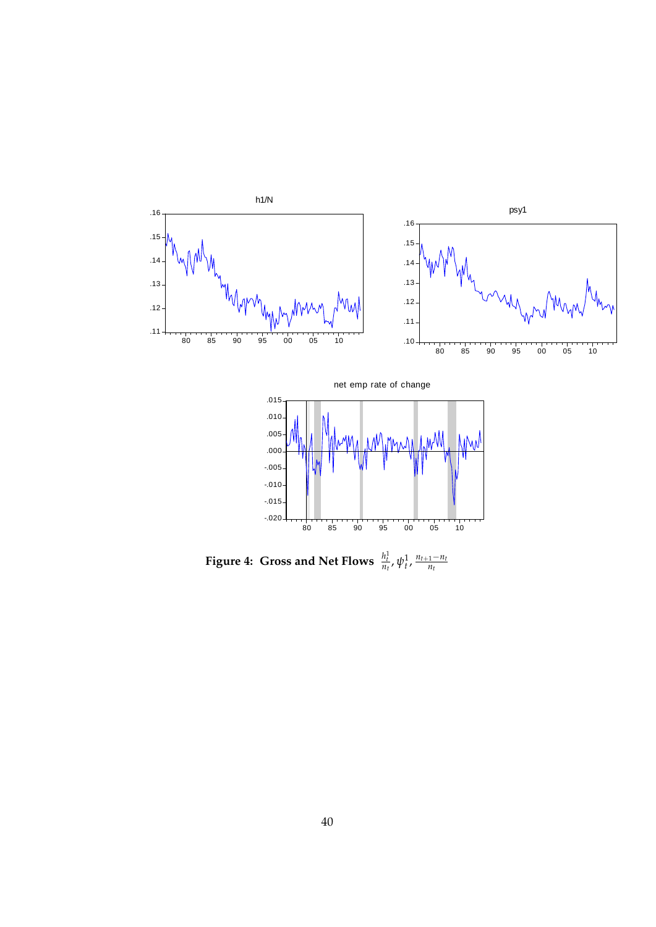



Figure 4: Gross and Net Flows  $\frac{h_t^1}{n_t}$ ,  $\psi_t^1$ ,  $\frac{n_{t+1}-n_t}{n_t}$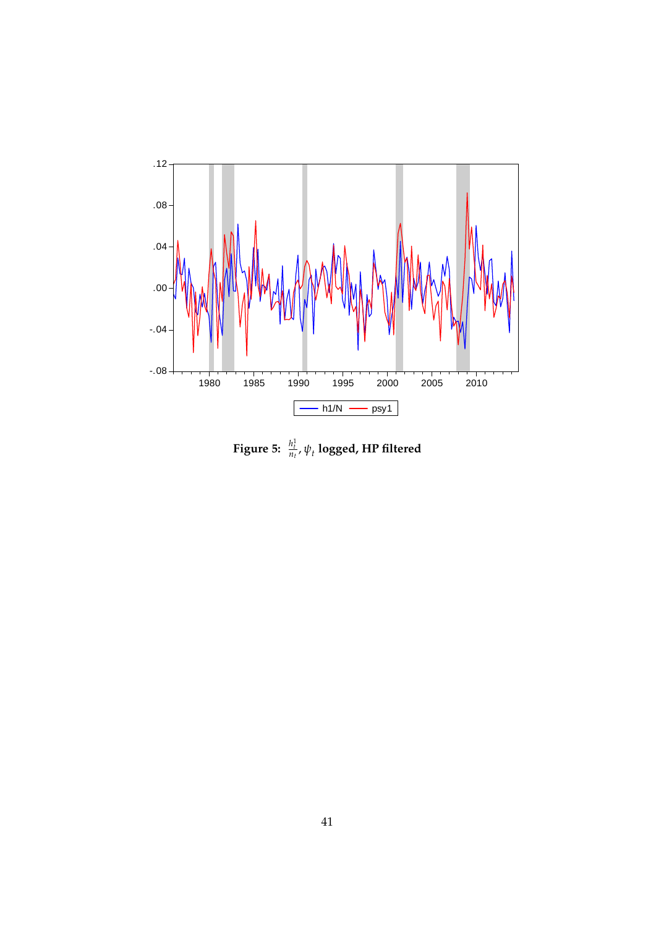

Figure 5:  $\frac{h_t^1}{n_t}$ ,  $\psi_t$  logged, HP filtered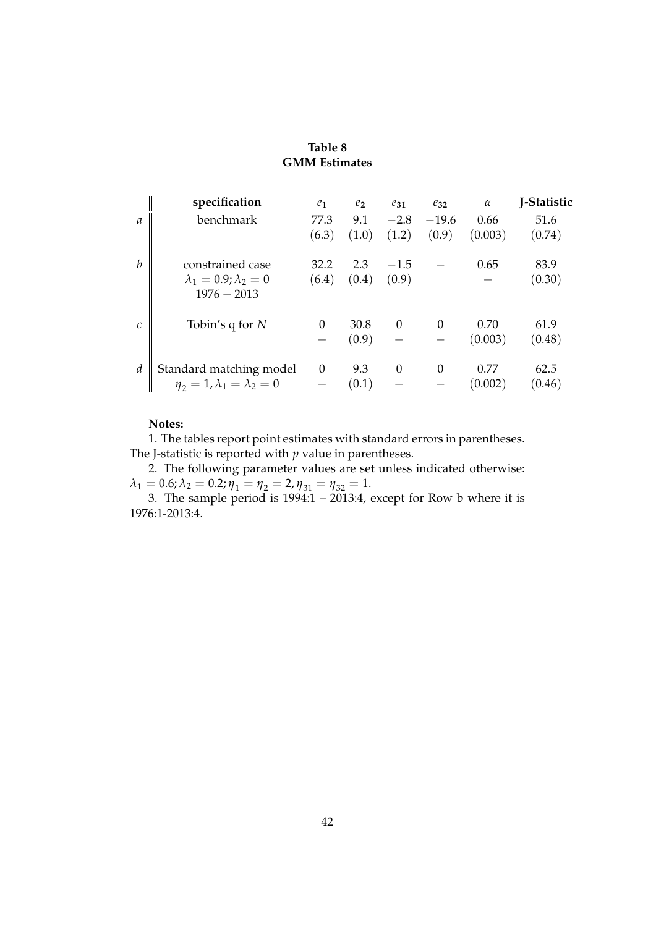### **Table 8 GMM Estimates**

|                  | specification                                                      | $e_1$    | $e_2$ | $e_{31}$ | $e_{32}$ | $\alpha$ | J-Statistic |
|------------------|--------------------------------------------------------------------|----------|-------|----------|----------|----------|-------------|
| $\mathfrak a$    | benchmark                                                          | 77.3     | 9.1   | $-2.8$   | $-19.6$  | 0.66     | 51.6        |
|                  |                                                                    | (6.3)    | (1.0) | (1.2)    | (0.9)    | (0.003)  | (0.74)      |
| $\boldsymbol{b}$ | constrained case                                                   | 32.2     | 2.3   | $-1.5$   |          | 0.65     | 83.9        |
|                  | $\lambda_1 = 0.9; \lambda_2 = 0$                                   | (6.4)    | (0.4) | (0.9)    |          |          | (0.30)      |
|                  | $1976 - 2013$                                                      |          |       |          |          |          |             |
| $\mathcal{C}$    | Tobin's q for $N$                                                  | $\Omega$ | 30.8  | $\Omega$ | $\Omega$ | 0.70     | 61.9        |
|                  |                                                                    |          | (0.9) |          |          | (0.003)  | (0.48)      |
| $\boldsymbol{d}$ | Standard matching model<br>$\eta_2 = 1, \lambda_1 = \lambda_2 = 0$ | $\theta$ | 9.3   | $\Omega$ | $\Omega$ | 0.77     | 62.5        |
|                  |                                                                    |          | (0.1) |          |          | (0.002)  | (0.46)      |

#### **Notes:**

1. The tables report point estimates with standard errors in parentheses. The J-statistic is reported with  $p$  value in parentheses.

2. The following parameter values are set unless indicated otherwise:  $\lambda_1 = 0.6; \lambda_2 = 0.2; \eta_1 = \eta_2 = 2, \eta_{31} = \eta_{32} = 1.$ 

3. The sample period is 1994:1 – 2013:4, except for Row b where it is 1976:1-2013:4.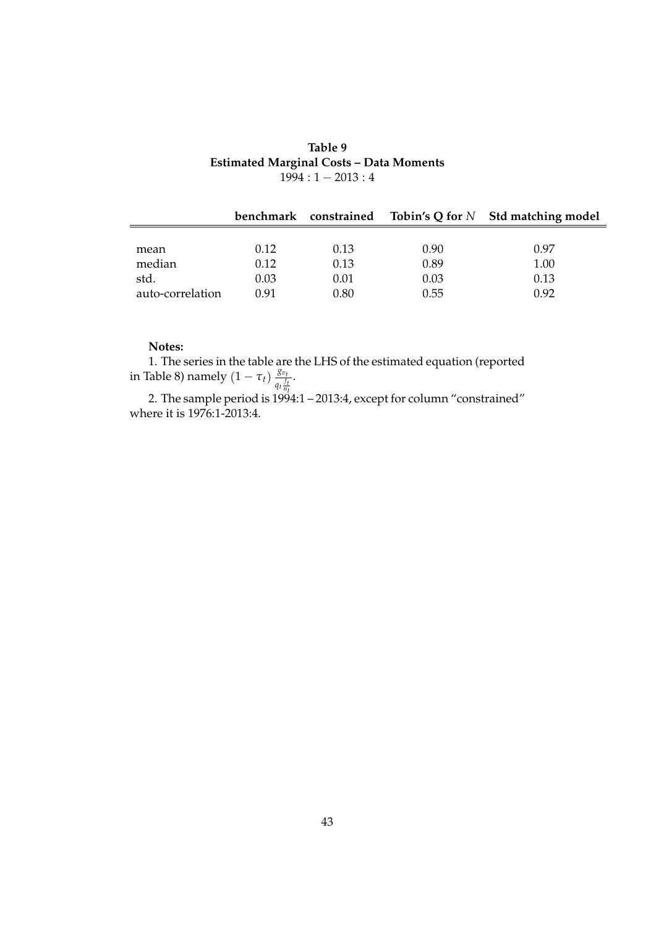### **Table 9 Estimated Marginal Costs – Data Moments**  $1994:1 - 2013:4$

|                  |      |      |      | benchmark constrained Tobin's Q for $N$ Std matching model |
|------------------|------|------|------|------------------------------------------------------------|
|                  |      |      |      |                                                            |
| mean             | 0.12 | 0.13 | 0.90 | 0.97                                                       |
| median           | 0.12 | 0.13 | 0.89 | 1.00                                                       |
| std.             | 0.03 | 0.01 | 0.03 | 0.13                                                       |
| auto-correlation | 0.91 | 0.80 | 0.55 | 0.92                                                       |

#### **Notes:**

1. The series in the table are the LHS of the estimated equation (reported in Table 8) namely  $(1 - \tau_t) \frac{g_{v_t}}{a_t}$  $q_t \frac{f_t}{n_t}$ .

2. The sample period is 1994:1 – 2013:4, except for column "constrained" where it is 1976:1-2013:4.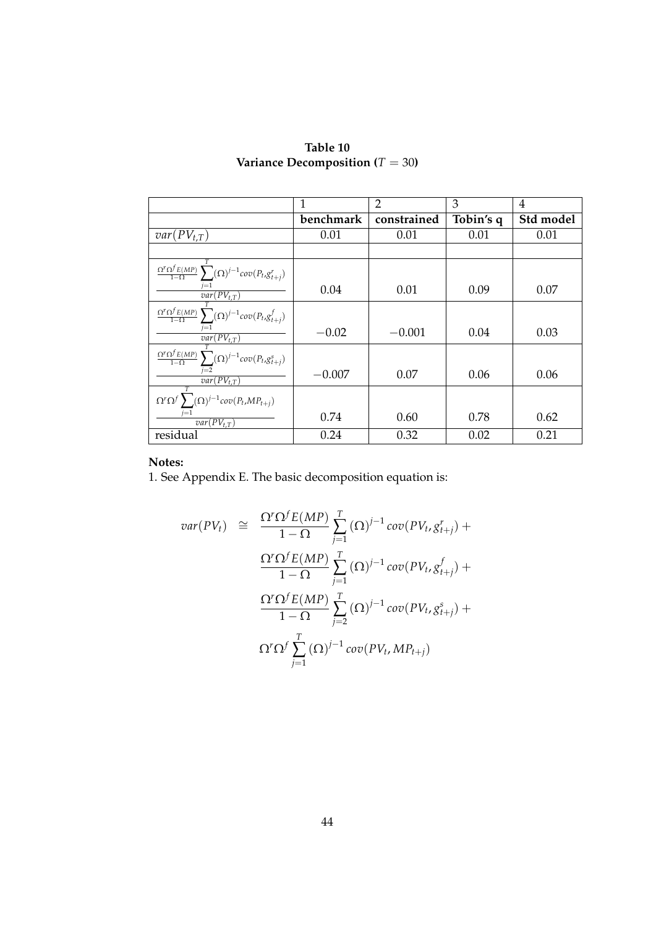|                                                                                        | 1         | $\overline{2}$ | 3         | 4         |
|----------------------------------------------------------------------------------------|-----------|----------------|-----------|-----------|
|                                                                                        | benchmark | constrained    | Tobin's q | Std model |
| $var(PV_{t,T})$                                                                        | 0.01      | 0.01           | 0.01      | 0.01      |
|                                                                                        |           |                |           |           |
| $\frac{\Omega^r\Omega^f E(MP)}{1-\Omega}\sum(\Omega)^{j-1}cov\big(P_t, g^r_{t+j}\big)$ |           |                |           |           |
| $var(PV_{t,T})$                                                                        | 0.04      | 0.01           | 0.09      | 0.07      |
| $\frac{\Omega^r \Omega^f E(MP)}{1-\Omega} \sum (\Omega)^{j-1} cov(P_t,g^f_{t+j})$      |           |                |           |           |
| $var(PV_{t,T})$                                                                        | $-0.02$   | $-0.001$       | 0.04      | 0.03      |
| $\frac{\Omega^r\Omega^f E(MP)}{1-\Omega}\sum(\Omega)^{j-1}cov\big(P_t, g^s_{t+j}\big)$ |           |                |           |           |
| $\overline{var(PV_{t,T})}$                                                             | $-0.007$  | 0.07           | 0.06      | 0.06      |
| $\Omega^r \Omega^f \sum (\Omega)^{j-1} cov(P_t, MP_{t+j})$                             |           |                |           |           |
| $var(PV_{t,T})$                                                                        | 0.74      | 0.60           | 0.78      | 0.62      |
| residual                                                                               | 0.24      | 0.32           | 0.02      | 0.21      |

**Table 10 Variance Decomposition (***T* = 30**)**

1. See Appendix E. The basic decomposition equation is:

$$
var(PV_t) \cong \frac{\Omega^r \Omega^f E(MP)}{1 - \Omega} \sum_{j=1}^T (\Omega)^{j-1} cov(PV_t, g^r_{t+j}) +
$$
  

$$
\frac{\Omega^r \Omega^f E(MP)}{1 - \Omega} \sum_{j=1}^T (\Omega)^{j-1} cov(PV_t, g^f_{t+j}) +
$$
  

$$
\frac{\Omega^r \Omega^f E(MP)}{1 - \Omega} \sum_{j=2}^T (\Omega)^{j-1} cov(PV_t, g^s_{t+j}) +
$$
  

$$
\Omega^r \Omega^f \sum_{j=1}^T (\Omega)^{j-1} cov(PV_t, MP_{t+j})
$$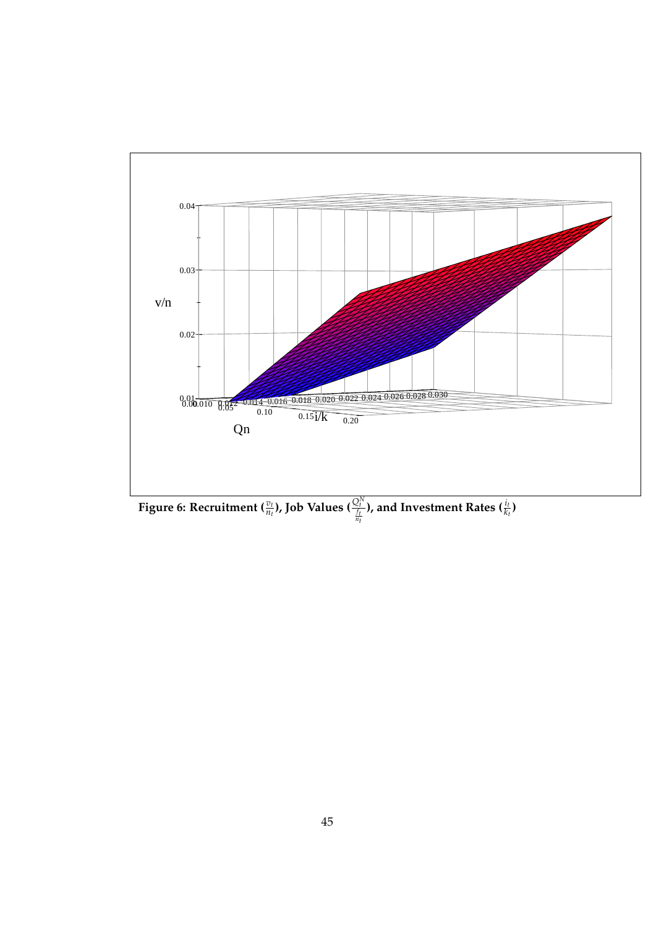

**Figure 6: Recruitment**  $(\frac{v_t}{n_t})$ **, Job Values**  $(\frac{Q_t^{\lambda}}{f_t})$ ), and Investment Rates ( $\frac{i_t}{k_t}$ )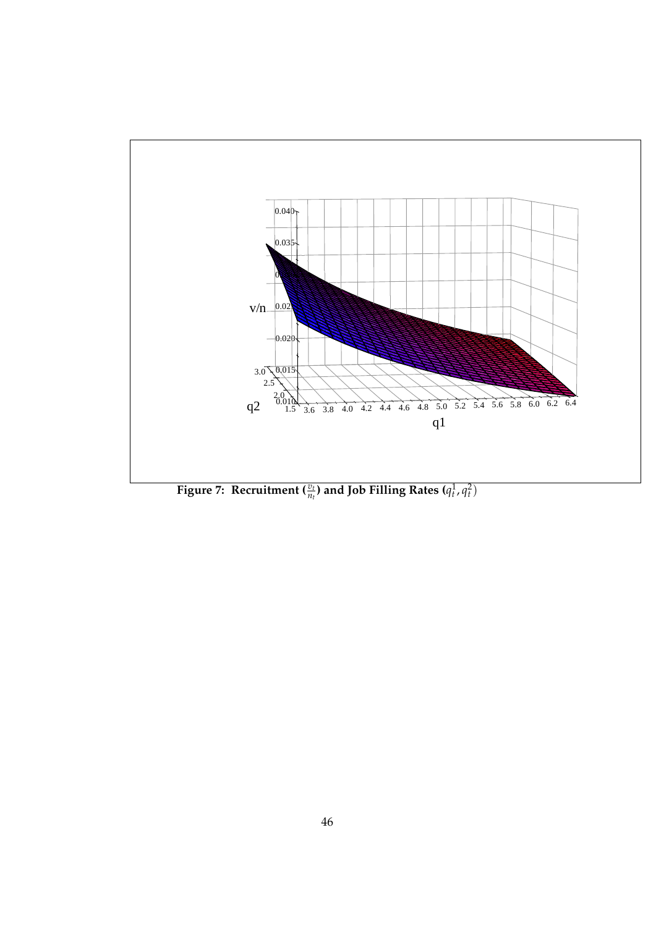

**Figure 7:** Recruitment  $\left(\frac{v_t}{n_t}\right)$  and Job Filling Rates  $(q_t^1, q_t^2)$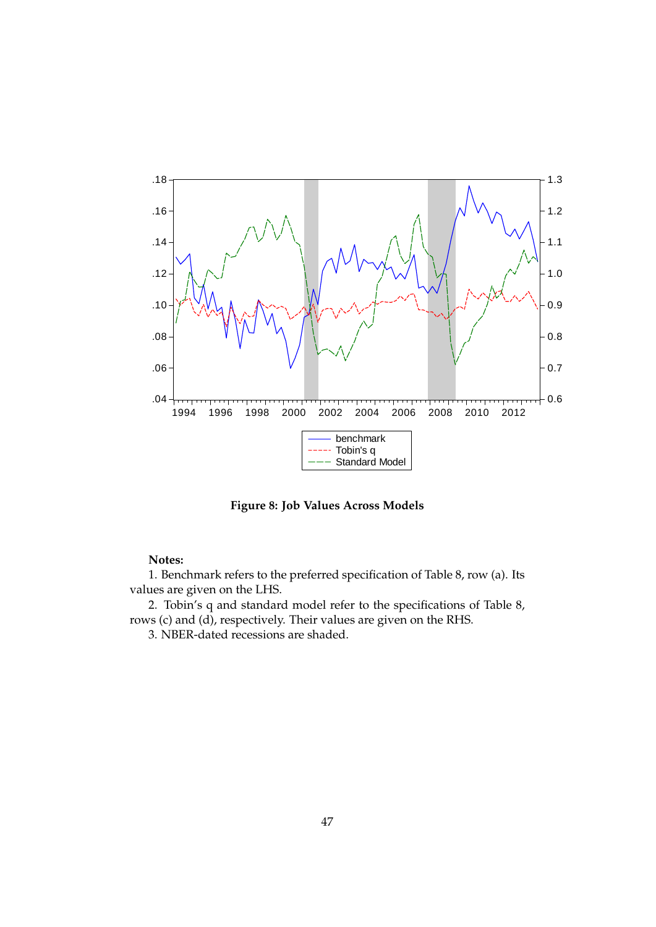

**Figure 8: Job Values Across Models**

1. Benchmark refers to the preferred specification of Table 8, row (a). Its values are given on the LHS.

2. Tobin's q and standard model refer to the specifications of Table 8, rows (c) and (d), respectively. Their values are given on the RHS.

3. NBER-dated recessions are shaded.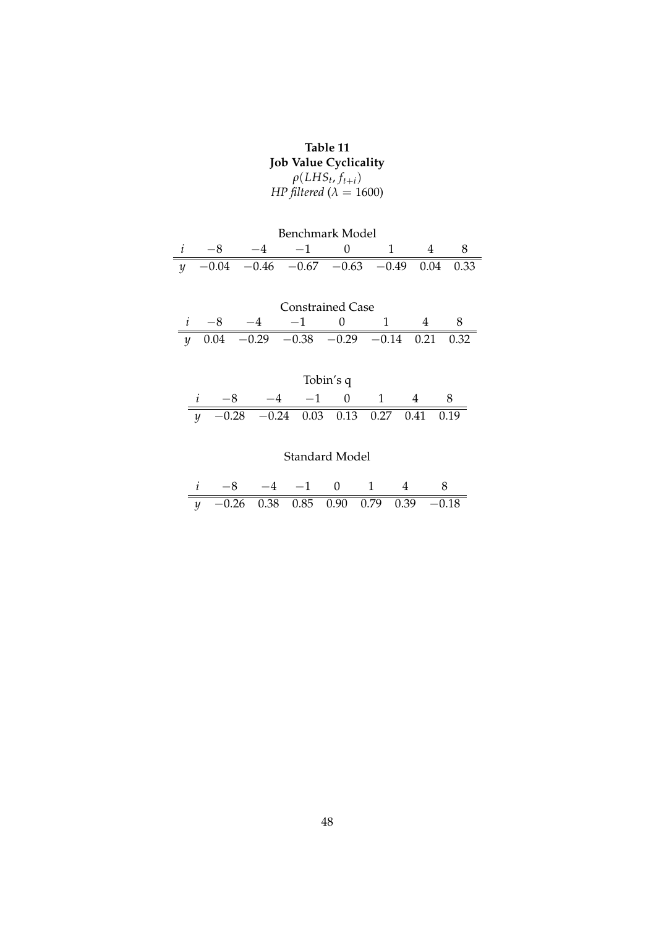## **Table 11 Job Value Cyclicality**  $\rho(LHS_t, f_{t+i})$ *HP filtered* (*λ* = 1600)

| Benchmark Model |  |  |                                                  |  |  |  |  |
|-----------------|--|--|--------------------------------------------------|--|--|--|--|
|                 |  |  | $-4$ $-1$                                        |  |  |  |  |
|                 |  |  | $\gamma$ -0.04 -0.46 -0.67 -0.63 -0.49 0.04 0.33 |  |  |  |  |

| <b>Constrained Case</b> |  |  |                                                 |              |  |  |  |
|-------------------------|--|--|-------------------------------------------------|--------------|--|--|--|
|                         |  |  | $-1$                                            | $\mathbf{U}$ |  |  |  |
|                         |  |  | $\gamma$ 0.04 -0.29 -0.38 -0.29 -0.14 0.21 0.32 |              |  |  |  |

| Tobin's q |                                               |  |              |  |  |  |  |
|-----------|-----------------------------------------------|--|--------------|--|--|--|--|
|           |                                               |  | $-4$ $-1$ () |  |  |  |  |
|           | $\gamma$ -0.28 -0.24 0.03 0.13 0.27 0.41 0.19 |  |              |  |  |  |  |

## Standard Model

| $i \t -8 \t -4 \t -1 \t 0 \t 1 \t 4 \t 8$ |  |  |  |
|-------------------------------------------|--|--|--|
| $y$ -0.26 0.38 0.85 0.90 0.79 0.39 -0.18  |  |  |  |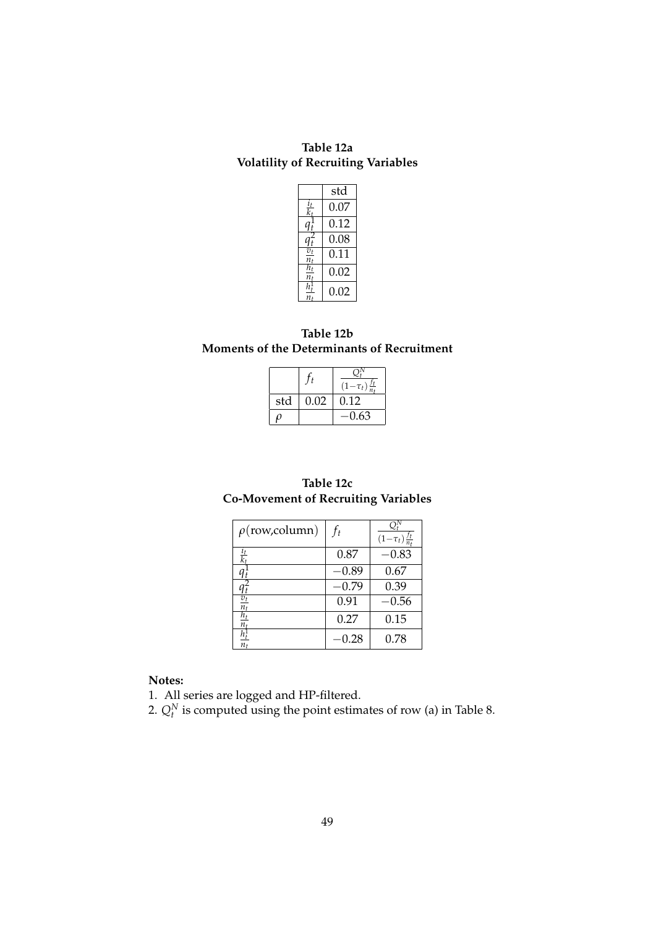**Table 12a Volatility of Recruiting Variables**

|                               | std  |
|-------------------------------|------|
| $\frac{i_t}{k_t}$             | 0.07 |
| $q^1_t$                       | 0.12 |
| $q_t^2$                       | 0.08 |
| $\overline{v_t}$              | 0.11 |
| $\frac{n_t}{h_t}$<br>$n_{t}$  | 0.02 |
| $\overline{h^1_t}$<br>$n_{t}$ | 0.02 |

### **Table 12b Moments of the Determinants of Recruitment**

|     |      | $(1-\tau_t)$ |
|-----|------|--------------|
| std | 0.02 | 0.12         |
|     |      | -0.63        |

### **Table 12c Co-Movement of Recruiting Variables**

| $\rho$ (row,column)    | $f_t$   | $(1-\tau_t)\frac{f_t}{n_t}$ |
|------------------------|---------|-----------------------------|
| $\frac{i_t}{k_t}$      | 0.87    | $-0.83$                     |
|                        | $-0.89$ | 0.67                        |
|                        | $-0.79$ | 0.39                        |
| $\frac{v_t}{n_t}$      | 0.91    | $-0.56$                     |
| $\overline{h_t}$<br>n, | 0.27    | 0.15                        |
| $h_t^1$<br>$n_{t}$     | 0.28    | 0.78                        |

## **Notes:**

1. All series are logged and HP-filtered.

2.  $Q_t^N$  is computed using the point estimates of row (a) in Table 8.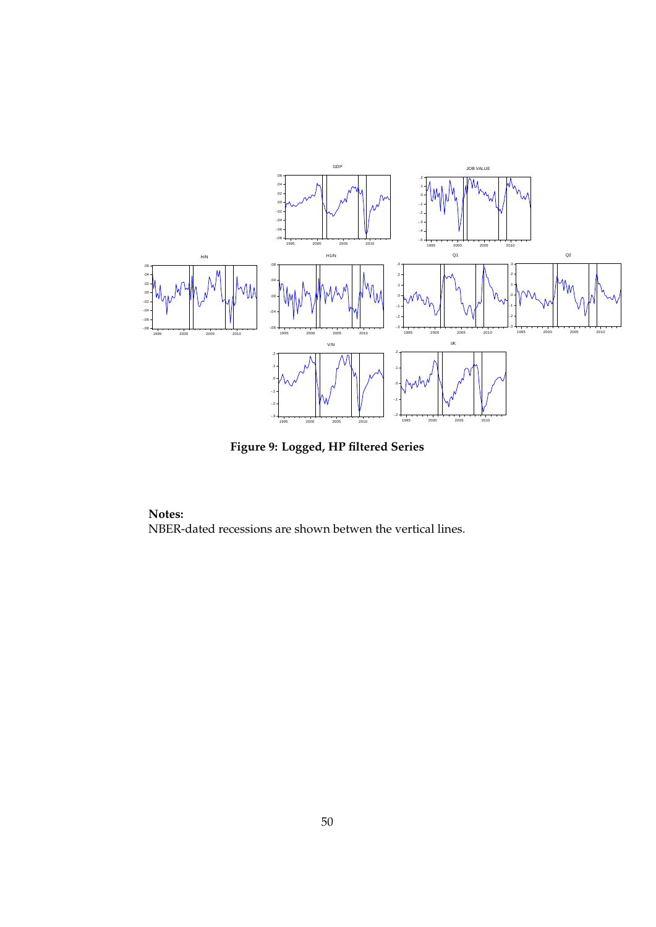

**Figure 9: Logged, HP filtered Series**

**Notes:** NBER-dated recessions are shown betwen the vertical lines.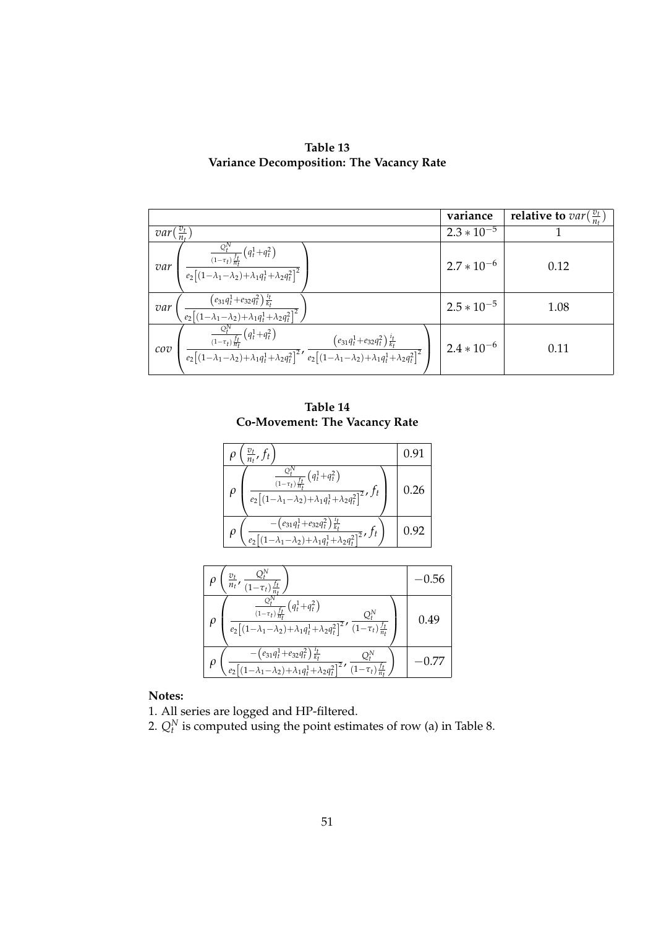| Table 13                                 |  |  |  |  |
|------------------------------------------|--|--|--|--|
| Variance Decomposition: The Vacancy Rate |  |  |  |  |

|                                                                                                                                                                                                                                                                                                                                                                                             | variance        | <b>relative to</b> $var(\frac{v_t}{n_t})$ |
|---------------------------------------------------------------------------------------------------------------------------------------------------------------------------------------------------------------------------------------------------------------------------------------------------------------------------------------------------------------------------------------------|-----------------|-------------------------------------------|
| $\frac{v_t}{n}$<br>var(                                                                                                                                                                                                                                                                                                                                                                     | $2.3 * 10^{-5}$ |                                           |
| $\frac{\frac{Q_t^N}{(1-\tau_t)\frac{f_t}{h_t}}\left(q_t^1+q_t^2\right)}{e_2\left[(1-\lambda_1-\lambda_2)+\lambda_1q_t^1+\lambda_2q_t^2\right]^2}$<br>var                                                                                                                                                                                                                                    | $2.7 * 10^{-6}$ | 0.12                                      |
| $\left(\frac{\left(e_{31}q_t^1 + e_{32}q_t^2\right)\frac{it}{k_t}}{e_2\left[(1-\lambda_1-\lambda_2)+\lambda_1q_t^1 + \lambda_2q_t^2\right]^2}\right)$<br>var                                                                                                                                                                                                                                | $2.5 * 10^{-5}$ | 1.08                                      |
| $\frac{Q_t^N}{(1-\tau_t)\frac{f_t}{n_t}}\left(q_t^1+q_t^2\right)$<br>$\frac{\frac{1}{(1-\tau_t)\frac{f_t}{n_t}}\left(q_t+q_t\right)}{e_2\left[(1-\lambda_1-\lambda_2)+\lambda_1q_t^1+\lambda_2q_t^2\right]^2},\frac{\left(e_{31}q_t^1+e_{32}q_t^2\right)\frac{i_t}{k_t}}{e_2\left[(1-\lambda_1-\lambda_2)+\lambda_1q_t^1+\lambda_2q_t^2\right]^2}$<br>$\mathcal{C} \mathcal{O} \mathcal{V}$ | $2.4 * 10^{-6}$ | 0.11                                      |

**Table 14 Co-Movement: The Vacancy Rate**

| $\frac{v_t}{n_t}$ , f <sub>t</sub>                                                                                                            | 0.91 |
|-----------------------------------------------------------------------------------------------------------------------------------------------|------|
| $\frac{\Delta_t}{(1-\tau_t)\frac{f_t}{n_t}}\left(q_t^1+q_t^2\right)$<br>$e_2[(1-\lambda_1-\lambda_2)+\lambda_1q_t^1+\lambda_2q_t^2]^2$ , $ft$ | 0.26 |
| $\left(e_{31}q_t^1+e_{32}q_t^2\right)\frac{t_t}{k_t}$<br>$-\lambda_1-\lambda_2+\lambda_1q_t^1+\lambda_2q_t^2^2$ , $f_t$                       | U.Y2 |

| $Q_t^{\prime\prime}$<br>$\frac{\partial_t}{\partial t}$ , $\frac{\partial_t}{\partial t}$                                                                                                                                                                | (1.56 |
|----------------------------------------------------------------------------------------------------------------------------------------------------------------------------------------------------------------------------------------------------------|-------|
| $\frac{1}{(1-\tau_t)\frac{f_t}{n_t}}\left(q_t^1+q_t^2\right)$<br>$e_2\left[\left(1\!-\!\lambda_1\!-\!\lambda_2\right)\!+\!\overline{\lambda_1q_t^1\!+\!\lambda_2q_t^2\right]^2}\boldsymbol{\prime}\;\overline{\left(1\!-\!\tau_t\right)\frac{f_t}{n_t}}$ | 0.49  |
| $-\left(e_{31}q_t^1+e_{32}q_t^2\right)\frac{t_t}{k_t}$<br>$Q_t^N$<br>$\sqrt{e_2\left[\left(1-\lambda_1-\lambda_2\right)+\lambda_1q_t^1+\lambda_2q_t^2\right]^2}$ , $\sqrt{(1-\tau_t)\frac{f_t}{n_t}}$                                                    |       |

1. All series are logged and HP-filtered.

2.  $Q_t^N$  is computed using the point estimates of row (a) in Table 8.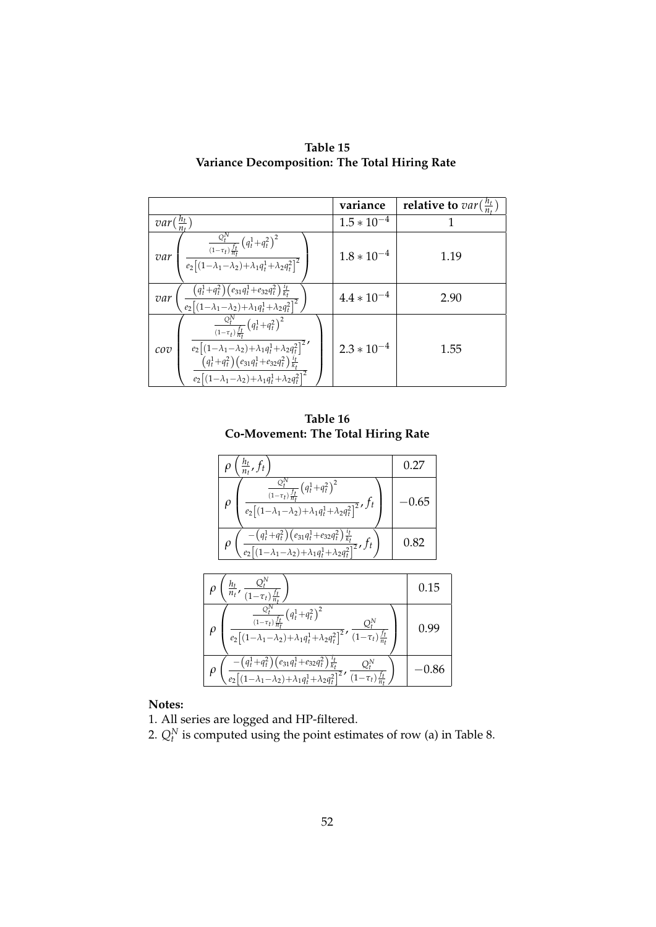|                                                                                                                                                                                                                                                                                                                           | variance        | relative to $var(\frac{h_t}{n_t})$ |
|---------------------------------------------------------------------------------------------------------------------------------------------------------------------------------------------------------------------------------------------------------------------------------------------------------------------------|-----------------|------------------------------------|
| $var(\frac{h_t}{n_t})$                                                                                                                                                                                                                                                                                                    | $1.5 * 10^{-4}$ |                                    |
| $\frac{\frac{Q_t^N}{(1-\tau_t)\frac{f_t}{n_t}}\left(q_t^1+q_t^2\right)^2}{e_2\big[(1-\lambda_1-\lambda_2)+\lambda_1q_t^1+\lambda_2q_t^2\big]^2}$<br>var                                                                                                                                                                   | $1.8 * 10^{-4}$ | 1.19                               |
| $\left(\frac{\left(q_l^1\!+\!q_l^2\right)\left(e_{31}q_l^1\!+\!e_{32}q_l^2\right)\frac{l_l}{k_f}}{\left(e_2\right[\left(1\!-\!\lambda_1\!-\!\lambda_2\right)\!+\!\lambda_1q_l^1\!+\!\lambda_2q_l^2\right]^2}\right)$<br>var                                                                                               | $4.4 * 10^{-4}$ | 2.90                               |
| $\frac{\frac{Q_l^N}{(1-\tau_t)\frac{f_l}{n_t}}\left(q_l^1+q_t^2\right)^2}{e_2\big[(1-\lambda_1-\lambda_2)+\lambda_1q_l^1+\lambda_2q_t^2\big]^2},$<br>cov<br>$\frac{\left(q_t^1+q_t^2\right)\left(e_{31}q_t^1+e_{32}q_t^2\right)\frac{i_t}{k_t}}{e_2\left[(1-\lambda_1-\lambda_2)+\lambda_1q_t^1+\lambda_2q_t^2\right]^2}$ | $2.3 * 10^{-4}$ | 1.55                               |

**Table 15 Variance Decomposition: The Total Hiring Rate**

**Table 16 Co-Movement: The Total Hiring Rate**

| $\frac{h_t}{n_t}$ , $f_t$                                                                                                                                                                                                       | 0.27 |
|---------------------------------------------------------------------------------------------------------------------------------------------------------------------------------------------------------------------------------|------|
| $\frac{\frac{Q_t^N}{(1-\tau_t)\frac{f_t}{n_t}}\left(q_t^1+q_t^2\right)^2}{e_2\left[(1-\lambda_1-\lambda_2)+\lambda_1q_t^1+\lambda_2q_t^2\right]^2},f_t$<br>$\rho$                                                               | 0.65 |
| $\left(\frac{-\left(q_{t}^{1}+q_{t}^{2}\right)\left(e_{31}q_{t}^{1}+e_{32}q_{t}^{2}\right)\frac{\dot{t}_{t}}{k_{t}}}{e_{2}\left[(1-\lambda_{1}-\lambda_{2})+\lambda_{1}q_{t}^{1}+\lambda_{2}q_{t}^{2}\right]^{2}},f_{t}\right)$ | 0.82 |
|                                                                                                                                                                                                                                 |      |
| $\left(\frac{h_t}{n_t}, \frac{Q_t^{\mathcal{U}}}{(1-\tau_t)\frac{f_t}{n_t}}\right)$                                                                                                                                             | 0.15 |
| $\frac{Q_t^N}{(1-\tau_t)\frac{f_t}{\tau}}\left(q_t^1+q_t^2\right)^2$                                                                                                                                                            |      |

| $e_2\left[\left(1\!-\!\lambda_1\!-\!\lambda_2\right)\!+\!\lambda_1q_t^1\!+\!\lambda_2q_t^2\right]^2$ ( $\overline{1\!-\!\tau_t)^{f_t}_{n_t}}$                      |  |
|--------------------------------------------------------------------------------------------------------------------------------------------------------------------|--|
| $\left(q_t^1+q_t^2\right)\left(e_{31}q_t^1+e_{32}q_t^2\right)\frac{t_t}{k_t}$<br>$\left[\overline{(1-\lambda_1-\lambda_2)+\lambda_1q_t^1+\lambda_2q_t^2}\right]^2$ |  |

1. All series are logged and HP-filtered.

2.  $Q_t^N$  is computed using the point estimates of row (a) in Table 8.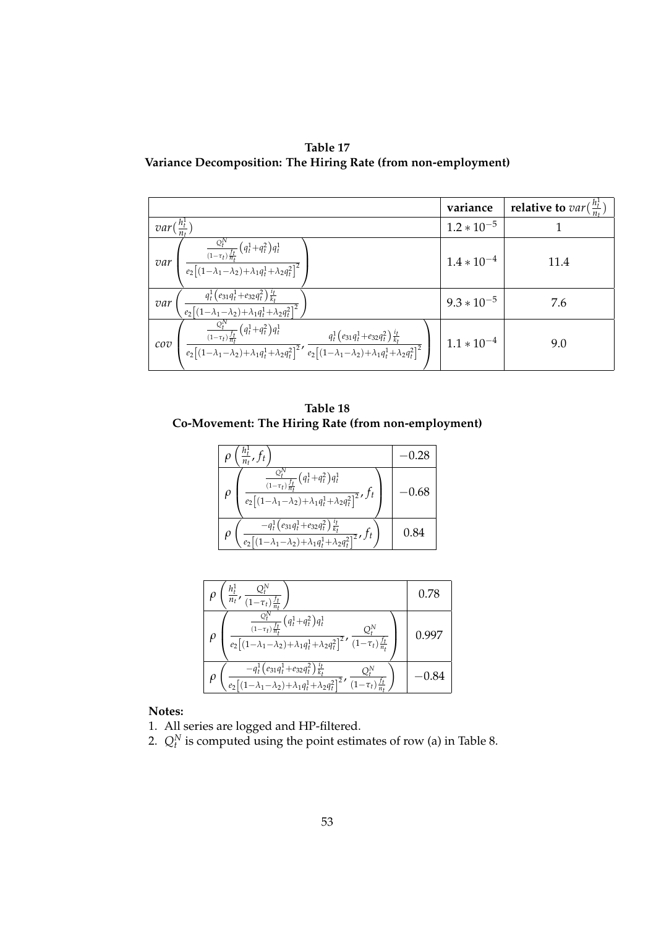**Table 17 Variance Decomposition: The Hiring Rate (from non-employment)**

|                                                                                                                                                                                                                                                                                                          | variance        | relative to $var(\frac{h_t^1}{n_t})$ |
|----------------------------------------------------------------------------------------------------------------------------------------------------------------------------------------------------------------------------------------------------------------------------------------------------------|-----------------|--------------------------------------|
| var(                                                                                                                                                                                                                                                                                                     | $1.2 * 10^{-5}$ |                                      |
| $\frac{\frac{Q_t^N}{(1-\tau_t)\frac{f_t}{n_t}}\left(q_t^1+q_t^2\right)q_t^1}{e_2\big[(1-\lambda_1-\lambda_2)+\lambda_1q_t^1+\lambda_2q_t^2\big]^2}$<br>var                                                                                                                                               | $1.4 * 10^{-4}$ | 11.4                                 |
| $\left(\frac{q_t^1 (e_{31}q_t^1 + e_{32}q_t^2) \frac{q_t}{k_t}}{e_2 [(1-\lambda_1-\lambda_2)+\lambda_1q_t^1 + \lambda_2q_t^2]^2}\right)$<br>var                                                                                                                                                          | $9.3 * 10^{-5}$ | 7.6                                  |
| $\frac{\frac{Q_t^N}{(1-\tau_t)\frac{f_t}{n_t}}\left(q_t^1+q_t^2\right)q_t^1}{e_2\left[(1-\lambda_1-\lambda_2)+\lambda_1q_t^1+\lambda_2q_t^2\right]^2},\,\frac{q_t^1\left(e_{31}q_t^1+e_{32}q_t^2\right)\frac{i_t}{k_t}}{e_2\left[(1-\lambda_1-\lambda_2)+\lambda_1q_t^1+\lambda_2q_t^2\right]^2}$<br>cov | $1.1 * 10^{-4}$ | 9.0                                  |

**Table 18 Co-Movement: The Hiring Rate (from non-employment)**

| $\frac{1}{n_t}$ , $f_t$                                                                                                                                                               |      |
|---------------------------------------------------------------------------------------------------------------------------------------------------------------------------------------|------|
| $\frac{Q_t^{\scriptscriptstyle +}}{\left(1-\tau_t\right)\frac{f_t}{n_t}}\left(q_t^1\!+\!q_t^2\right)\!q_t^1$<br>$e_2[(1-\lambda_1-\lambda_2)+\lambda_1q_t^1+\lambda_2q_t^2]^2$ , $ft$ | 0.68 |
| $-q_t^1\left(e_{31}q_t^1+e_{32}q_t^2\right)\frac{t_t}{k_t}$<br>$\frac{1}{-\lambda_1-\lambda_2+\lambda_1q_t^1+\lambda_2q_t^2}$ , $f_t$                                                 | 0.84 |

| $h_{\rm t}^1$<br>$\overline{n_t}$                                                                                                                                                                                                                            | 0.78         |
|--------------------------------------------------------------------------------------------------------------------------------------------------------------------------------------------------------------------------------------------------------------|--------------|
| $\frac{\epsilon_t}{(1-\tau_t)\frac{f_t}{n_t}}\left(q_t^1+q_t^2\right)\overline{q_t^1}$<br>Οŀ<br>$e_2\big[\big(1\!-\!\lambda_1\!-\!\lambda_2\big)\!+\!\lambda_1q_t^1\!+\!\overline{\lambda_2q_t^2\big]^2},\,\overline{\big(1\!-\!\tau_t\big)\frac{f_t}{n_t}}$ | <b>J.YY7</b> |
| $-q_t^1\left(e_{31}q_t^1+e_{32}q_t^2\right)\frac{t_t}{k_t}$<br>$1-\lambda_1-\lambda_2)+\lambda_1q_t^1+\lambda_2q_t^2\big ^2$<br>$(1-\tau_t)\frac{f_t}{n}$ .                                                                                                  | 0.84         |

- 1. All series are logged and HP-filtered.
- 2.  $Q_t^N$  is computed using the point estimates of row (a) in Table 8.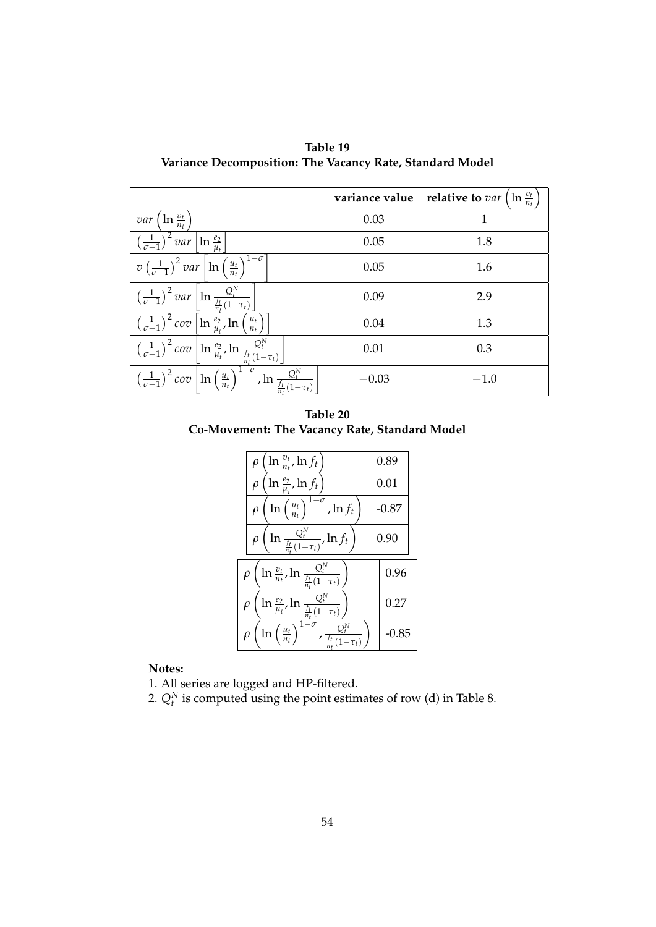| Table 19                                                 |
|----------------------------------------------------------|
| Variance Decomposition: The Vacancy Rate, Standard Model |

|                                                                                                                                                                                                                                                                               | variance value | $\ln \frac{v_t}{n_t}$<br>relative to var ( |
|-------------------------------------------------------------------------------------------------------------------------------------------------------------------------------------------------------------------------------------------------------------------------------|----------------|--------------------------------------------|
| <i>var</i> $\left(\ln \frac{v_t}{n_t}\right)$                                                                                                                                                                                                                                 | 0.03           | 1                                          |
| $\left(\frac{1}{\sigma-1}\right)^2$ var $\left[\ln \frac{e_2}{\mu}\right]$                                                                                                                                                                                                    | 0.05           | 1.8                                        |
| $v\left(\frac{1}{\sigma-1}\right)^2$ var $\left \ln\left(\frac{u_t}{n_t}\right)^{1-\sigma}\right $                                                                                                                                                                            | 0.05           | 1.6                                        |
| $\frac{\left(\frac{1}{\sigma-1}\right)^2 var \left[\ln \frac{Q_t^N}{\frac{f_t}{n_t}(1-\tau_t)}\right]}{\left(\frac{1}{\sigma-1}\right)^2 cov \left[\ln \frac{e_2}{\mu_t}, \ln \left(\frac{u_t}{n_t}\right)\right]}$                                                           | 0.09           | 2.9                                        |
|                                                                                                                                                                                                                                                                               | 0.04           | 1.3                                        |
| $\frac{\left(\frac{1}{\sigma-1}\right)^2 cov \left[\ln \frac{e_2}{\mu_t}, \ln \frac{Q_t^N}{\frac{f_t}{\mu_t}(1-\tau_t)}\right]}{\left(\frac{1}{\sigma-1}\right)^2 cov \left[\ln \left(\frac{u_t}{n_t}\right)^{1-\sigma}, \ln \frac{Q_t^N}{\frac{f_t}{n_t}(1-\tau_t)}\right]}$ | 0.01           | 0.3                                        |
|                                                                                                                                                                                                                                                                               | $-0.03$        | $-1.0$                                     |

**Table 20 Co-Movement: The Vacancy Rate, Standard Model**

| $\ln \frac{v_t}{n_t}$ , $\ln f_t$<br>$\rho$                                                                     | 0.89    |
|-----------------------------------------------------------------------------------------------------------------|---------|
| $\ln\frac{e_2}{\mu_t}$ , $\ln f_t$ )<br>$\rho$                                                                  | 0.01    |
| $\ln\left(\frac{u_t}{n_t}\right)^{1-\sigma}$ , $\ln f_t$<br>$\rho$                                              | $-0.87$ |
| $\ln \frac{Q_t^N}{\frac{f_t}{n_t}(1-\tau_t)}, \ln f_t$<br>$\rho$                                                | 0.90    |
| $\frac{\ln \frac{v_t}{n_t}, \ln \frac{Q_t^N}{\frac{f_t}{n_t}(1-\tau_t)}}{$<br>$\rho$                            | 0.96    |
| $\ln \frac{e_2}{\mu_t}, \ln \frac{Q_t^N}{\frac{f_t}{n_t}(1-\tau_t)}\right)$<br>$\rho$                           | 0.27    |
| $\overline{ \ln \left( \frac{u_t}{n_t} \right)^{1-\sigma} }, \frac{Q_t^N}{\frac{f_t}{n_t}(1-\tau_t)}$<br>$\rho$ | -0.85   |

1. All series are logged and HP-filtered.

2.  $Q_t^N$  is computed using the point estimates of row (d) in Table 8.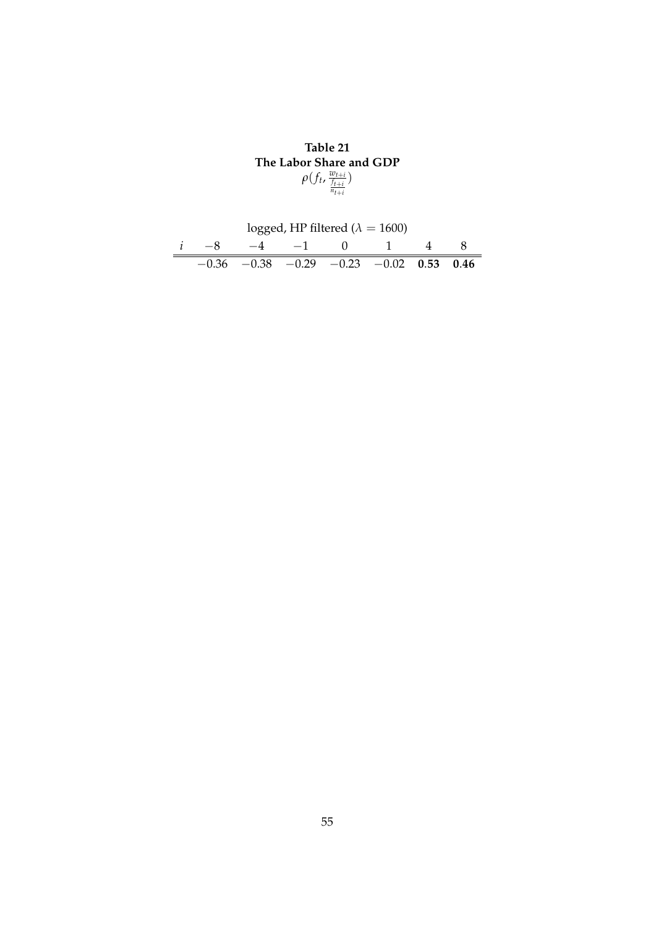**Table 21 The Labor Share and GDP**  $ρ(f_t, \frac{w_{t+i}}{\frac{f_{t+i}}{n_{t+i}}}$ )

|  |                                                   | logged, HP filtered ( $\lambda = 1600$ ) |  |  |
|--|---------------------------------------------------|------------------------------------------|--|--|
|  |                                                   | $-4$ $-1$ () 1                           |  |  |
|  | $-0.36$ $-0.38$ $-0.29$ $-0.23$ $-0.02$ 0.53 0.46 |                                          |  |  |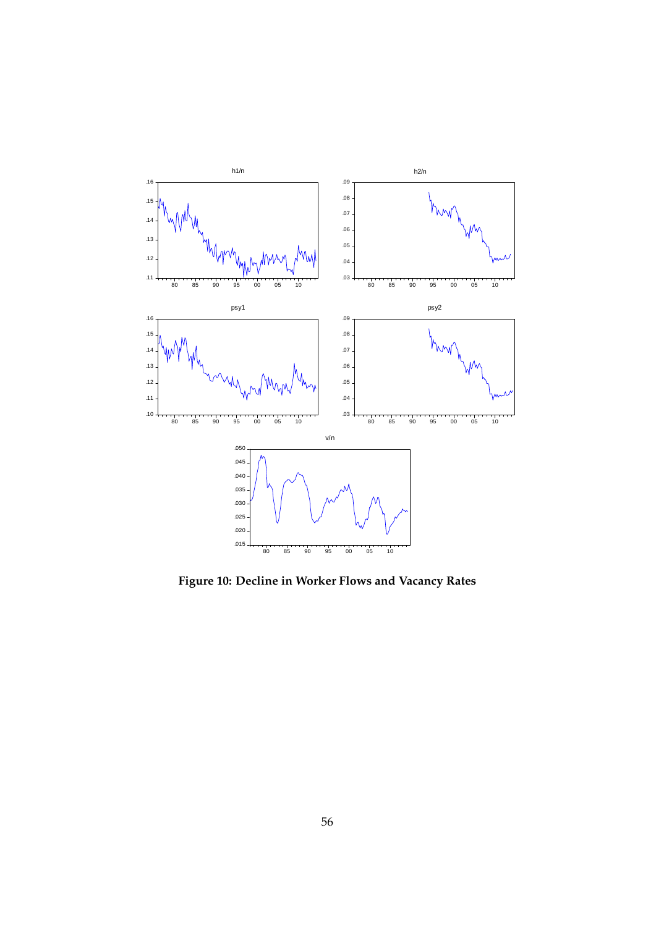

**Figure 10: Decline in Worker Flows and Vacancy Rates**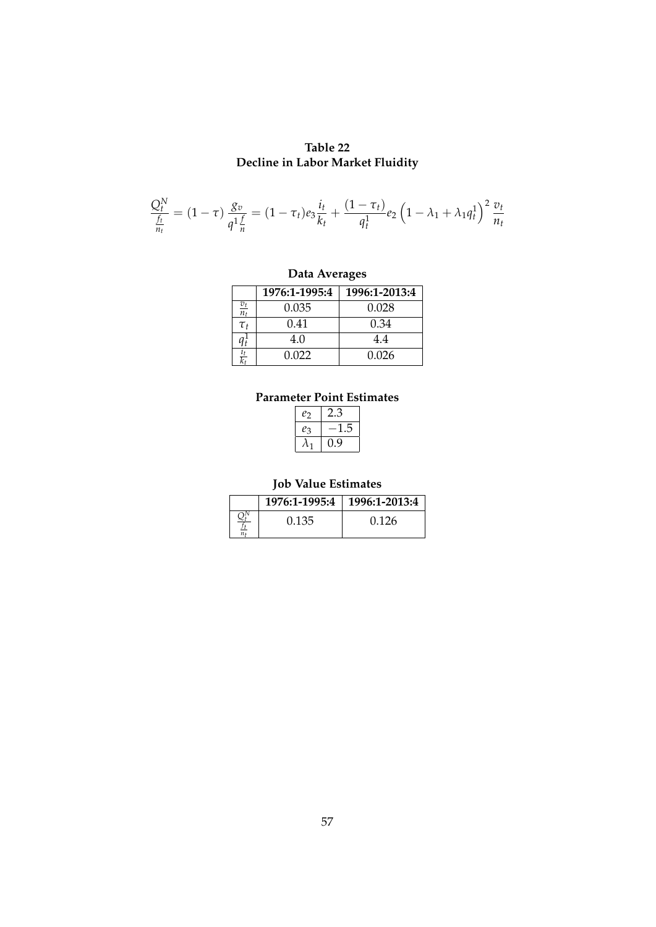## **Table 22 Decline in Labor Market Fluidity**

$$
\frac{Q_t^N}{\frac{f_t}{n_t}} = (1 - \tau) \frac{g_v}{q^1 \frac{f}{n}} = (1 - \tau_t) e_3 \frac{i_t}{k_t} + \frac{(1 - \tau_t)}{q_t^1} e_2 \left(1 - \lambda_1 + \lambda_1 q_t^1\right)^2 \frac{v_t}{n_t}
$$

## **Data Averages**

|                   | 1976:1-1995:4 | 1996:1-2013:4 |
|-------------------|---------------|---------------|
| $\frac{v_t}{n_t}$ | 0.035         | 0.028         |
| $\tau_{t}$        | 0.41          | 0.34          |
|                   | 4.0           | 44            |
|                   | 0.022         | 0.026         |

## **Parameter Point Estimates**

| $e_2$ | پي ر |
|-------|------|
| eз    | 5    |
|       | 9    |

## **Job Value Estimates**

| 1976:1-1995:4 | $1996:1-2013:4$ |
|---------------|-----------------|
| 0.135         | 0.126           |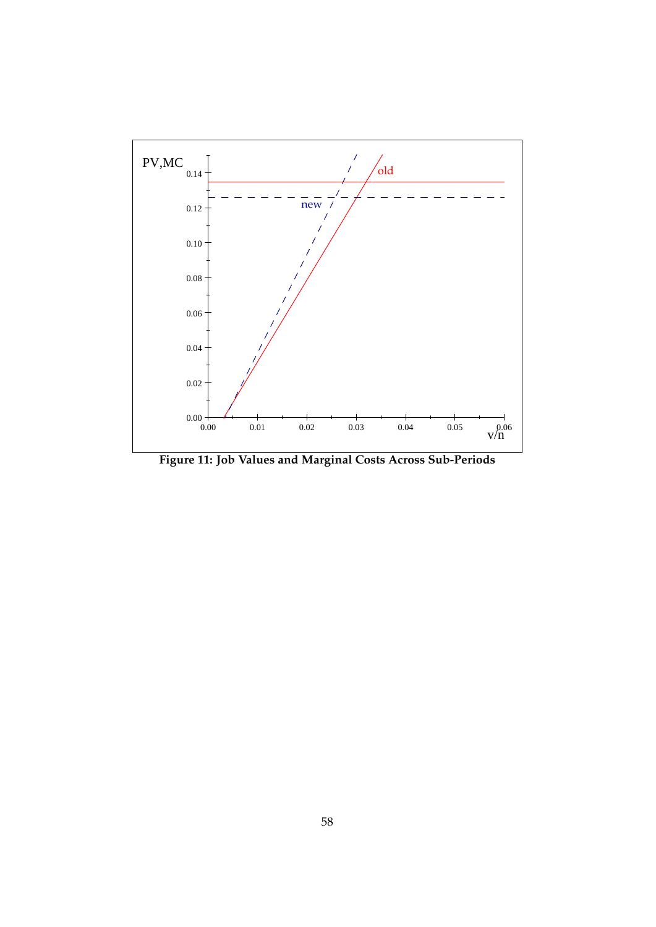

**Figure 11: Job Values and Marginal Costs Across Sub-Periods**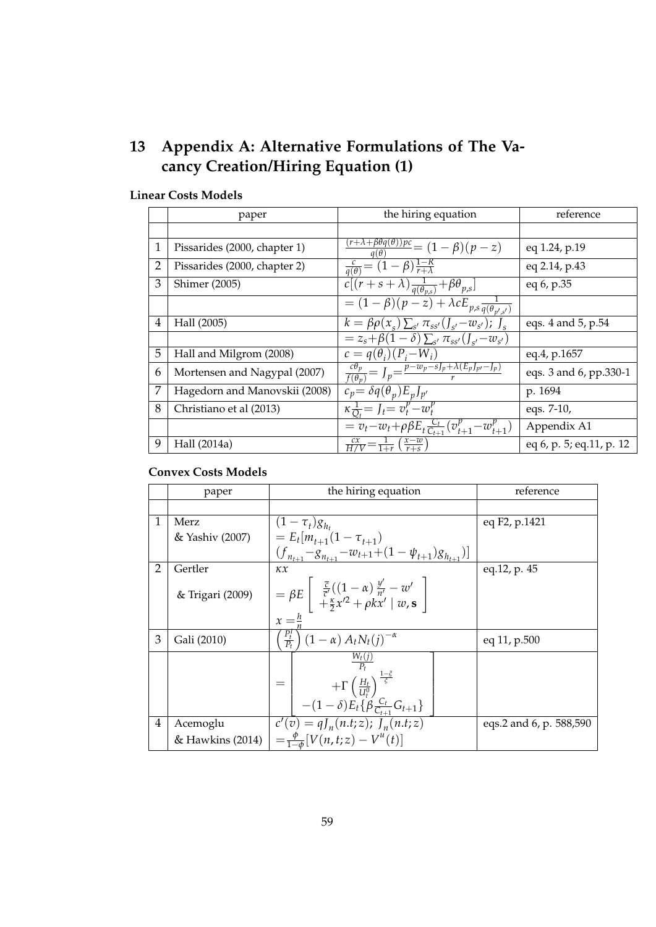## **13 Appendix A: Alternative Formulations of The Vacancy Creation/Hiring Equation (1)**

|   | paper                         | the hiring equation                                                                      | reference                |
|---|-------------------------------|------------------------------------------------------------------------------------------|--------------------------|
|   |                               |                                                                                          |                          |
| 1 | Pissarides (2000, chapter 1)  | $\frac{\frac{(r+\lambda+\beta\theta q(\theta))pc}{q(\theta)}-(1-\beta)(p-z)}{q(\theta)}$ | eq 1.24, p.19            |
| 2 | Pissarides (2000, chapter 2)  | $\frac{c}{q(\theta)} = \overline{(1-\beta)\frac{1-R}{r+\lambda}}$                        | eq 2.14, p.43            |
| 3 | <b>Shimer</b> (2005)          | $\overline{c[(r+s+\lambda)\frac{1}{q(\theta_{p,s})}+\beta\theta_{p,s}]}$                 | eq 6, p.35               |
|   |                               | $= (1 - \beta)(p - z) + \lambda c E_{p,s} \frac{1}{q(\theta_{p',s'})}$                   |                          |
| 4 | Hall (2005)                   | $\overline{k} = \beta \overline{\rho}(x_s) \sum_{s'} \pi_{ss'}(J_{s'}-w_{s'})$ ; $J_s$   | eqs. 4 and 5, p.54       |
|   |                               | $= z_s + \beta (1 - \delta) \sum_{s'} \pi_{ss'} (J_{s'} - w_{s'})$                       |                          |
| 5 | Hall and Milgrom (2008)       | $c = q(\theta_i)(P_i-W_i)$                                                               | eq.4, p.1657             |
| 6 | Mortensen and Nagypal (2007)  | $\frac{c\theta_p}{f(\theta_n)} = J_p = \frac{p-w_p - sJ_p + \lambda(E_pJ_{p'}-J_p)}{r}$  | eqs. 3 and 6, pp.330-1   |
| 7 | Hagedorn and Manovskii (2008) | $c_p = \delta q(\theta_p) E_p J_{p'}$                                                    | p. 1694                  |
| 8 | Christiano et al (2013)       | $\kappa \frac{1}{Q_t} = J_t = v_t^p - w_t^p$                                             | eqs. 7-10,               |
|   |                               | $v_t = v_t - w_t + \rho \beta E_t \frac{C_t}{C_{t+1}} (v_{t+1}^p - w_{t+1}^p)$           | Appendix A1              |
| 9 | Hall (2014a)                  | $rac{cx}{H/V} = \frac{1}{1+r} \left( \frac{x-w}{r+s} \right)$                            | eq 6, p. 5; eq.11, p. 12 |

## **Linear Costs Models**

## **Convex Costs Models**

|                | paper            | the hiring equation                                                                                                                                                                          | reference               |
|----------------|------------------|----------------------------------------------------------------------------------------------------------------------------------------------------------------------------------------------|-------------------------|
|                |                  |                                                                                                                                                                                              |                         |
| $\mathbf{1}$   | Merz             | $(1 - \tau_t) g_{h_t}$                                                                                                                                                                       | eq F2, p.1421           |
|                | & Yashiv (2007)  | $= E_t[m_{t+1}(1-\tau_{t+1})]$                                                                                                                                                               |                         |
|                |                  | $(f_{n_{t+1}}-g_{n_{t+1}}-w_{t+1}+(1-\psi_{t+1})g_{n_{t+1}})]$                                                                                                                               |                         |
| $\overline{2}$ | Gertler          | $\kappa x$                                                                                                                                                                                   | eq.12, p. 45            |
|                | & Trigari (2009) | $=\beta E\left[\begin{array}{cc} \frac{\bar{c}}{\bar{c}'}((1-\alpha)\frac{y'}{n'}-w'\\ +\frac{\kappa}{2}x'^2+\rho kx' \mid w, s \end{array}\right]$<br>$x=\frac{h}{n}$                       |                         |
| 3              | Gali (2010)      | $\left(\frac{P_t^I}{P_t}\right)(1-\alpha) A_t N_t(j)^{-\alpha}$                                                                                                                              | eq 11, p.500            |
|                |                  | $\frac{W_t(j)}{P_t}$<br>$+\Gamma\left(\frac{H_t}{U_t^0}\right)^{\frac{1-\tilde{\varsigma}}{\tilde{\varsigma}}}$<br>$=$<br>$-(1-\delta)\vec{E_t} \{\vec{\beta} \frac{C_t}{C_{t+1}} G_{t+1}\}$ |                         |
| $\overline{4}$ | Acemoglu         | $c'(v) = qJ_n(n.t; z); J_n(n.t; z)$                                                                                                                                                          | eqs.2 and 6, p. 588,590 |
|                |                  | & Hawkins (2014) $\Big  = \frac{\phi}{1-\phi} [V(n,t;z) - V^{(t)}(t)]$                                                                                                                       |                         |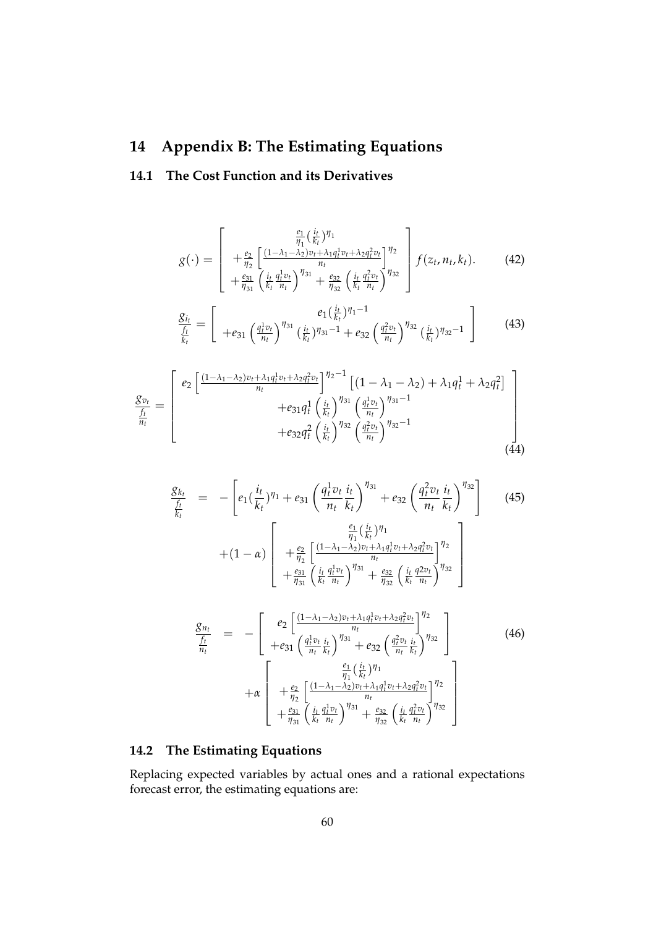## **14 Appendix B: The Estimating Equations**

## **14.1 The Cost Function and its Derivatives**

$$
g(\cdot) = \begin{bmatrix} \frac{e_1}{\eta_1} (\frac{i_t}{k_t})^{\eta_1} \\ + \frac{e_2}{\eta_2} \left[ \frac{(1 - \lambda_1 - \lambda_2)v_t + \lambda_1 q_t^1 v_t + \lambda_2 q_t^2 v_t}{n_t} \right]^{\eta_2} \\ + \frac{e_{31}}{\eta_{31}} \left( \frac{i_t}{k_t} \frac{q_t^1 v_t}{n_t} \right)^{\eta_{31}} + \frac{e_{32}}{\eta_{32}} \left( \frac{i_t}{k_t} \frac{q_t^2 v_t}{n_t} \right)^{\eta_{32}} \end{bmatrix} f(z_t, n_t, k_t).
$$
(42)

$$
\frac{g_{i_t}}{\frac{f_t}{k_t}} = \left[ +e_{31} \left( \frac{q_t^1 v_t}{n_t} \right)^{\eta_{31}} \left( \frac{i_t}{k_t} \right)^{\eta_{31}-1} + e_{32} \left( \frac{q_t^2 v_t}{n_t} \right)^{\eta_{32}} \left( \frac{i_t}{k_t} \right)^{\eta_{32}-1} \right]
$$
(43)

$$
\frac{g_{v_t}}{\frac{f_t}{n_t}} = \begin{bmatrix} e_2 \left[ \frac{(1 - \lambda_1 - \lambda_2)v_t + \lambda_1 q_t^1 v_t + \lambda_2 q_t^2 v_t}{n_t} \right]^{\eta_2 - 1} \left[ (1 - \lambda_1 - \lambda_2) + \lambda_1 q_t^1 + \lambda_2 q_t^2 \right] \\ + e_{31} q_t^1 \left( \frac{i_t}{k_t} \right)^{\eta_{31}} \left( \frac{q_t^1 v_t}{n_t} \right)^{\eta_{31} - 1} \\ + e_{32} q_t^2 \left( \frac{i_t}{k_t} \right)^{\eta_{32}} \left( \frac{q_t^2 v_t}{n_t} \right)^{\eta_{32} - 1} \end{bmatrix}
$$
\n(44)

$$
\frac{g_{k_t}}{\frac{f_t}{k_t}} = -\left[e_1(\frac{i_t}{k_t})^{\eta_1} + e_{31}\left(\frac{q_t^1 v_t}{n_t} \frac{i_t}{k_t}\right)^{\eta_{31}} + e_{32}\left(\frac{q_t^2 v_t}{n_t} \frac{i_t}{k_t}\right)^{\eta_{32}}\right] \tag{45}
$$
\n
$$
+ (1 - \alpha) \left[ + \frac{e_2}{\eta_2} \left[ \frac{(1 - \lambda_1 - \lambda_2)v_t + \lambda_1 q_t^1 v_t + \lambda_2 q_t^2 v_t}{n_t} \right] \eta_2 + \frac{e_{31}}{\eta_{31}} \left( \frac{i_t}{k_t} \frac{q_t^1 v_t}{n_t} \right)^{\eta_{31}} + \frac{e_{32}}{\eta_{32}} \left( \frac{i_t}{k_t} \frac{q_t^2 v_t}{n_t} \right)^{\eta_{32}} \right]
$$

$$
\frac{g_{n_t}}{\frac{f_t}{n_t}} = - \begin{bmatrix} e_2 \left[ \frac{(1 - \lambda_1 - \lambda_2)v_t + \lambda_1 q_t^1 v_t + \lambda_2 q_t^2 v_t}{n_t} \right]^{n_2} \\ + e_{31} \left( \frac{q_t^1 v_t}{n_t} \frac{i_t}{k_t} \right)^{n_{31}} + e_{32} \left( \frac{q_t^2 v_t}{n_t} \frac{i_t}{k_t} \right)^{n_{32}} \end{bmatrix} \qquad (46)
$$
\n
$$
+ \alpha \begin{bmatrix} \frac{e_1}{n_1} \left( \frac{i_t}{k_t} \right)^{n_1} \\ + \frac{e_2}{n_2} \left[ \frac{(1 - \lambda_1 - \lambda_2)v_t + \lambda_1 q_t^1 v_t + \lambda_2 q_t^2 v_t}{n_t} \right]^{n_2} \\ + \frac{e_{31}}{n_3} \left( \frac{i_t}{k_t} \frac{q_t^1 v_t}{n_t} \right)^{n_{31}} + \frac{e_{32}}{n_3} \left( \frac{i_t}{k_t} \frac{q_t^2 v_t}{n_t} \right)^{n_{32}} \end{bmatrix}
$$

## **14.2 The Estimating Equations**

Replacing expected variables by actual ones and a rational expectations forecast error, the estimating equations are: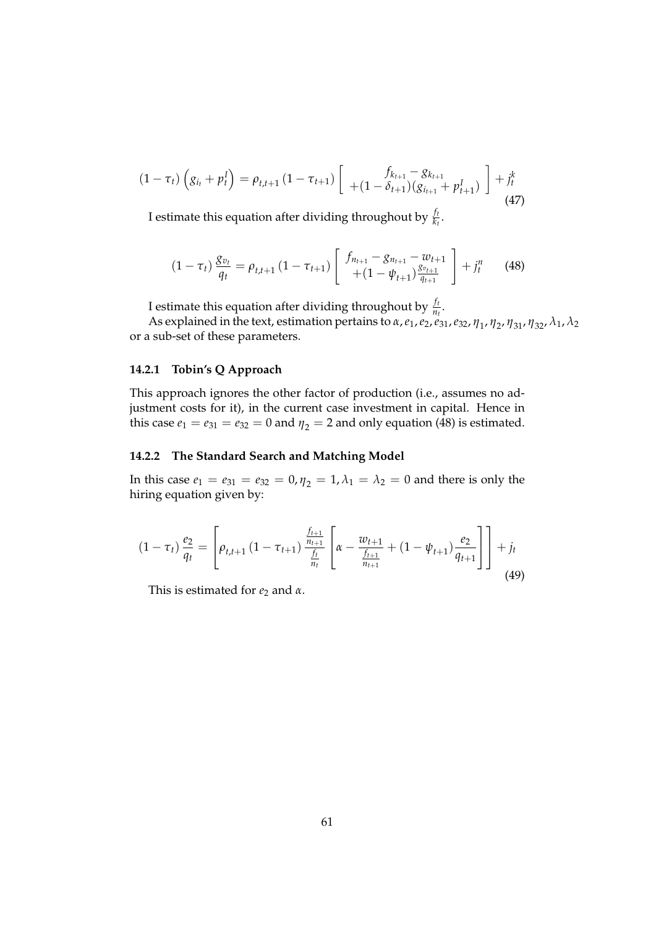$$
(1 - \tau_t) \left( g_{i_t} + p_t^I \right) = \rho_{t,t+1} \left( 1 - \tau_{t+1} \right) \left[ \begin{array}{c} f_{k_{t+1}} - g_{k_{t+1}} \\ + (1 - \delta_{t+1}) \left( g_{i_{t+1}} + p_{t+1}^I \right) \end{array} \right] + j_t^k \tag{47}
$$

I estimate this equation after dividing throughout by  $\frac{f_t}{k_t}$ .

$$
(1 - \tau_t) \frac{g_{v_t}}{q_t} = \rho_{t,t+1} (1 - \tau_{t+1}) \left[ \begin{array}{c} f_{n_{t+1}} - g_{n_{t+1}} - w_{t+1} \\ + (1 - \psi_{t+1}) \frac{g_{v_{t+1}}}{g_{t+1}} \end{array} \right] + j_t^n \qquad (48)
$$

I estimate this equation after dividing throughout by  $\frac{f_t}{n_t}$ .

As explained in the text, estimation pertains to *α*,*e*1,*e*2,*e*31,*e*32, *η*<sup>1</sup> , *η*<sup>2</sup> , *η*31, *η*32, *λ*1, *λ*<sup>2</sup> or a sub-set of these parameters.

#### **14.2.1 Tobin's Q Approach**

This approach ignores the other factor of production (i.e., assumes no adjustment costs for it), in the current case investment in capital. Hence in this case  $e_1 = e_{31} = e_{32} = 0$  and  $\eta_2 = 2$  and only equation (48) is estimated.

#### **14.2.2 The Standard Search and Matching Model**

In this case  $e_1 = e_{31} = e_{32} = 0$ ,  $\eta_2 = 1$ ,  $\lambda_1 = \lambda_2 = 0$  and there is only the hiring equation given by:

$$
(1 - \tau_t) \frac{e_2}{q_t} = \left[ \rho_{t,t+1} \left( 1 - \tau_{t+1} \right) \frac{\frac{f_{t+1}}{n_{t+1}}}{\frac{f_t}{n_t}} \left[ \alpha - \frac{w_{t+1}}{\frac{f_{t+1}}{n_{t+1}}} + (1 - \psi_{t+1}) \frac{e_2}{q_{t+1}} \right] \right] + j_t
$$
\n(49)

This is estimated for  $e_2$  and  $\alpha$ .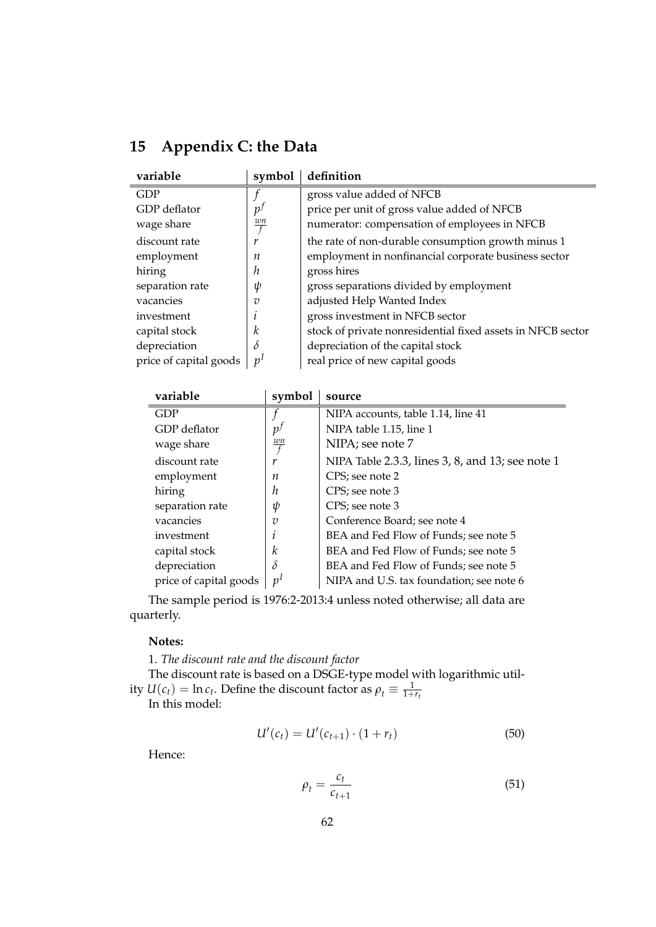| 15 | <b>Appendix C: the Data</b> |  |
|----|-----------------------------|--|
|    |                             |  |

| variable               | symbol         | definition                                                  |
|------------------------|----------------|-------------------------------------------------------------|
| <b>GDP</b>             |                | gross value added of NFCB                                   |
| GDP deflator           | p <sup>f</sup> | price per unit of gross value added of NFCB                 |
| wage share             | $\frac{wn}{f}$ | numerator: compensation of employees in NFCB                |
| discount rate          | r              | the rate of non-durable consumption growth minus 1          |
| employment             | п              | employment in nonfinancial corporate business sector        |
| hiring                 | h              | gross hires                                                 |
| separation rate        | ψ              | gross separations divided by employment                     |
| vacancies              | $\overline{v}$ | adjusted Help Wanted Index                                  |
| investment             |                | gross investment in NFCB sector                             |
| capital stock          | k              | stock of private nonresidential fixed assets in NFCB sector |
| depreciation           | δ              | depreciation of the capital stock                           |
| price of capital goods | n <sup>1</sup> | real price of new capital goods                             |

| symbol               | source                                           |
|----------------------|--------------------------------------------------|
|                      | NIPA accounts, table 1.14, line 41               |
| p <sup>j</sup>       | NIPA table 1.15, line 1                          |
| wn<br>$\overline{f}$ | NIPA; see note 7                                 |
| r                    | NIPA Table 2.3.3, lines 3, 8, and 13; see note 1 |
| п                    | CPS; see note 2                                  |
| h                    | CPS; see note 3                                  |
| ψ                    | CPS; see note 3                                  |
| v                    | Conference Board; see note 4                     |
|                      | BEA and Fed Flow of Funds; see note 5            |
| k                    | BEA and Fed Flow of Funds; see note 5            |
| δ                    | BEA and Fed Flow of Funds; see note 5            |
| v'                   | NIPA and U.S. tax foundation; see note 6         |
|                      |                                                  |

The sample period is 1976:2-2013:4 unless noted otherwise; all data are quarterly.

#### **Notes:**

1. *The discount rate and the discount factor*

The discount rate is based on a DSGE-type model with logarithmic utility  $U(c_t) = \ln c_t$ . Define the discount factor as  $\rho_t \equiv \frac{1}{1+r_t}$ 

In this model:

$$
U'(c_t) = U'(c_{t+1}) \cdot (1 + r_t)
$$
\n(50)

Hence:

$$
\rho_t = \frac{c_t}{c_{t+1}}\tag{51}
$$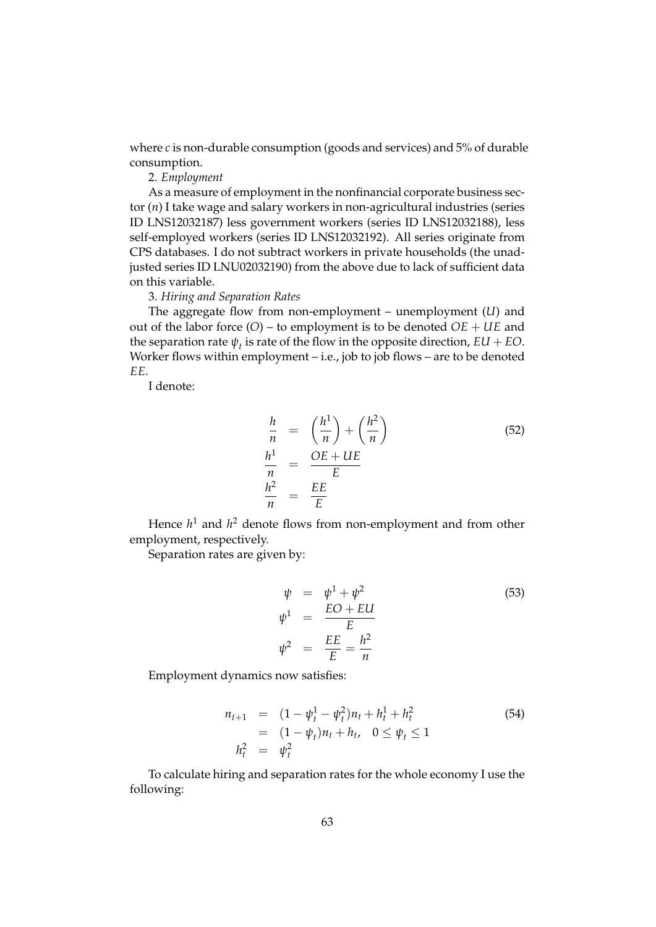where *c* is non-durable consumption (goods and services) and 5% of durable consumption.

### 2. *Employment*

As a measure of employment in the nonfinancial corporate business sector (*n*) I take wage and salary workers in non-agricultural industries (series ID LNS12032187) less government workers (series ID LNS12032188), less self-employed workers (series ID LNS12032192). All series originate from CPS databases. I do not subtract workers in private households (the unadjusted series ID LNU02032190) from the above due to lack of sufficient data on this variable.

#### 3. *Hiring and Separation Rates*

The aggregate flow from non-employment – unemployment (*U*) and out of the labor force (*O*) – to employment is to be denoted *OE* + *UE* and the separation rate  $\psi_t$  is rate of the flow in the opposite direction,  $EU + EO$ . Worker flows within employment – i.e., job to job flows – are to be denoted *EE*.

I denote:

$$
\frac{h}{n} = \left(\frac{h^1}{n}\right) + \left(\frac{h^2}{n}\right)
$$
\n
$$
\frac{h^1}{n} = \frac{OE + UE}{E}
$$
\n
$$
\frac{h^2}{n} = \frac{EE}{E}
$$
\n(52)

Hence *h* <sup>1</sup> and *h* <sup>2</sup> denote flows from non-employment and from other employment, respectively.

Separation rates are given by:

$$
\psi = \psi^{1} + \psi^{2}
$$
\n
$$
\psi^{1} = \frac{EO + EU}{E}
$$
\n
$$
\psi^{2} = \frac{EE}{E} = \frac{h^{2}}{n}
$$
\n(53)

Employment dynamics now satisfies:

$$
n_{t+1} = (1 - \psi_t^1 - \psi_t^2)n_t + h_t^1 + h_t^2
$$
  
=  $(1 - \psi_t)n_t + h_t, \quad 0 \le \psi_t \le 1$   

$$
h_t^2 = \psi_t^2
$$
 (54)

To calculate hiring and separation rates for the whole economy I use the following: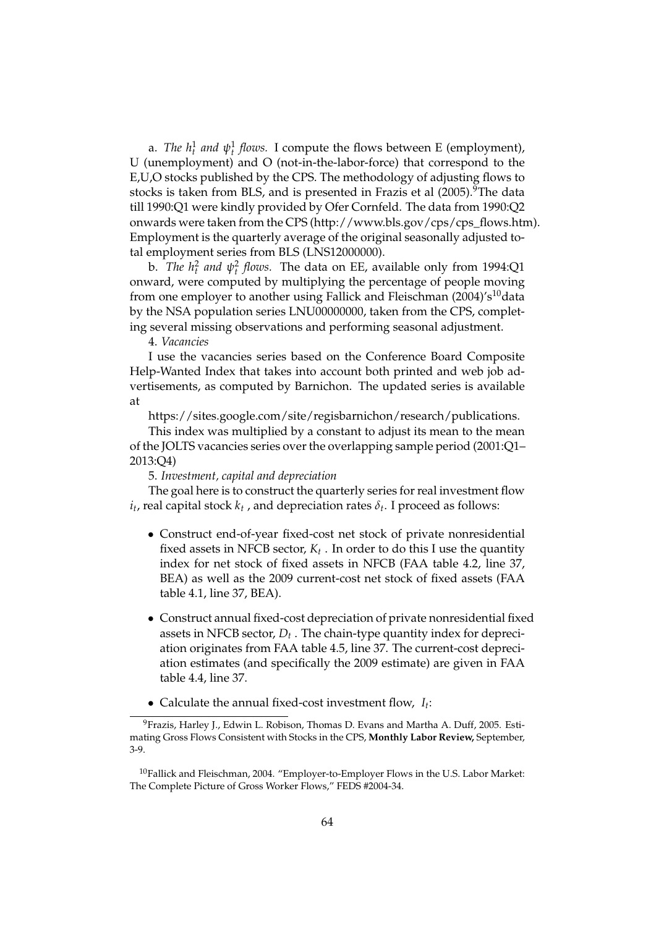a. *The*  $h_t^1$  *and*  $\psi_t^1$  *flows.* I compute the flows between E (employment), U (unemployment) and O (not-in-the-labor-force) that correspond to the E,U,O stocks published by the CPS. The methodology of adjusting flows to stocks is taken from BLS, and is presented in Frazis et al (2005).<sup>9</sup>The data till 1990:Q1 were kindly provided by Ofer Cornfeld. The data from 1990:Q2 onwards were taken from the CPS (http://www.bls.gov/cps/cps\_flows.htm). Employment is the quarterly average of the original seasonally adjusted total employment series from BLS (LNS12000000).

b. *The*  $h_t^2$  *and*  $\psi_t^2$  *flows.* The data on EE, available only from 1994:Q1 onward, were computed by multiplying the percentage of people moving from one employer to another using Fallick and Fleischman  $(2004)'s<sup>10</sup>$ data by the NSA population series LNU00000000, taken from the CPS, completing several missing observations and performing seasonal adjustment.

4. *Vacancies*

I use the vacancies series based on the Conference Board Composite Help-Wanted Index that takes into account both printed and web job advertisements, as computed by Barnichon. The updated series is available at

https://sites.google.com/site/regisbarnichon/research/publications.

This index was multiplied by a constant to adjust its mean to the mean of the JOLTS vacancies series over the overlapping sample period (2001:Q1– 2013:Q4)

5. *Investment, capital and depreciation*

The goal here is to construct the quarterly series for real investment flow  $i_t$ , real capital stock  $k_t$  , and depreciation rates  $\delta_t$ . I proceed as follows:

- Construct end-of-year fixed-cost net stock of private nonresidential fixed assets in NFCB sector, *K<sup>t</sup>* . In order to do this I use the quantity index for net stock of fixed assets in NFCB (FAA table 4.2, line 37, BEA) as well as the 2009 current-cost net stock of fixed assets (FAA table 4.1, line 37, BEA).
- Construct annual fixed-cost depreciation of private nonresidential fixed assets in NFCB sector, *D<sup>t</sup>* . The chain-type quantity index for depreciation originates from FAA table 4.5, line 37. The current-cost depreciation estimates (and specifically the 2009 estimate) are given in FAA table 4.4, line 37.
- Calculate the annual fixed-cost investment flow, *I<sup>t</sup>* :

<sup>&</sup>lt;sup>9</sup> Frazis, Harley J., Edwin L. Robison, Thomas D. Evans and Martha A. Duff, 2005. Estimating Gross Flows Consistent with Stocks in the CPS, **Monthly Labor Review,** September, 3-9.

<sup>10</sup>Fallick and Fleischman, 2004. "Employer-to-Employer Flows in the U.S. Labor Market: The Complete Picture of Gross Worker Flows," FEDS #2004-34.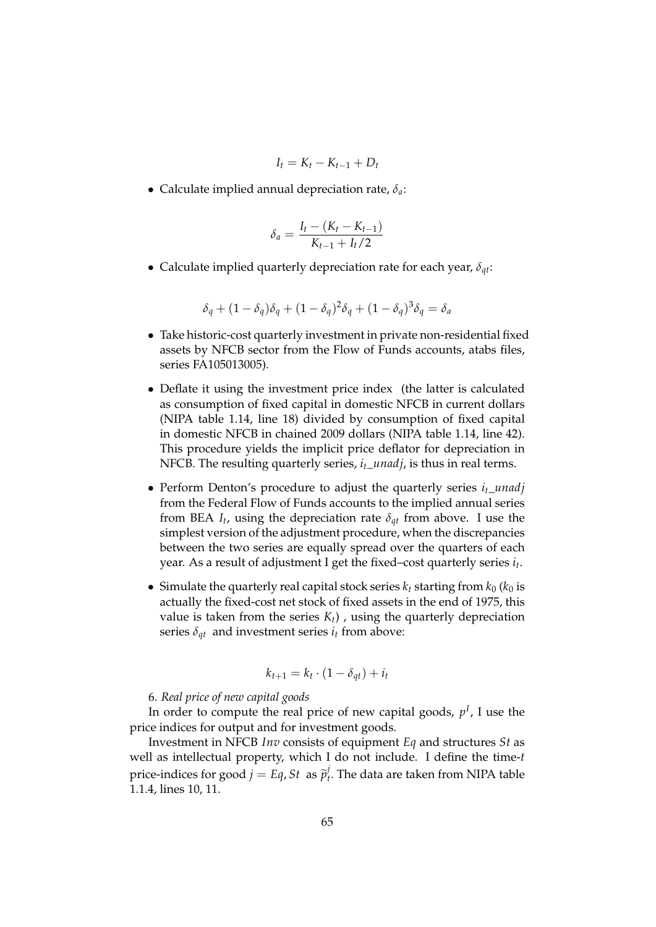$$
I_t = K_t - K_{t-1} + D_t
$$

Calculate implied annual depreciation rate, *δa*:

$$
\delta_a = \frac{I_t - (K_t - K_{t-1})}{K_{t-1} + I_t/2}
$$

Calculate implied quarterly depreciation rate for each year, *δqt*:

$$
\delta_q + (1 - \delta_q)\delta_q + (1 - \delta_q)^2 \delta_q + (1 - \delta_q)^3 \delta_q = \delta_a
$$

- Take historic-cost quarterly investment in private non-residential fixed assets by NFCB sector from the Flow of Funds accounts, atabs files, series FA105013005).
- Deflate it using the investment price index (the latter is calculated as consumption of fixed capital in domestic NFCB in current dollars (NIPA table 1.14, line 18) divided by consumption of fixed capital in domestic NFCB in chained 2009 dollars (NIPA table 1.14, line 42). This procedure yields the implicit price deflator for depreciation in NFCB. The resulting quarterly series, *it*\_*unadj*, is thus in real terms.
- Perform Denton's procedure to adjust the quarterly series  $i_t$ <sub>\_*unadj*</sub> from the Federal Flow of Funds accounts to the implied annual series from BEA  $I_t$ , using the depreciation rate  $\delta_{qt}$  from above. I use the simplest version of the adjustment procedure, when the discrepancies between the two series are equally spread over the quarters of each year. As a result of adjustment I get the fixed–cost quarterly series *i<sup>t</sup>* .
- Simulate the quarterly real capital stock series  $k_t$  starting from  $k_0$  ( $k_0$  is actually the fixed-cost net stock of fixed assets in the end of 1975, this value is taken from the series  $K_t$ ), using the quarterly depreciation series  $\delta_{qt}$  and investment series  $i_t$  from above:

$$
k_{t+1} = k_t \cdot (1 - \delta_{qt}) + i_t
$$

#### 6. *Real price of new capital goods*

In order to compute the real price of new capital goods,  $p<sup>I</sup>$ , I use the price indices for output and for investment goods.

Investment in NFCB *Inv* consists of equipment *Eq* and structures *St* as well as intellectual property, which I do not include. I define the time-*t* price-indices for good  $j = Eq$ , *St* as  $\tilde{p}_t^j$  $\mathcal{I}_t$ . The data are taken from NIPA table 1.1.4, lines 10, 11.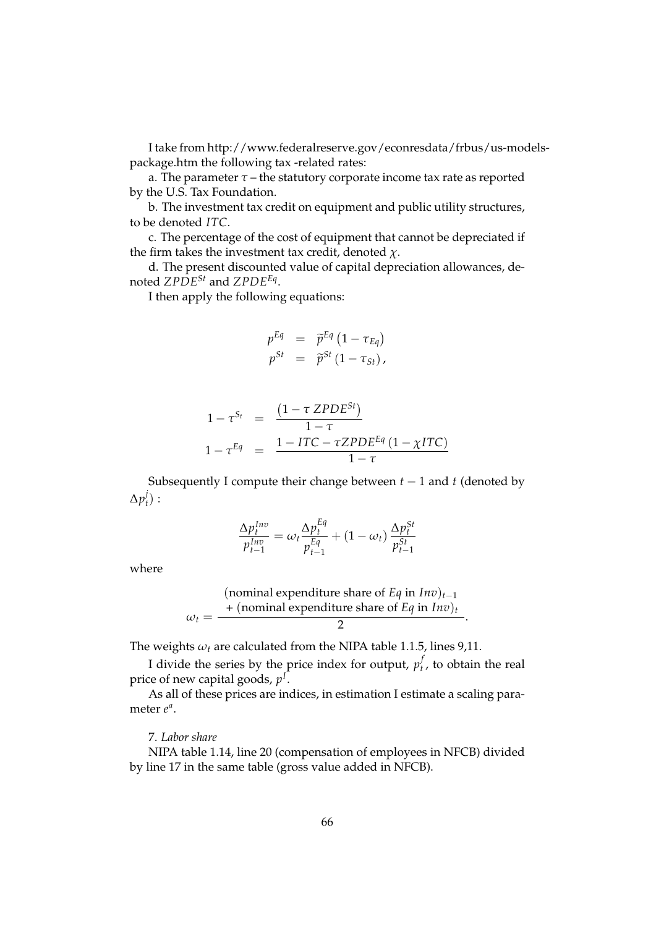I take from http://www.federalreserve.gov/econresdata/frbus/us-modelspackage.htm the following tax -related rates:

a. The parameter  $\tau$  – the statutory corporate income tax rate as reported by the U.S. Tax Foundation.

b. The investment tax credit on equipment and public utility structures, to be denoted *ITC*.

c. The percentage of the cost of equipment that cannot be depreciated if the firm takes the investment tax credit, denoted *χ*.

d. The present discounted value of capital depreciation allowances, denoted *ZPDESt* and *ZPDEEq* .

I then apply the following equations:

$$
p^{Eq} = \tilde{p}^{Eq} (1 - \tau_{Eq})
$$
  

$$
p^{St} = \tilde{p}^{St} (1 - \tau_{St}),
$$

$$
1 - \tau^{S_t} = \frac{(1 - \tau \, ZPDE^{St})}{1 - \tau}
$$
  

$$
1 - \tau^{Eq} = \frac{1 - ITC - \tau ZPDE^{Eq}(1 - \chi ITC)}{1 - \tau}
$$

Subsequently I compute their change between  $t - 1$  and  $t$  (denoted by  $\Delta p_t^j$  $_t')$  :

$$
\frac{\Delta p_t^{Inv}}{p_{t-1}^{Inv}} = \omega_t \frac{\Delta p_t^{Eq}}{p_{t-1}^{Eq}} + (1 - \omega_t) \frac{\Delta p_t^{St}}{p_{t-1}^{St}}
$$

where

(nominal expenditure share of *Eq* in 
$$
Inv
$$
)<sub>*t*-1</sub>  

$$
\omega_t = \frac{+(\text{nominal expenditure share of Eq in Inv)t}{2}.
$$

The weights  $\omega_t$  are calculated from the NIPA table 1.1.5, lines 9,11.

I divide the series by the price index for output,  $p_t^j$  $t<sub>t</sub>$ , to obtain the real price of new capital goods, *p I* .

As all of these prices are indices, in estimation I estimate a scaling parameter  $e^a$ .

#### 7. *Labor share*

NIPA table 1.14, line 20 (compensation of employees in NFCB) divided by line 17 in the same table (gross value added in NFCB).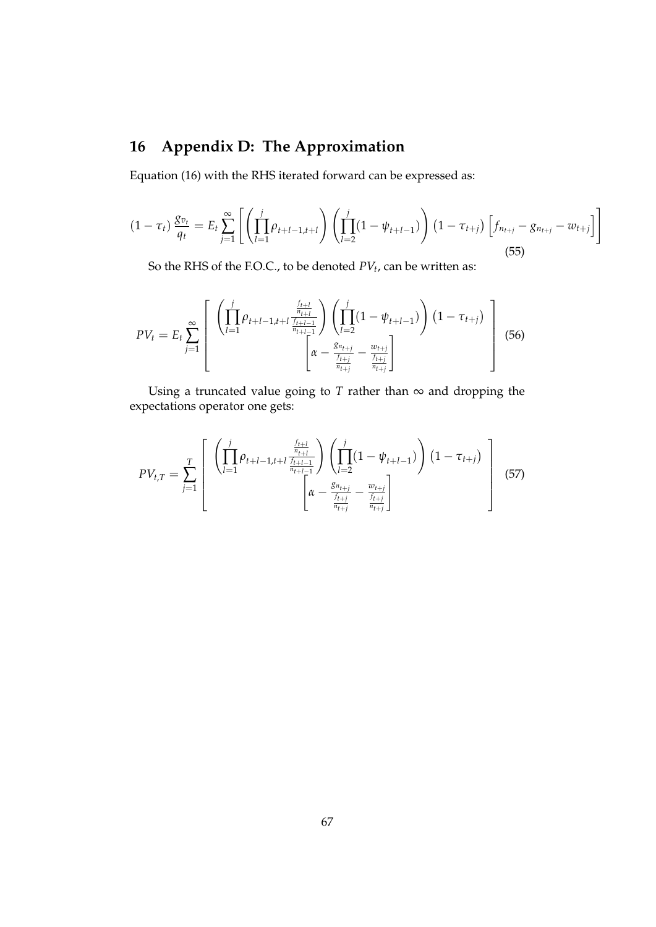## **16 Appendix D: The Approximation**

Equation (16) with the RHS iterated forward can be expressed as:

$$
(1 - \tau_t) \frac{g_{v_t}}{q_t} = E_t \sum_{j=1}^{\infty} \left[ \left( \prod_{l=1}^{j} \rho_{t+l-1, t+l} \right) \left( \prod_{l=2}^{j} (1 - \psi_{t+l-1}) \right) (1 - \tau_{t+j}) \left[ f_{n_{t+j}} - g_{n_{t+j}} - w_{t+j} \right] \right]
$$
(55)

So the RHS of the F.O.C., to be denoted *PV<sup>t</sup>* , can be written as:

$$
PV_{t} = E_{t} \sum_{j=1}^{\infty} \left[ \begin{array}{c} \left( \prod_{l=1}^{j} \rho_{t+l-1,l+l} \frac{\frac{f_{t+l}}{n_{t+l}}}{\frac{f_{t+l-1}}{n_{t+l-1}}} \right) \left( \prod_{l=2}^{j} (1 - \psi_{t+l-1}) \right) (1 - \tau_{t+j}) \\ \left[ \alpha - \frac{g_{n_{t+j}}}{\frac{f_{t+j}}{n_{t+j}}} - \frac{w_{t+j}}{\frac{f_{t+j}}{n_{t+j}}} \right] \end{array} \right] (56)
$$

Using a truncated value going to  $T$  rather than  $\infty$  and dropping the expectations operator one gets:

$$
PV_{t,T} = \sum_{j=1}^{T} \left[ \begin{array}{c} \left( \prod_{l=1}^{j} \rho_{t+l-1,l+l} \frac{\frac{f_{t+l}}{n_{t+l-1}}}{\frac{f_{t+l-1}}{n_{t+l-1}}} \right) \left( \prod_{l=2}^{j} (1 - \psi_{t+l-1}) \right) (1 - \tau_{t+j}) \\ \left[ \alpha - \frac{S_{n_{t+j}}}{\frac{f_{t+j}}{n_{t+j}}} - \frac{w_{t+j}}{\frac{f_{t+j}}{n_{t+j}}} \right] \end{array} \right] \tag{57}
$$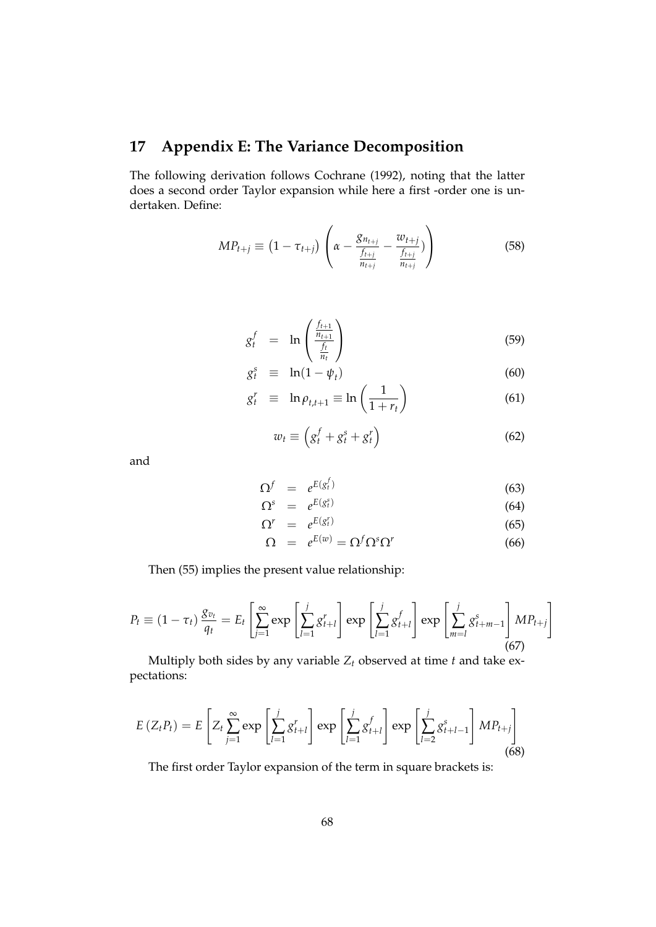## **17 Appendix E: The Variance Decomposition**

The following derivation follows Cochrane (1992), noting that the latter does a second order Taylor expansion while here a first -order one is undertaken. Define:

$$
MP_{t+j} \equiv (1 - \tau_{t+j}) \left( \alpha - \frac{g_{n_{t+j}}}{\frac{f_{t+j}}{n_{t+j}}} - \frac{w_{t+j}}{\frac{f_{t+j}}{n_{t+j}}} ) \right)
$$
(58)

$$
g_t^f = \ln\left(\frac{\frac{f_{t+1}}{n_{t+1}}}{\frac{f_t}{n_t}}\right) \tag{59}
$$

$$
g_t^s \equiv \ln(1 - \psi_t) \tag{60}
$$

$$
g_t^r \equiv \ln \rho_{t,t+1} \equiv \ln \left( \frac{1}{1+r_t} \right) \tag{61}
$$

$$
w_t \equiv \left(g_t^f + g_t^s + g_t^r\right) \tag{62}
$$

and

$$
\Omega^f = e^{E(g_t^f)} \tag{63}
$$

$$
\Omega^s = e^{E(g_t^s)}
$$
\n(64)

$$
\Omega^r = e^{E(g_t^r)} \tag{65}
$$

$$
\Omega = e^{E(w)} = \Omega^f \Omega^s \Omega^r \tag{66}
$$

Then (55) implies the present value relationship:

$$
P_{t} \equiv (1 - \tau_{t}) \frac{g_{v_{t}}}{q_{t}} = E_{t} \left[ \sum_{j=1}^{\infty} \exp\left[\sum_{l=1}^{j} g_{t+l}^{r}\right] \exp\left[\sum_{l=1}^{j} g_{t+l}^{f}\right] \exp\left[\sum_{m=l}^{j} g_{t+m-1}^{s}\right] M P_{t+j}\right]
$$
(67)

Multiply both sides by any variable *Z<sup>t</sup>* observed at time *t* and take expectations:

$$
E\left(Z_{t}P_{t}\right)=E\left[Z_{t}\sum_{j=1}^{\infty}\exp\left[\sum_{l=1}^{j}g_{t+l}^{r}\right]\exp\left[\sum_{l=1}^{j}g_{t+l}^{f}\right]\exp\left[\sum_{l=2}^{j}g_{t+l-1}^{s}\right]MP_{t+j}\right]
$$
\n(68)

The first order Taylor expansion of the term in square brackets is: